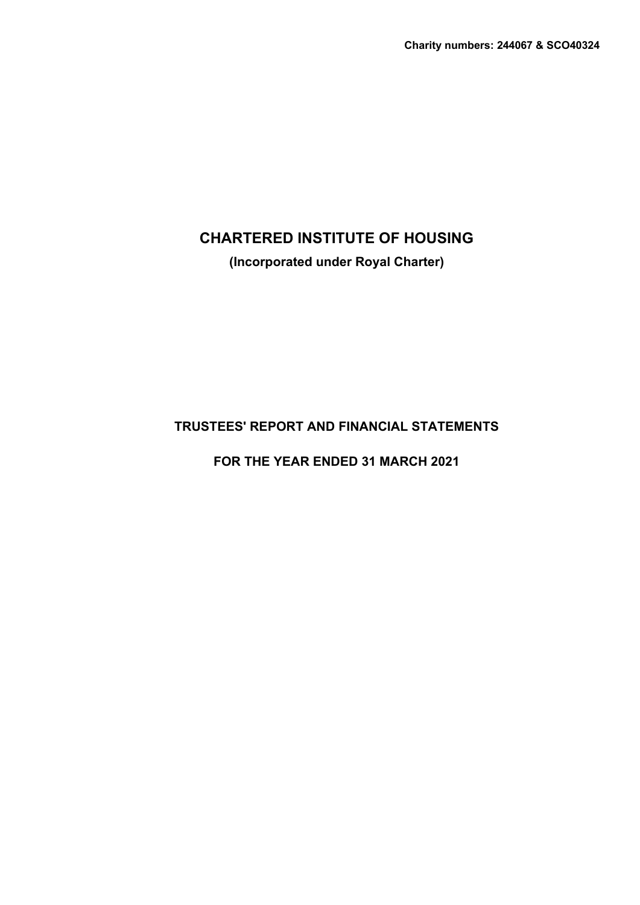**(Incorporated under Royal Charter)**

# **TRUSTEES' REPORT AND FINANCIAL STATEMENTS**

**FOR THE YEAR ENDED 31 MARCH 2021**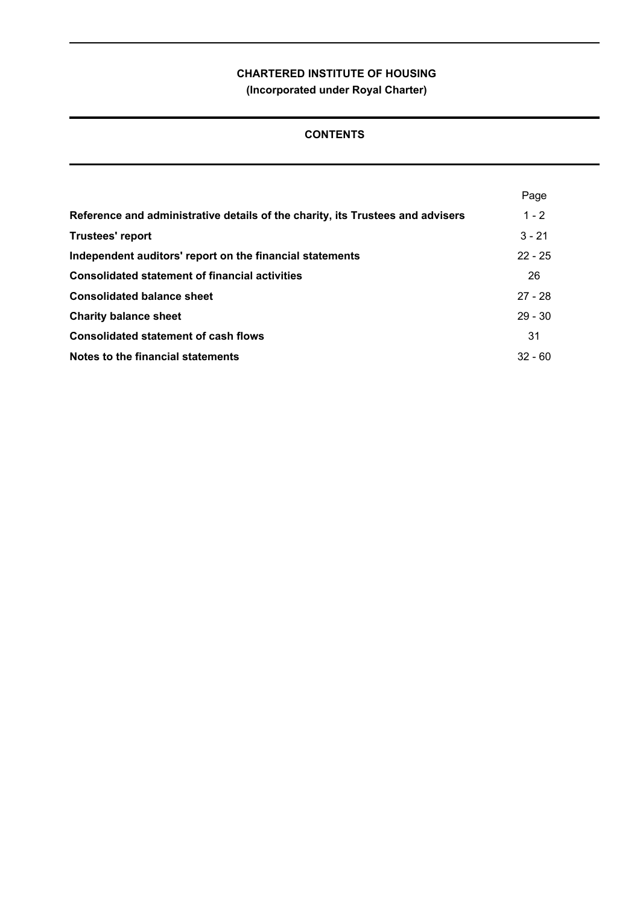# **CONTENTS**

|                                                                                | Page      |
|--------------------------------------------------------------------------------|-----------|
| Reference and administrative details of the charity, its Trustees and advisers | $1 - 2$   |
| <b>Trustees' report</b>                                                        | $3 - 21$  |
| Independent auditors' report on the financial statements                       | $22 - 25$ |
| <b>Consolidated statement of financial activities</b>                          | 26        |
| <b>Consolidated balance sheet</b>                                              | $27 - 28$ |
| <b>Charity balance sheet</b>                                                   | $29 - 30$ |
| <b>Consolidated statement of cash flows</b>                                    | 31        |
| Notes to the financial statements                                              | $32 - 60$ |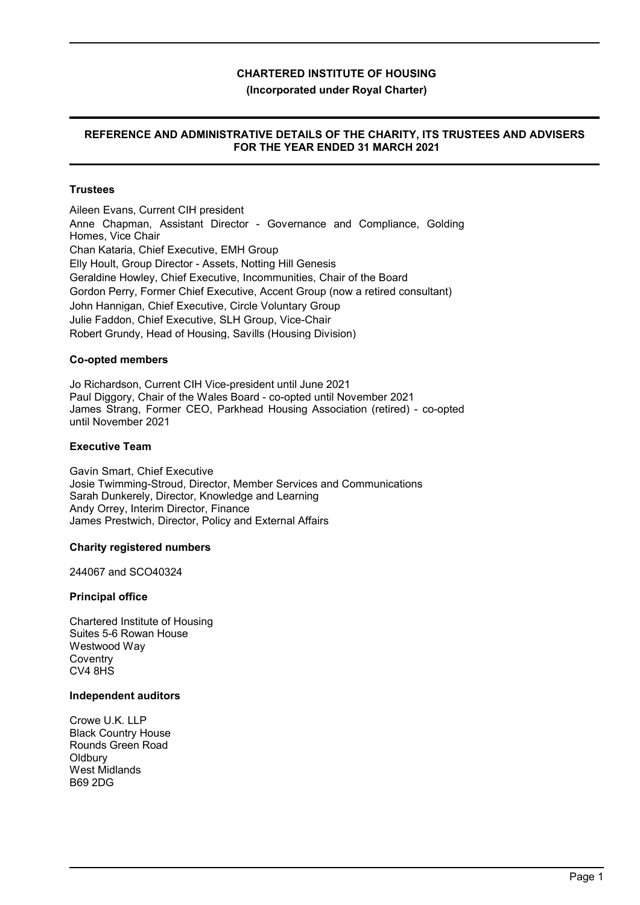# **(Incorporated under Royal Charter)**

# **REFERENCE AND ADMINISTRATIVE DETAILS OF THE CHARITY, ITS TRUSTEES AND ADVISERS FOR THE YEAR ENDED 31 MARCH 2021**

# **Trustees**

Aileen Evans, Current CIH president Anne Chapman, Assistant Director - Governance and Compliance, Golding Homes, Vice Chair Chan Kataria, Chief Executive, EMH Group Elly Hoult, Group Director - Assets, Notting Hill Genesis Geraldine Howley, Chief Executive, Incommunities, Chair of the Board Gordon Perry, Former Chief Executive, Accent Group (now a retired consultant) John Hannigan, Chief Executive, Circle Voluntary Group Julie Faddon, Chief Executive, SLH Group, Vice-Chair Robert Grundy, Head of Housing, Savills (Housing Division)

#### **Co-opted members**

Jo Richardson, Current CIH Vice-president until June 2021 Paul Diggory, Chair of the Wales Board - co-opted until November 2021 James Strang, Former CEO, Parkhead Housing Association (retired) - co-opted until November 2021

#### **Executive Team**

Gavin Smart, Chief Executive Josie Twimming-Stroud, Director, Member Services and Communications Sarah Dunkerely, Director, Knowledge and Learning Andy Orrey, Interim Director, Finance James Prestwich, Director, Policy and External Affairs

#### **Charity registered numbers**

244067 and SCO40324

#### **Principal office**

Chartered Institute of Housing Suites 5-6 Rowan House Westwood Way **Coventry**  $C<sub>2</sub>4$   $8H<sub>5</sub>$ 

#### **Independent auditors**

Crowe U.K. LLP Black Country House Rounds Green Road **Oldbury** West Midlands B69 2DG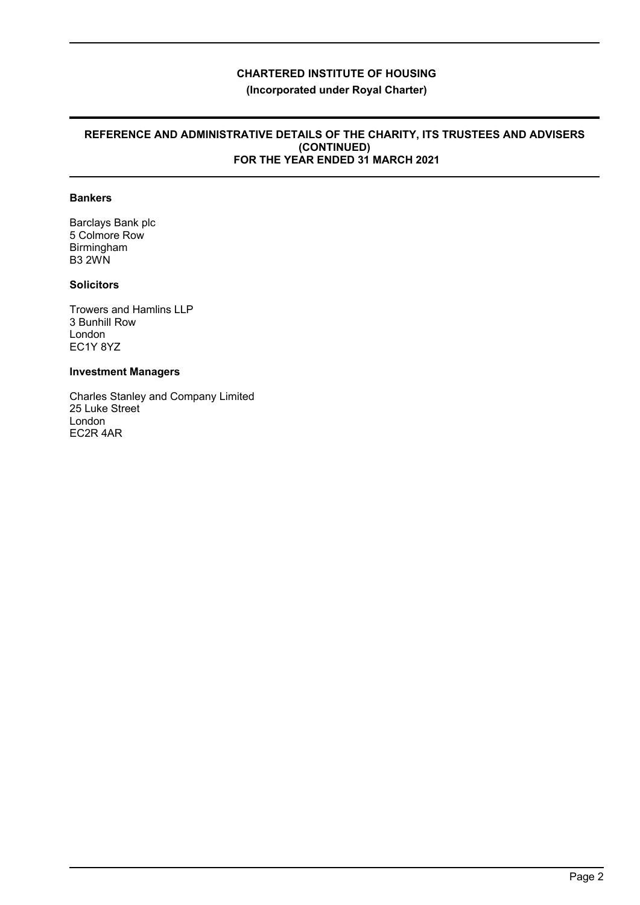### **REFERENCE AND ADMINISTRATIVE DETAILS OF THE CHARITY, ITS TRUSTEES AND ADVISERS (CONTINUED) FOR THE YEAR ENDED 31 MARCH 2021**

# **Bankers**

Barclays Bank plc 5 Colmore Row Birmingham B3 2WN

# **Solicitors**

Trowers and Hamlins LLP 3 Bunhill Row London EC1Y 8YZ

# **Investment Managers**

Charles Stanley and Company Limited 25 Luke Street London EC2R 4AR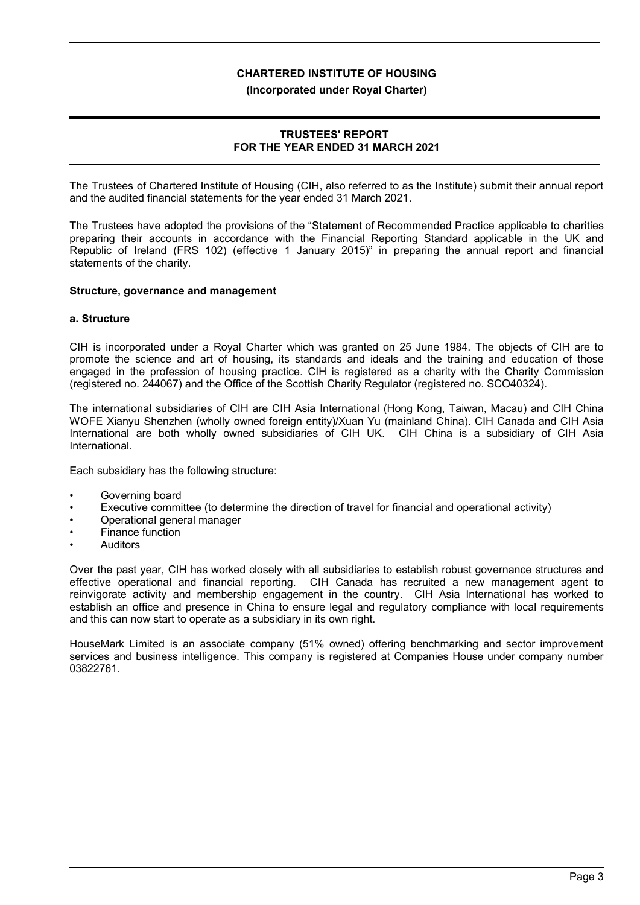#### **(Incorporated under Royal Charter)**

# **TRUSTEES' REPORT FOR THE YEAR ENDED 31 MARCH 2021**

The Trustees of Chartered Institute of Housing (CIH, also referred to as the Institute) submit their annual report and the audited financial statements for the year ended 31 March 2021.

The Trustees have adopted the provisions of the "Statement of Recommended Practice applicable to charities preparing their accounts in accordance with the Financial Reporting Standard applicable in the UK and Republic of Ireland (FRS 102) (effective 1 January 2015)" in preparing the annual report and financial statements of the charity.

#### **Structure, governance and management**

#### **a. Structure**

CIH is incorporated under a Royal Charter which was granted on 25 June 1984. The objects of CIH are to promote the science and art of housing, its standards and ideals and the training and education of those engaged in the profession of housing practice. CIH is registered as a charity with the Charity Commission (registered no. 244067) and the Office of the Scottish Charity Regulator (registered no. SCO40324).

The international subsidiaries of CIH are CIH Asia International (Hong Kong, Taiwan, Macau) and CIH China WOFE Xianyu Shenzhen (wholly owned foreign entity)/Xuan Yu (mainland China). CIH Canada and CIH Asia International are both wholly owned subsidiaries of CIH UK. CIH China is a subsidiary of CIH Asia International.

Each subsidiary has the following structure:

- Governing board
- Executive committee (to determine the direction of travel for financial and operational activity)
- Operational general manager
- Finance function
- **Auditors**

Over the past year, CIH has worked closely with all subsidiaries to establish robust governance structures and effective operational and financial reporting. CIH Canada has recruited a new management agent to reinvigorate activity and membership engagement in the country. CIH Asia International has worked to establish an office and presence in China to ensure legal and regulatory compliance with local requirements and this can now start to operate as a subsidiary in its own right.

HouseMark Limited is an associate company (51% owned) offering benchmarking and sector improvement services and business intelligence. This company is registered at Companies House under company number 03822761.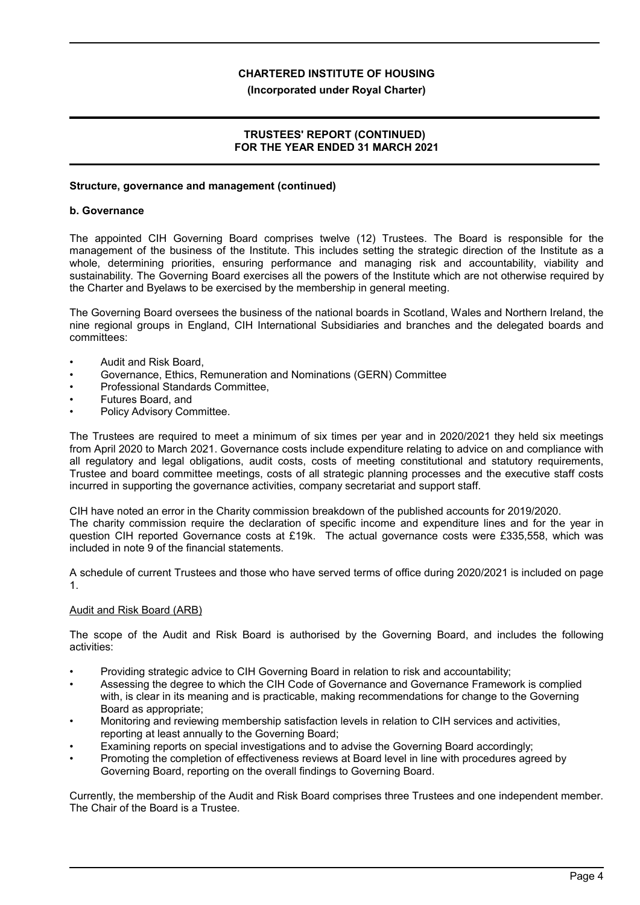#### **(Incorporated under Royal Charter)**

# **TRUSTEES' REPORT (CONTINUED) FOR THE YEAR ENDED 31 MARCH 2021**

## **Structure, governance and management (continued)**

#### **b. Governance**

The appointed CIH Governing Board comprises twelve (12) Trustees. The Board is responsible for the management of the business of the Institute. This includes setting the strategic direction of the Institute as a whole, determining priorities, ensuring performance and managing risk and accountability, viability and sustainability. The Governing Board exercises all the powers of the Institute which are not otherwise required by the Charter and Byelaws to be exercised by the membership in general meeting.

The Governing Board oversees the business of the national boards in Scotland, Wales and Northern Ireland, the nine regional groups in England, CIH International Subsidiaries and branches and the delegated boards and committees:

- Audit and Risk Board,
- Governance, Ethics, Remuneration and Nominations (GERN) Committee
- Professional Standards Committee,
- Futures Board, and
- Policy Advisory Committee.

The Trustees are required to meet a minimum of six times per year and in 2020/2021 they held six meetings from April 2020 to March 2021. Governance costs include expenditure relating to advice on and compliance with all regulatory and legal obligations, audit costs, costs of meeting constitutional and statutory requirements, Trustee and board committee meetings, costs of all strategic planning processes and the executive staff costs incurred in supporting the governance activities, company secretariat and support staff.

CIH have noted an error in the Charity commission breakdown of the published accounts for 2019/2020. The charity commission require the declaration of specific income and expenditure lines and for the year in question CIH reported Governance costs at £19k. The actual governance costs were £335,558, which was included in note 9 of the financial statements.

A schedule of current Trustees and those who have served terms of office during 2020/2021 is included on page 1.

#### Audit and Risk Board (ARB)

The scope of the Audit and Risk Board is authorised by the Governing Board, and includes the following activities:

- Providing strategic advice to CIH Governing Board in relation to risk and accountability;
- Assessing the degree to which the CIH Code of Governance and Governance Framework is complied with, is clear in its meaning and is practicable, making recommendations for change to the Governing Board as appropriate;
- Monitoring and reviewing membership satisfaction levels in relation to CIH services and activities, reporting at least annually to the Governing Board;
- Examining reports on special investigations and to advise the Governing Board accordingly;
- Promoting the completion of effectiveness reviews at Board level in line with procedures agreed by Governing Board, reporting on the overall findings to Governing Board.

Currently, the membership of the Audit and Risk Board comprises three Trustees and one independent member. The Chair of the Board is a Trustee.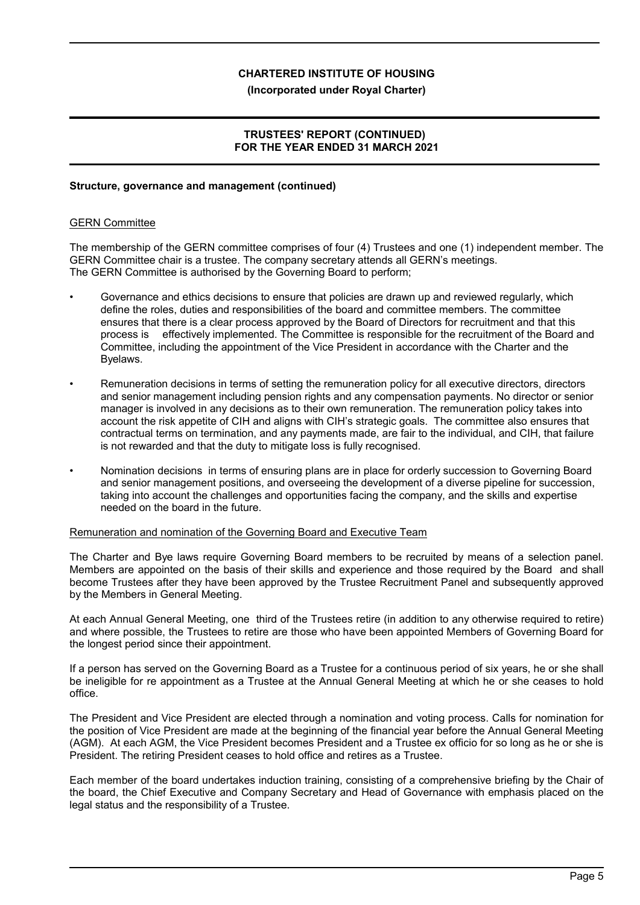#### **(Incorporated under Royal Charter)**

# **TRUSTEES' REPORT (CONTINUED) FOR THE YEAR ENDED 31 MARCH 2021**

### **Structure, governance and management (continued)**

#### GERN Committee

The membership of the GERN committee comprises of four (4) Trustees and one (1) independent member. The GERN Committee chair is a trustee. The company secretary attends all GERN's meetings. The GERN Committee is authorised by the Governing Board to perform;

- Governance and ethics decisions to ensure that policies are drawn up and reviewed regularly, which define the roles, duties and responsibilities of the board and committee members. The committee ensures that there is a clear process approved by the Board of Directors for recruitment and that this process is effectively implemented. The Committee is responsible for the recruitment of the Board and Committee, including the appointment of the Vice President in accordance with the Charter and the Byelaws.
- Remuneration decisions in terms of setting the remuneration policy for all executive directors, directors and senior management including pension rights and any compensation payments. No director or senior manager is involved in any decisions as to their own remuneration. The remuneration policy takes into account the risk appetite of CIH and aligns with CIH's strategic goals. The committee also ensures that contractual terms on termination, and any payments made, are fair to the individual, and CIH, that failure is not rewarded and that the duty to mitigate loss is fully recognised.
- Nomination decisions in terms of ensuring plans are in place for orderly succession to Governing Board and senior management positions, and overseeing the development of a diverse pipeline for succession, taking into account the challenges and opportunities facing the company, and the skills and expertise needed on the board in the future.

#### Remuneration and nomination of the Governing Board and Executive Team

The Charter and Bye laws require Governing Board members to be recruited by means of a selection panel. Members are appointed on the basis of their skills and experience and those required by the Board and shall become Trustees after they have been approved by the Trustee Recruitment Panel and subsequently approved by the Members in General Meeting.

At each Annual General Meeting, one third of the Trustees retire (in addition to any otherwise required to retire) and where possible, the Trustees to retire are those who have been appointed Members of Governing Board for the longest period since their appointment.

If a person has served on the Governing Board as a Trustee for a continuous period of six years, he or she shall be ineligible for re appointment as a Trustee at the Annual General Meeting at which he or she ceases to hold office.

The President and Vice President are elected through a nomination and voting process. Calls for nomination for the position of Vice President are made at the beginning of the financial year before the Annual General Meeting (AGM). At each AGM, the Vice President becomes President and a Trustee ex officio for so long as he or she is President. The retiring President ceases to hold office and retires as a Trustee.

Each member of the board undertakes induction training, consisting of a comprehensive briefing by the Chair of the board, the Chief Executive and Company Secretary and Head of Governance with emphasis placed on the legal status and the responsibility of a Trustee.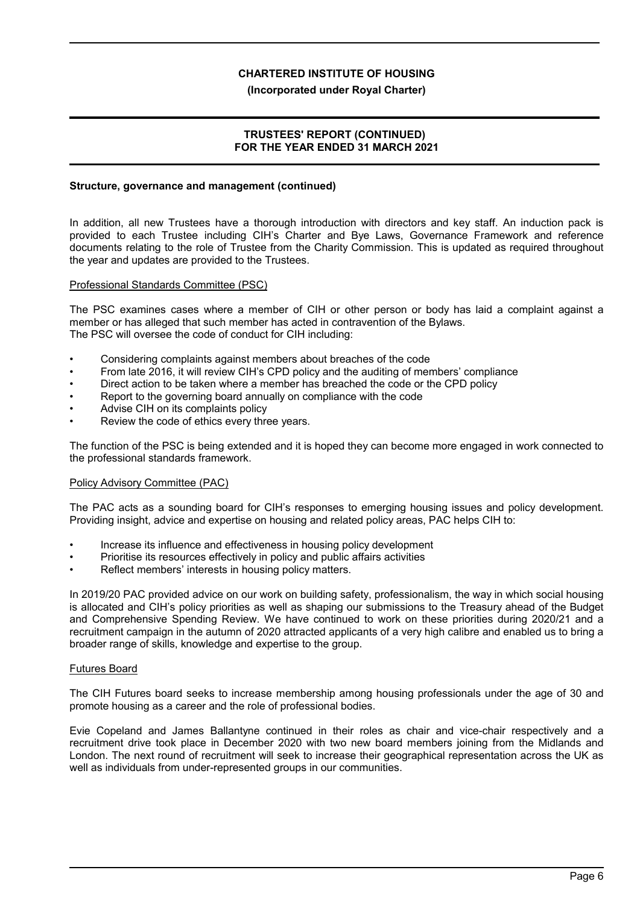#### **(Incorporated under Royal Charter)**

# **TRUSTEES' REPORT (CONTINUED) FOR THE YEAR ENDED 31 MARCH 2021**

### **Structure, governance and management (continued)**

In addition, all new Trustees have a thorough introduction with directors and key staff. An induction pack is provided to each Trustee including CIH's Charter and Bye Laws, Governance Framework and reference documents relating to the role of Trustee from the Charity Commission. This is updated as required throughout the year and updates are provided to the Trustees.

#### Professional Standards Committee (PSC)

The PSC examines cases where a member of CIH or other person or body has laid a complaint against a member or has alleged that such member has acted in contravention of the Bylaws. The PSC will oversee the code of conduct for CIH including:

- Considering complaints against members about breaches of the code
- From late 2016, it will review CIH's CPD policy and the auditing of members' compliance
- Direct action to be taken where a member has breached the code or the CPD policy
- Report to the governing board annually on compliance with the code
- Advise CIH on its complaints policy
- Review the code of ethics every three years.

The function of the PSC is being extended and it is hoped they can become more engaged in work connected to the professional standards framework.

#### Policy Advisory Committee (PAC)

The PAC acts as a sounding board for CIH's responses to emerging housing issues and policy development. Providing insight, advice and expertise on housing and related policy areas, PAC helps CIH to:

- Increase its influence and effectiveness in housing policy development
- Prioritise its resources effectively in policy and public affairs activities
- Reflect members' interests in housing policy matters.

In 2019/20 PAC provided advice on our work on building safety, professionalism, the way in which social housing is allocated and CIH's policy priorities as well as shaping our submissions to the Treasury ahead of the Budget and Comprehensive Spending Review. We have continued to work on these priorities during 2020/21 and a recruitment campaign in the autumn of 2020 attracted applicants of a very high calibre and enabled us to bring a broader range of skills, knowledge and expertise to the group.

#### Futures Board

The CIH Futures board seeks to increase membership among housing professionals under the age of 30 and promote housing as a career and the role of professional bodies.

Evie Copeland and James Ballantyne continued in their roles as chair and vice-chair respectively and a recruitment drive took place in December 2020 with two new board members joining from the Midlands and London. The next round of recruitment will seek to increase their geographical representation across the UK as well as individuals from under-represented groups in our communities.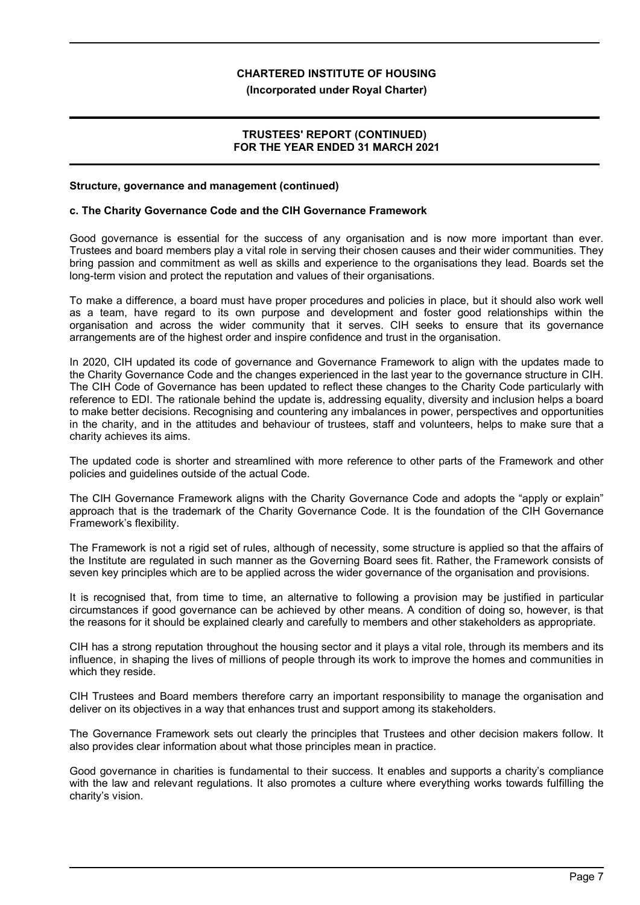#### **(Incorporated under Royal Charter)**

# **TRUSTEES' REPORT (CONTINUED) FOR THE YEAR ENDED 31 MARCH 2021**

#### **Structure, governance and management (continued)**

#### **c. The Charity Governance Code and the CIH Governance Framework**

Good governance is essential for the success of any organisation and is now more important than ever. Trustees and board members play a vital role in serving their chosen causes and their wider communities. They bring passion and commitment as well as skills and experience to the organisations they lead. Boards set the long-term vision and protect the reputation and values of their organisations.

To make a difference, a board must have proper procedures and policies in place, but it should also work well as a team, have regard to its own purpose and development and foster good relationships within the organisation and across the wider community that it serves. CIH seeks to ensure that its governance arrangements are of the highest order and inspire confidence and trust in the organisation.

In 2020, CIH updated its code of governance and Governance Framework to align with the updates made to the Charity Governance Code and the changes experienced in the last year to the governance structure in CIH. The CIH Code of Governance has been updated to reflect these changes to the Charity Code particularly with reference to EDI. The rationale behind the update is, addressing equality, diversity and inclusion helps a board to make better decisions. Recognising and countering any imbalances in power, perspectives and opportunities in the charity, and in the attitudes and behaviour of trustees, staff and volunteers, helps to make sure that a charity achieves its aims.

The updated code is shorter and streamlined with more reference to other parts of the Framework and other policies and guidelines outside of the actual Code.

The CIH Governance Framework aligns with the Charity Governance Code and adopts the "apply or explain" approach that is the trademark of the Charity Governance Code. It is the foundation of the CIH Governance Framework's flexibility.

The Framework is not a rigid set of rules, although of necessity, some structure is applied so that the affairs of the Institute are regulated in such manner as the Governing Board sees fit. Rather, the Framework consists of seven key principles which are to be applied across the wider governance of the organisation and provisions.

It is recognised that, from time to time, an alternative to following a provision may be justified in particular circumstances if good governance can be achieved by other means. A condition of doing so, however, is that the reasons for it should be explained clearly and carefully to members and other stakeholders as appropriate.

CIH has a strong reputation throughout the housing sector and it plays a vital role, through its members and its influence, in shaping the lives of millions of people through its work to improve the homes and communities in which they reside.

CIH Trustees and Board members therefore carry an important responsibility to manage the organisation and deliver on its objectives in a way that enhances trust and support among its stakeholders.

The Governance Framework sets out clearly the principles that Trustees and other decision makers follow. It also provides clear information about what those principles mean in practice.

Good governance in charities is fundamental to their success. It enables and supports a charity's compliance with the law and relevant regulations. It also promotes a culture where everything works towards fulfilling the charity's vision.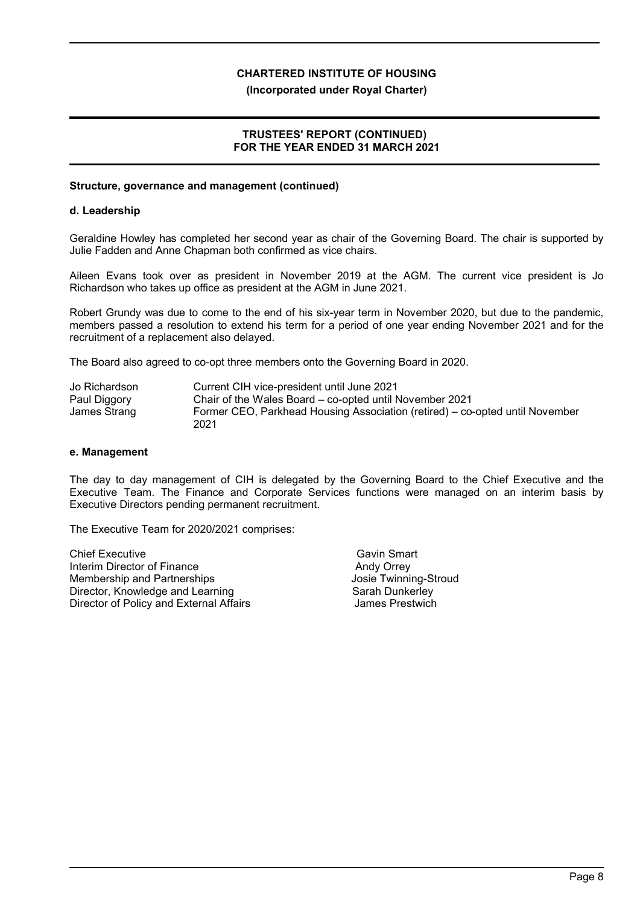## **(Incorporated under Royal Charter)**

# **TRUSTEES' REPORT (CONTINUED) FOR THE YEAR ENDED 31 MARCH 2021**

# **Structure, governance and management (continued)**

## **d. Leadership**

Geraldine Howley has completed her second year as chair of the Governing Board. The chair is supported by Julie Fadden and Anne Chapman both confirmed as vice chairs.

Aileen Evans took over as president in November 2019 at the AGM. The current vice president is Jo Richardson who takes up office as president at the AGM in June 2021.

Robert Grundy was due to come to the end of his six-year term in November 2020, but due to the pandemic, members passed a resolution to extend his term for a period of one year ending November 2021 and for the recruitment of a replacement also delayed.

The Board also agreed to co-opt three members onto the Governing Board in 2020.

| Jo Richardson | Current CIH vice-president until June 2021                                   |
|---------------|------------------------------------------------------------------------------|
| Paul Diggory  | Chair of the Wales Board – co-opted until November 2021                      |
| James Strang  | Former CEO, Parkhead Housing Association (retired) – co-opted until November |
|               | 2021                                                                         |

#### **e. Management**

The day to day management of CIH is delegated by the Governing Board to the Chief Executive and the Executive Team. The Finance and Corporate Services functions were managed on an interim basis by Executive Directors pending permanent recruitment.

The Executive Team for 2020/2021 comprises:

Chief Executive Chief Executive Gavin Smart Interim Director of Finance Andy Orrey Membership and Partnerships **Memberships** Josie Twinning-Stroud Director, Knowledge and Learning Sarah Dunkerley Director of Policy and External Affairs **Fig. 10. In the State State Prestwich**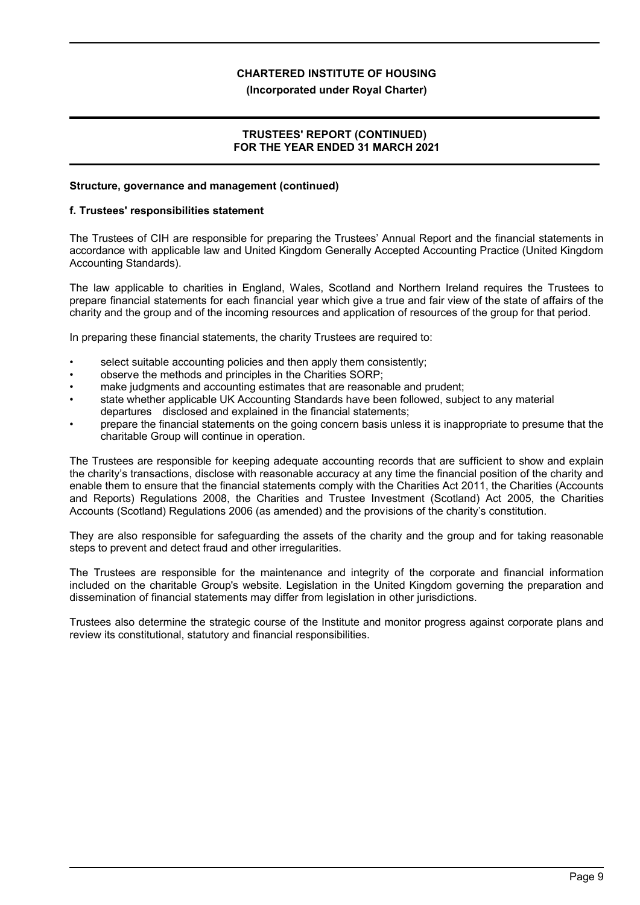## **(Incorporated under Royal Charter)**

# **TRUSTEES' REPORT (CONTINUED) FOR THE YEAR ENDED 31 MARCH 2021**

## **Structure, governance and management (continued)**

#### **f. Trustees' responsibilities statement**

The Trustees of CIH are responsible for preparing the Trustees' Annual Report and the financial statements in accordance with applicable law and United Kingdom Generally Accepted Accounting Practice (United Kingdom Accounting Standards).

The law applicable to charities in England, Wales, Scotland and Northern Ireland requires the Trustees to prepare financial statements for each financial year which give a true and fair view of the state of affairs of the charity and the group and of the incoming resources and application of resources of the group for that period.

In preparing these financial statements, the charity Trustees are required to:

- select suitable accounting policies and then apply them consistently;
- observe the methods and principles in the Charities SORP;
- make judgments and accounting estimates that are reasonable and prudent;
- state whether applicable UK Accounting Standards have been followed, subject to any material departures disclosed and explained in the financial statements;
- prepare the financial statements on the going concern basis unless it is inappropriate to presume that the charitable Group will continue in operation.

The Trustees are responsible for keeping adequate accounting records that are sufficient to show and explain the charity's transactions, disclose with reasonable accuracy at any time the financial position of the charity and enable them to ensure that the financial statements comply with the Charities Act 2011, the Charities (Accounts and Reports) Regulations 2008, the Charities and Trustee Investment (Scotland) Act 2005, the Charities Accounts (Scotland) Regulations 2006 (as amended) and the provisions of the charity's constitution.

They are also responsible for safeguarding the assets of the charity and the group and for taking reasonable steps to prevent and detect fraud and other irregularities.

The Trustees are responsible for the maintenance and integrity of the corporate and financial information included on the charitable Group's website. Legislation in the United Kingdom governing the preparation and dissemination of financial statements may differ from legislation in other jurisdictions.

Trustees also determine the strategic course of the Institute and monitor progress against corporate plans and review its constitutional, statutory and financial responsibilities.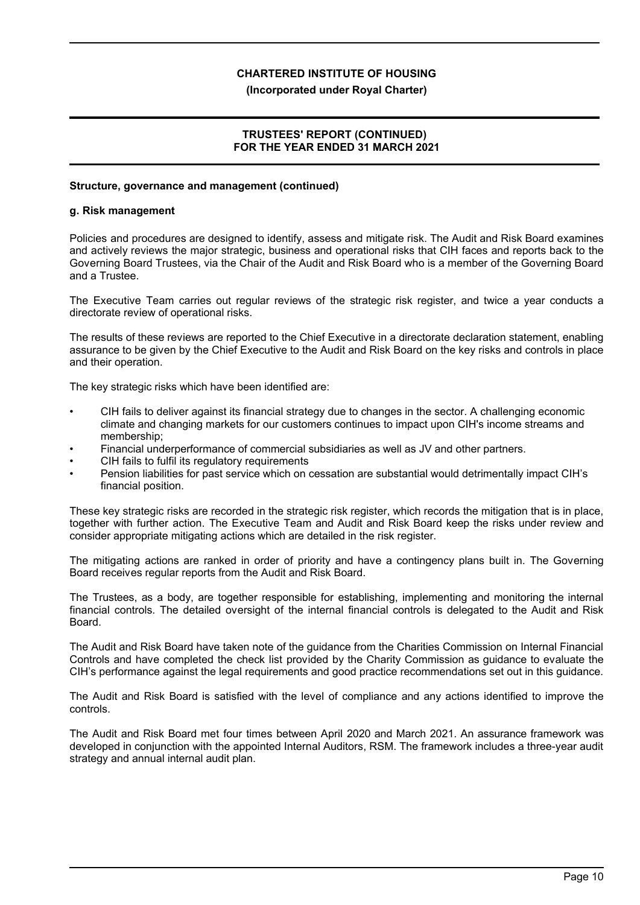## **(Incorporated under Royal Charter)**

# **TRUSTEES' REPORT (CONTINUED) FOR THE YEAR ENDED 31 MARCH 2021**

#### **Structure, governance and management (continued)**

#### **g. Risk management**

Policies and procedures are designed to identify, assess and mitigate risk. The Audit and Risk Board examines and actively reviews the major strategic, business and operational risks that CIH faces and reports back to the Governing Board Trustees, via the Chair of the Audit and Risk Board who is a member of the Governing Board and a Trustee.

The Executive Team carries out regular reviews of the strategic risk register, and twice a year conducts a directorate review of operational risks.

The results of these reviews are reported to the Chief Executive in a directorate declaration statement, enabling assurance to be given by the Chief Executive to the Audit and Risk Board on the key risks and controls in place and their operation.

The key strategic risks which have been identified are:

- CIH fails to deliver against its financial strategy due to changes in the sector. A challenging economic climate and changing markets for our customers continues to impact upon CIH's income streams and membership;
- Financial underperformance of commercial subsidiaries as well as JV and other partners.
- CIH fails to fulfil its regulatory requirements
- Pension liabilities for past service which on cessation are substantial would detrimentally impact CIH's financial position.

These key strategic risks are recorded in the strategic risk register, which records the mitigation that is in place, together with further action. The Executive Team and Audit and Risk Board keep the risks under review and consider appropriate mitigating actions which are detailed in the risk register.

The mitigating actions are ranked in order of priority and have a contingency plans built in. The Governing Board receives regular reports from the Audit and Risk Board.

The Trustees, as a body, are together responsible for establishing, implementing and monitoring the internal financial controls. The detailed oversight of the internal financial controls is delegated to the Audit and Risk Board.

The Audit and Risk Board have taken note of the guidance from the Charities Commission on Internal Financial Controls and have completed the check list provided by the Charity Commission as guidance to evaluate the CIH's performance against the legal requirements and good practice recommendations set out in this guidance.

The Audit and Risk Board is satisfied with the level of compliance and any actions identified to improve the controls.

The Audit and Risk Board met four times between April 2020 and March 2021. An assurance framework was developed in conjunction with the appointed Internal Auditors, RSM. The framework includes a three-year audit strategy and annual internal audit plan.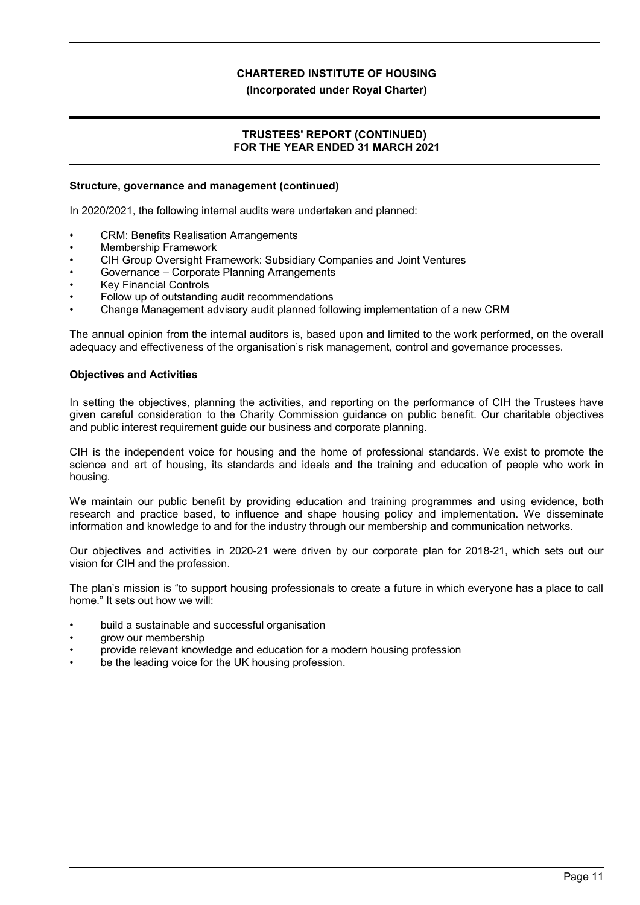## **(Incorporated under Royal Charter)**

# **TRUSTEES' REPORT (CONTINUED) FOR THE YEAR ENDED 31 MARCH 2021**

#### **Structure, governance and management (continued)**

In 2020/2021, the following internal audits were undertaken and planned:

- CRM: Benefits Realisation Arrangements
- Membership Framework
- CIH Group Oversight Framework: Subsidiary Companies and Joint Ventures
- Governance Corporate Planning Arrangements
- **Key Financial Controls**
- Follow up of outstanding audit recommendations
- Change Management advisory audit planned following implementation of a new CRM

The annual opinion from the internal auditors is, based upon and limited to the work performed, on the overall adequacy and effectiveness of the organisation's risk management, control and governance processes.

#### **Objectives and Activities**

In setting the objectives, planning the activities, and reporting on the performance of CIH the Trustees have given careful consideration to the Charity Commission guidance on public benefit. Our charitable objectives and public interest requirement guide our business and corporate planning.

CIH is the independent voice for housing and the home of professional standards. We exist to promote the science and art of housing, its standards and ideals and the training and education of people who work in housing.

We maintain our public benefit by providing education and training programmes and using evidence, both research and practice based, to influence and shape housing policy and implementation. We disseminate information and knowledge to and for the industry through our membership and communication networks.

Our objectives and activities in 2020-21 were driven by our corporate plan for 2018-21, which sets out our vision for CIH and the profession.

The plan's mission is "to support housing professionals to create a future in which everyone has a place to call home." It sets out how we will:

- build a sustainable and successful organisation
- grow our membership
- provide relevant knowledge and education for a modern housing profession
- be the leading voice for the UK housing profession.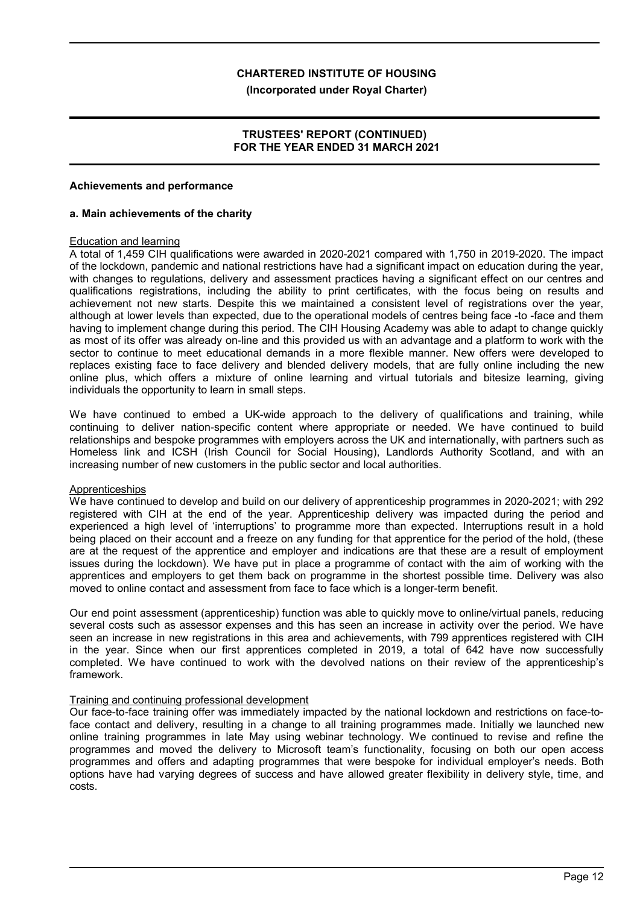#### **(Incorporated under Royal Charter)**

# **TRUSTEES' REPORT (CONTINUED) FOR THE YEAR ENDED 31 MARCH 2021**

#### **Achievements and performance**

#### **a. Main achievements of the charity**

#### Education and learning

A total of 1,459 CIH qualifications were awarded in 2020-2021 compared with 1,750 in 2019-2020. The impact of the lockdown, pandemic and national restrictions have had a significant impact on education during the year, with changes to regulations, delivery and assessment practices having a significant effect on our centres and qualifications registrations, including the ability to print certificates, with the focus being on results and achievement not new starts. Despite this we maintained a consistent level of registrations over the year, although at lower levels than expected, due to the operational models of centres being face -to -face and them having to implement change during this period. The CIH Housing Academy was able to adapt to change quickly as most of its offer was already on-line and this provided us with an advantage and a platform to work with the sector to continue to meet educational demands in a more flexible manner. New offers were developed to replaces existing face to face delivery and blended delivery models, that are fully online including the new online plus, which offers a mixture of online learning and virtual tutorials and bitesize learning, giving individuals the opportunity to learn in small steps.

We have continued to embed a UK-wide approach to the delivery of qualifications and training, while continuing to deliver nation-specific content where appropriate or needed. We have continued to build relationships and bespoke programmes with employers across the UK and internationally, with partners such as Homeless link and ICSH (Irish Council for Social Housing), Landlords Authority Scotland, and with an increasing number of new customers in the public sector and local authorities.

#### **Apprenticeships**

We have continued to develop and build on our delivery of apprenticeship programmes in 2020-2021; with 292 registered with CIH at the end of the year. Apprenticeship delivery was impacted during the period and experienced a high level of 'interruptions' to programme more than expected. Interruptions result in a hold being placed on their account and a freeze on any funding for that apprentice for the period of the hold, (these are at the request of the apprentice and employer and indications are that these are a result of employment issues during the lockdown). We have put in place a programme of contact with the aim of working with the apprentices and employers to get them back on programme in the shortest possible time. Delivery was also moved to online contact and assessment from face to face which is a longer-term benefit.

Our end point assessment (apprenticeship) function was able to quickly move to online/virtual panels, reducing several costs such as assessor expenses and this has seen an increase in activity over the period. We have seen an increase in new registrations in this area and achievements, with 799 apprentices registered with CIH in the year. Since when our first apprentices completed in 2019, a total of 642 have now successfully completed. We have continued to work with the devolved nations on their review of the apprenticeship's framework.

# Training and continuing professional development

Our face-to-face training offer was immediately impacted by the national lockdown and restrictions on face-toface contact and delivery, resulting in a change to all training programmes made. Initially we launched new online training programmes in late May using webinar technology. We continued to revise and refine the programmes and moved the delivery to Microsoft team's functionality, focusing on both our open access programmes and offers and adapting programmes that were bespoke for individual employer's needs. Both options have had varying degrees of success and have allowed greater flexibility in delivery style, time, and costs.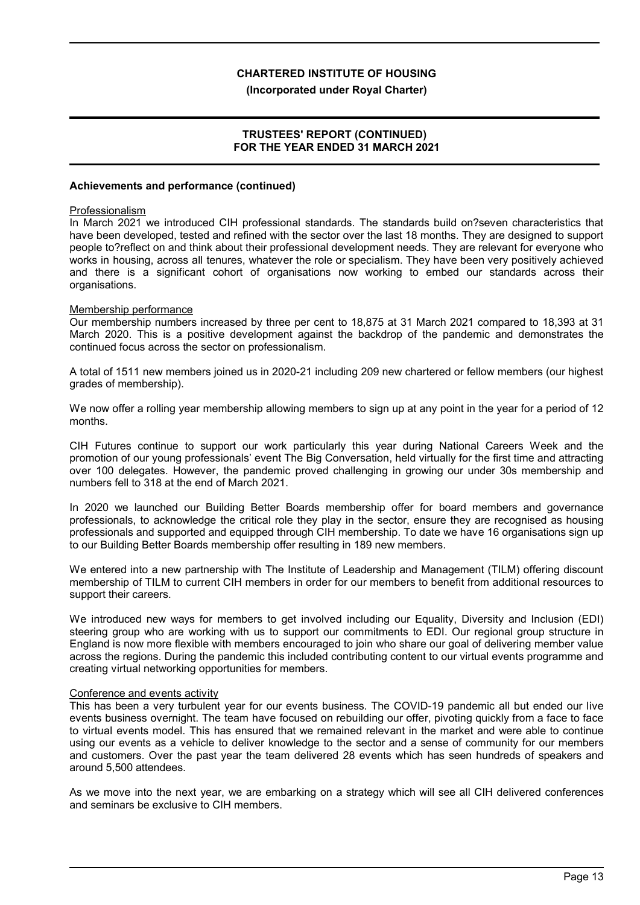#### **(Incorporated under Royal Charter)**

# **TRUSTEES' REPORT (CONTINUED) FOR THE YEAR ENDED 31 MARCH 2021**

#### **Achievements and performance (continued)**

#### Professionalism

In March 2021 we introduced CIH professional standards. The standards build on?seven characteristics that have been developed, tested and refined with the sector over the last 18 months. They are designed to support people to?reflect on and think about their professional development needs. They are relevant for everyone who works in housing, across all tenures, whatever the role or specialism. They have been very positively achieved and there is a significant cohort of organisations now working to embed our standards across their organisations.

#### Membership performance

Our membership numbers increased by three per cent to 18,875 at 31 March 2021 compared to 18,393 at 31 March 2020. This is a positive development against the backdrop of the pandemic and demonstrates the continued focus across the sector on professionalism.

A total of 1511 new members joined us in 2020-21 including 209 new chartered or fellow members (our highest grades of membership).

We now offer a rolling year membership allowing members to sign up at any point in the year for a period of 12 months.

CIH Futures continue to support our work particularly this year during National Careers Week and the promotion of our young professionals' event The Big Conversation, held virtually for the first time and attracting over 100 delegates. However, the pandemic proved challenging in growing our under 30s membership and numbers fell to 318 at the end of March 2021.

In 2020 we launched our Building Better Boards membership offer for board members and governance professionals, to acknowledge the critical role they play in the sector, ensure they are recognised as housing professionals and supported and equipped through CIH membership. To date we have 16 organisations sign up to our Building Better Boards membership offer resulting in 189 new members.

We entered into a new partnership with The Institute of Leadership and Management (TILM) offering discount membership of TILM to current CIH members in order for our members to benefit from additional resources to support their careers.

We introduced new ways for members to get involved including our Equality, Diversity and Inclusion (EDI) steering group who are working with us to support our commitments to EDI. Our regional group structure in England is now more flexible with members encouraged to join who share our goal of delivering member value across the regions. During the pandemic this included contributing content to our virtual events programme and creating virtual networking opportunities for members.

#### Conference and events activity

This has been a very turbulent year for our events business. The COVID-19 pandemic all but ended our live events business overnight. The team have focused on rebuilding our offer, pivoting quickly from a face to face to virtual events model. This has ensured that we remained relevant in the market and were able to continue using our events as a vehicle to deliver knowledge to the sector and a sense of community for our members and customers. Over the past year the team delivered 28 events which has seen hundreds of speakers and around 5,500 attendees.

As we move into the next year, we are embarking on a strategy which will see all CIH delivered conferences and seminars be exclusive to CIH members.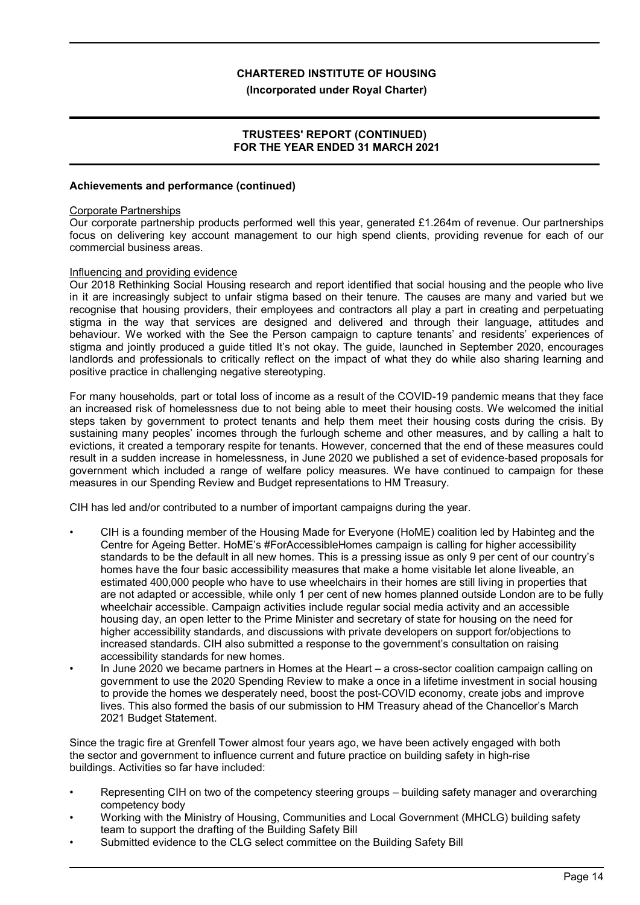#### **(Incorporated under Royal Charter)**

# **TRUSTEES' REPORT (CONTINUED) FOR THE YEAR ENDED 31 MARCH 2021**

## **Achievements and performance (continued)**

#### Corporate Partnerships

Our corporate partnership products performed well this year, generated £1.264m of revenue. Our partnerships focus on delivering key account management to our high spend clients, providing revenue for each of our commercial business areas.

#### Influencing and providing evidence

Our 2018 Rethinking Social Housing research and report identified that social housing and the people who live in it are increasingly subject to unfair stigma based on their tenure. The causes are many and varied but we recognise that housing providers, their employees and contractors all play a part in creating and perpetuating stigma in the way that services are designed and delivered and through their language, attitudes and behaviour. We worked with the See the Person campaign to capture tenants' and residents' experiences of stigma and jointly produced a guide titled It's not okay. The guide, launched in September 2020, encourages landlords and professionals to critically reflect on the impact of what they do while also sharing learning and positive practice in challenging negative stereotyping.

For many households, part or total loss of income as a result of the COVID-19 pandemic means that they face an increased risk of homelessness due to not being able to meet their housing costs. We welcomed the initial steps taken by government to protect tenants and help them meet their housing costs during the crisis. By sustaining many peoples' incomes through the furlough scheme and other measures, and by calling a halt to evictions, it created a temporary respite for tenants. However, concerned that the end of these measures could result in a sudden increase in homelessness, in June 2020 we published a set of evidence-based proposals for government which included a range of welfare policy measures. We have continued to campaign for these measures in our Spending Review and Budget representations to HM Treasury.

CIH has led and/or contributed to a number of important campaigns during the year.

- CIH is a founding member of the Housing Made for Everyone (HoME) coalition led by Habinteg and the Centre for Ageing Better. HoME's #ForAccessibleHomes campaign is calling for higher accessibility standards to be the default in all new homes. This is a pressing issue as only 9 per cent of our country's homes have the four basic accessibility measures that make a home visitable let alone liveable, an estimated 400,000 people who have to use wheelchairs in their homes are still living in properties that are not adapted or accessible, while only 1 per cent of new homes planned outside London are to be fully wheelchair accessible. Campaign activities include regular social media activity and an accessible housing day, an open letter to the Prime Minister and secretary of state for housing on the need for higher accessibility standards, and discussions with private developers on support for/objections to increased standards. CIH also submitted a response to the government's consultation on raising accessibility standards for new homes.
- In June 2020 we became partners in Homes at the Heart a cross-sector coalition campaign calling on government to use the 2020 Spending Review to make a once in a lifetime investment in social housing to provide the homes we desperately need, boost the post-COVID economy, create jobs and improve lives. This also formed the basis of our submission to HM Treasury ahead of the Chancellor's March 2021 Budget Statement.

Since the tragic fire at Grenfell Tower almost four years ago, we have been actively engaged with both the sector and government to influence current and future practice on building safety in high-rise buildings. Activities so far have included:

- Representing CIH on two of the competency steering groups building safety manager and overarching competency body
- Working with the Ministry of Housing, Communities and Local Government (MHCLG) building safety team to support the drafting of the Building Safety Bill
- Submitted evidence to the CLG select committee on the Building Safety Bill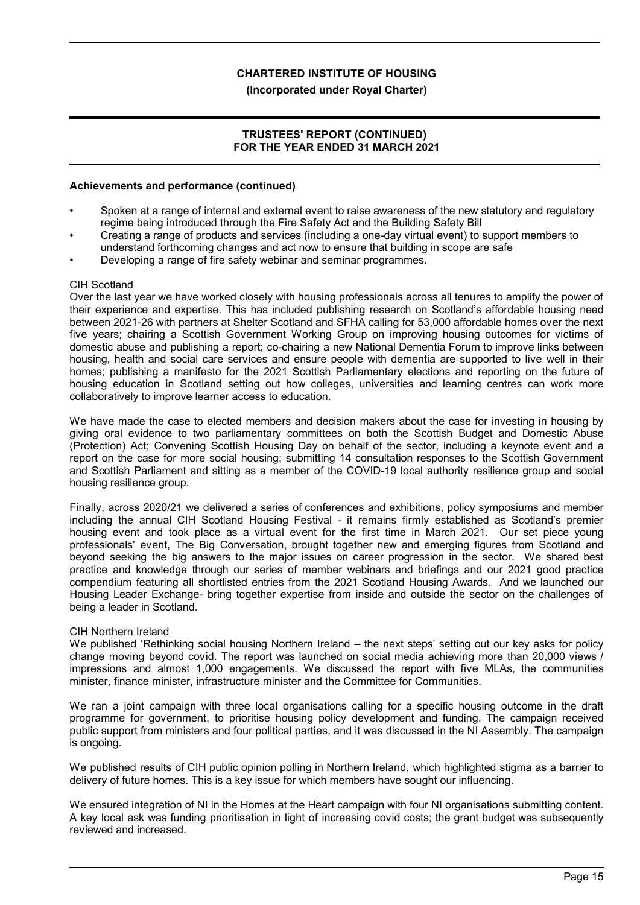# **(Incorporated under Royal Charter)**

# **TRUSTEES' REPORT (CONTINUED) FOR THE YEAR ENDED 31 MARCH 2021**

## **Achievements and performance (continued)**

- Spoken at a range of internal and external event to raise awareness of the new statutory and regulatory regime being introduced through the Fire Safety Act and the Building Safety Bill
- Creating a range of products and services (including a one-day virtual event) to support members to understand forthcoming changes and act now to ensure that building in scope are safe
- Developing a range of fire safety webinar and seminar programmes.

#### CIH Scotland

Over the last year we have worked closely with housing professionals across all tenures to amplify the power of their experience and expertise. This has included publishing research on Scotland's affordable housing need between 2021-26 with partners at Shelter Scotland and SFHA calling for 53,000 affordable homes over the next five years; chairing a Scottish Government Working Group on improving housing outcomes for victims of domestic abuse and publishing a report; co-chairing a new National Dementia Forum to improve links between housing, health and social care services and ensure people with dementia are supported to live well in their homes; publishing a manifesto for the 2021 Scottish Parliamentary elections and reporting on the future of housing education in Scotland setting out how colleges, universities and learning centres can work more collaboratively to improve learner access to education.

We have made the case to elected members and decision makers about the case for investing in housing by giving oral evidence to two parliamentary committees on both the Scottish Budget and Domestic Abuse (Protection) Act; Convening Scottish Housing Day on behalf of the sector, including a keynote event and a report on the case for more social housing; submitting 14 consultation responses to the Scottish Government and Scottish Parliament and sitting as a member of the COVID-19 local authority resilience group and social housing resilience group.

Finally, across 2020/21 we delivered a series of conferences and exhibitions, policy symposiums and member including the annual CIH Scotland Housing Festival - it remains firmly established as Scotland's premier housing event and took place as a virtual event for the first time in March 2021. Our set piece young professionals' event, The Big Conversation, brought together new and emerging figures from Scotland and beyond seeking the big answers to the major issues on career progression in the sector. We shared best practice and knowledge through our series of member webinars and briefings and our 2021 good practice compendium featuring all shortlisted entries from the 2021 Scotland Housing Awards. And we launched our Housing Leader Exchange- bring together expertise from inside and outside the sector on the challenges of being a leader in Scotland.

#### CIH Northern Ireland

We published 'Rethinking social housing Northern Ireland – the next steps' setting out our key asks for policy change moving beyond covid. The report was launched on social media achieving more than 20,000 views / impressions and almost 1,000 engagements. We discussed the report with five MLAs, the communities minister, finance minister, infrastructure minister and the Committee for Communities.

We ran a joint campaign with three local organisations calling for a specific housing outcome in the draft programme for government, to prioritise housing policy development and funding. The campaign received public support from ministers and four political parties, and it was discussed in the NI Assembly. The campaign is ongoing.

We published results of CIH public opinion polling in Northern Ireland, which highlighted stigma as a barrier to delivery of future homes. This is a key issue for which members have sought our influencing.

We ensured integration of NI in the Homes at the Heart campaign with four NI organisations submitting content. A key local ask was funding prioritisation in light of increasing covid costs; the grant budget was subsequently reviewed and increased.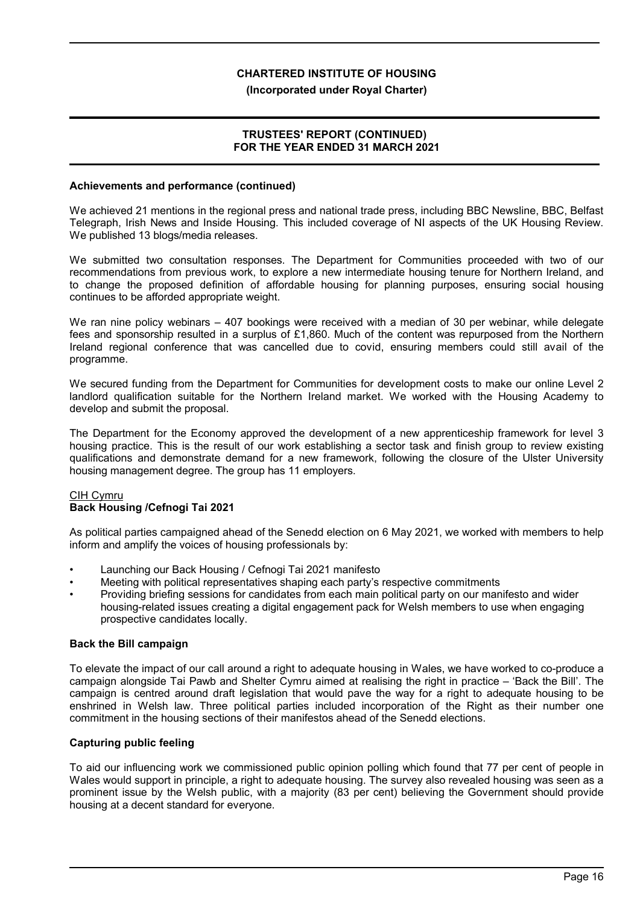## **(Incorporated under Royal Charter)**

# **TRUSTEES' REPORT (CONTINUED) FOR THE YEAR ENDED 31 MARCH 2021**

## **Achievements and performance (continued)**

We achieved 21 mentions in the regional press and national trade press, including BBC Newsline, BBC, Belfast Telegraph, Irish News and Inside Housing. This included coverage of NI aspects of the UK Housing Review. We published 13 blogs/media releases.

We submitted two consultation responses. The Department for Communities proceeded with two of our recommendations from previous work, to explore a new intermediate housing tenure for Northern Ireland, and to change the proposed definition of affordable housing for planning purposes, ensuring social housing continues to be afforded appropriate weight.

We ran nine policy webinars – 407 bookings were received with a median of 30 per webinar, while delegate fees and sponsorship resulted in a surplus of £1,860. Much of the content was repurposed from the Northern Ireland regional conference that was cancelled due to covid, ensuring members could still avail of the programme.

We secured funding from the Department for Communities for development costs to make our online Level 2 landlord qualification suitable for the Northern Ireland market. We worked with the Housing Academy to develop and submit the proposal.

The Department for the Economy approved the development of a new apprenticeship framework for level 3 housing practice. This is the result of our work establishing a sector task and finish group to review existing qualifications and demonstrate demand for a new framework, following the closure of the Ulster University housing management degree. The group has 11 employers.

# CIH Cymru **Back Housing /Cefnogi Tai 2021**

As political parties campaigned ahead of the Senedd election on 6 May 2021, we worked with members to help inform and amplify the voices of housing professionals by:

- Launching our Back Housing / Cefnogi Tai 2021 manifesto
- Meeting with political representatives shaping each party's respective commitments
- Providing briefing sessions for candidates from each main political party on our manifesto and wider housing-related issues creating a digital engagement pack for Welsh members to use when engaging prospective candidates locally.

# **Back the Bill campaign**

To elevate the impact of our call around a right to adequate housing in Wales, we have worked to co-produce a campaign alongside Tai Pawb and Shelter Cymru aimed at realising the right in practice – 'Back the Bill'. The campaign is centred around draft legislation that would pave the way for a right to adequate housing to be enshrined in Welsh law. Three political parties included incorporation of the Right as their number one commitment in the housing sections of their manifestos ahead of the Senedd elections.

# **Capturing public feeling**

To aid our influencing work we commissioned public opinion polling which found that 77 per cent of people in Wales would support in principle, a right to adequate housing. The survey also revealed housing was seen as a prominent issue by the Welsh public, with a majority (83 per cent) believing the Government should provide housing at a decent standard for everyone.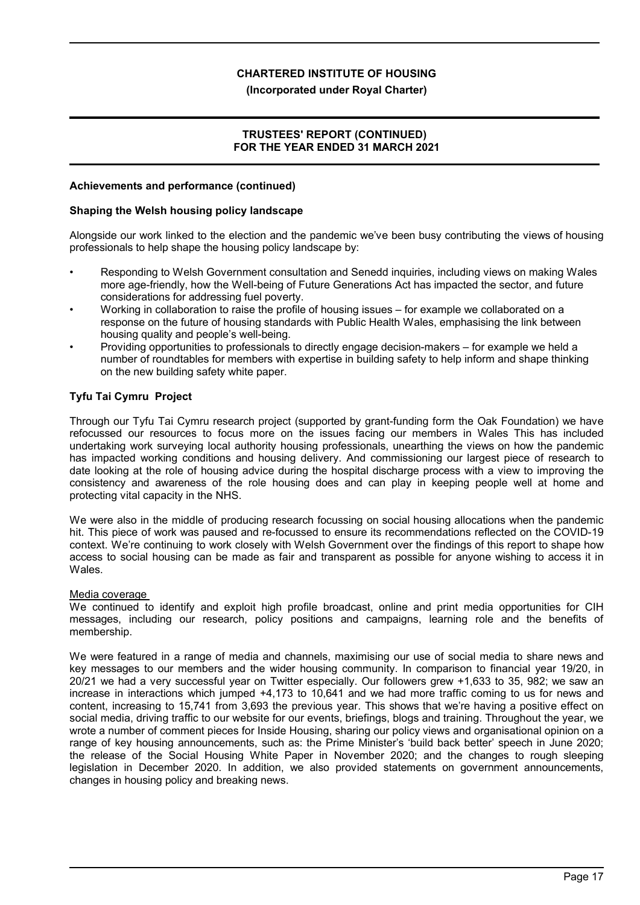# **(Incorporated under Royal Charter)**

# **TRUSTEES' REPORT (CONTINUED) FOR THE YEAR ENDED 31 MARCH 2021**

## **Achievements and performance (continued)**

## **Shaping the Welsh housing policy landscape**

Alongside our work linked to the election and the pandemic we've been busy contributing the views of housing professionals to help shape the housing policy landscape by:

- Responding to Welsh Government consultation and Senedd inquiries, including views on making Wales more age-friendly, how the Well-being of Future Generations Act has impacted the sector, and future considerations for addressing fuel poverty.
- Working in collaboration to raise the profile of housing issues for example we collaborated on a response on the future of housing standards with Public Health Wales, emphasising the link between housing quality and people's well-being.
- Providing opportunities to professionals to directly engage decision-makers for example we held a number of roundtables for members with expertise in building safety to help inform and shape thinking on the new building safety white paper.

# **Tyfu Tai Cymru Project**

Through our Tyfu Tai Cymru research project (supported by grant-funding form the Oak Foundation) we have refocussed our resources to focus more on the issues facing our members in Wales This has included undertaking work surveying local authority housing professionals, unearthing the views on how the pandemic has impacted working conditions and housing delivery. And commissioning our largest piece of research to date looking at the role of housing advice during the hospital discharge process with a view to improving the consistency and awareness of the role housing does and can play in keeping people well at home and protecting vital capacity in the NHS.

We were also in the middle of producing research focussing on social housing allocations when the pandemic hit. This piece of work was paused and re-focussed to ensure its recommendations reflected on the COVID-19 context. We're continuing to work closely with Welsh Government over the findings of this report to shape how access to social housing can be made as fair and transparent as possible for anyone wishing to access it in Wales.

# Media coverage

We continued to identify and exploit high profile broadcast, online and print media opportunities for CIH messages, including our research, policy positions and campaigns, learning role and the benefits of membership.

We were featured in a range of media and channels, maximising our use of social media to share news and key messages to our members and the wider housing community. In comparison to financial year 19/20, in 20/21 we had a very successful year on Twitter especially. Our followers grew +1,633 to 35, 982; we saw an increase in interactions which jumped +4,173 to 10,641 and we had more traffic coming to us for news and content, increasing to 15,741 from 3,693 the previous year. This shows that we're having a positive effect on social media, driving traffic to our website for our events, briefings, blogs and training. Throughout the year, we wrote a number of comment pieces for Inside Housing, sharing our policy views and organisational opinion on a range of key housing announcements, such as: the Prime Minister's 'build back better' speech in June 2020; the release of the Social Housing White Paper in November 2020; and the changes to rough sleeping legislation in December 2020. In addition, we also provided statements on government announcements, changes in housing policy and breaking news.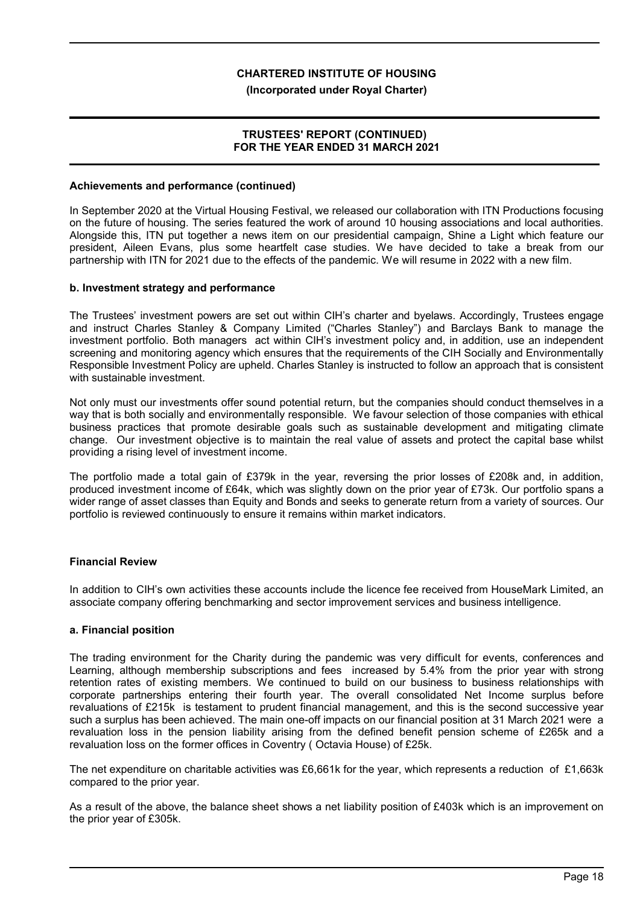## **(Incorporated under Royal Charter)**

# **TRUSTEES' REPORT (CONTINUED) FOR THE YEAR ENDED 31 MARCH 2021**

## **Achievements and performance (continued)**

In September 2020 at the Virtual Housing Festival, we released our collaboration with ITN Productions focusing on the future of housing. The series featured the work of around 10 housing associations and local authorities. Alongside this, ITN put together a news item on our presidential campaign, Shine a Light which feature our president, Aileen Evans, plus some heartfelt case studies. We have decided to take a break from our partnership with ITN for 2021 due to the effects of the pandemic. We will resume in 2022 with a new film.

#### **b. Investment strategy and performance**

The Trustees' investment powers are set out within CIH's charter and byelaws. Accordingly, Trustees engage and instruct Charles Stanley & Company Limited ("Charles Stanley") and Barclays Bank to manage the investment portfolio. Both managers act within CIH's investment policy and, in addition, use an independent screening and monitoring agency which ensures that the requirements of the CIH Socially and Environmentally Responsible Investment Policy are upheld. Charles Stanley is instructed to follow an approach that is consistent with sustainable investment.

Not only must our investments offer sound potential return, but the companies should conduct themselves in a way that is both socially and environmentally responsible. We favour selection of those companies with ethical business practices that promote desirable goals such as sustainable development and mitigating climate change. Our investment objective is to maintain the real value of assets and protect the capital base whilst providing a rising level of investment income.

The portfolio made a total gain of £379k in the year, reversing the prior losses of £208k and, in addition, produced investment income of £64k, which was slightly down on the prior year of £73k. Our portfolio spans a wider range of asset classes than Equity and Bonds and seeks to generate return from a variety of sources. Our portfolio is reviewed continuously to ensure it remains within market indicators.

# **Financial Review**

In addition to CIH's own activities these accounts include the licence fee received from HouseMark Limited, an associate company offering benchmarking and sector improvement services and business intelligence.

# **a. Financial position**

The trading environment for the Charity during the pandemic was very difficult for events, conferences and Learning, although membership subscriptions and fees increased by 5.4% from the prior year with strong retention rates of existing members. We continued to build on our business to business relationships with corporate partnerships entering their fourth year. The overall consolidated Net Income surplus before revaluations of £215k is testament to prudent financial management, and this is the second successive year such a surplus has been achieved. The main one-off impacts on our financial position at 31 March 2021 were a revaluation loss in the pension liability arising from the defined benefit pension scheme of £265k and a revaluation loss on the former offices in Coventry ( Octavia House) of £25k.

The net expenditure on charitable activities was £6,661k for the year, which represents a reduction of £1,663k compared to the prior year.

As a result of the above, the balance sheet shows a net liability position of £403k which is an improvement on the prior year of £305k.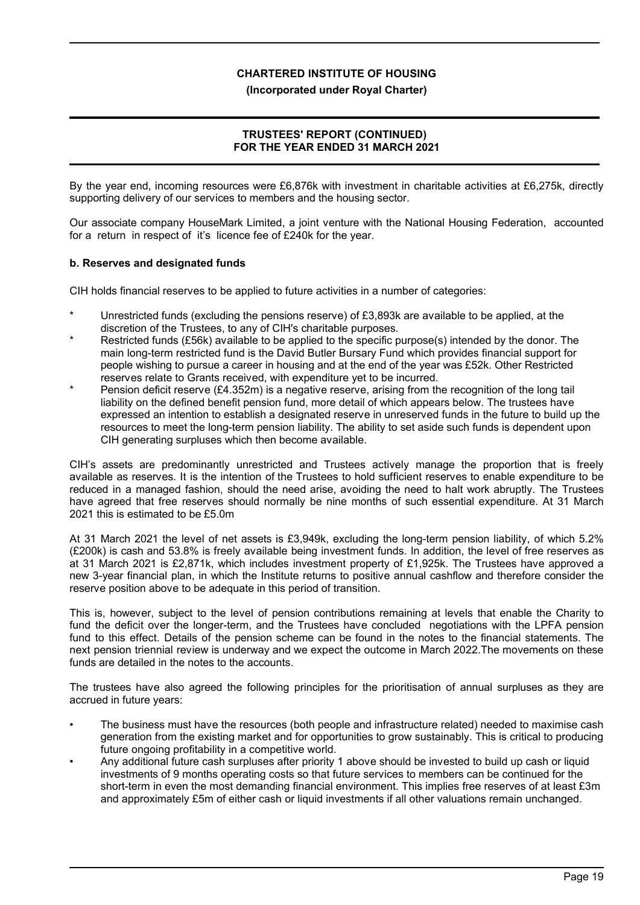# **(Incorporated under Royal Charter)**

# **TRUSTEES' REPORT (CONTINUED) FOR THE YEAR ENDED 31 MARCH 2021**

By the year end, incoming resources were £6,876k with investment in charitable activities at £6,275k, directly supporting delivery of our services to members and the housing sector.

Our associate company HouseMark Limited, a joint venture with the National Housing Federation, accounted for a return in respect of it's licence fee of £240k for the year.

# **b. Reserves and designated funds**

CIH holds financial reserves to be applied to future activities in a number of categories:

- Unrestricted funds (excluding the pensions reserve) of £3,893k are available to be applied, at the discretion of the Trustees, to any of CIH's charitable purposes.
- Restricted funds (£56k) available to be applied to the specific purpose(s) intended by the donor. The main long-term restricted fund is the David Butler Bursary Fund which provides financial support for people wishing to pursue a career in housing and at the end of the year was £52k. Other Restricted reserves relate to Grants received, with expenditure yet to be incurred.
- Pension deficit reserve (£4.352m) is a negative reserve, arising from the recognition of the long tail liability on the defined benefit pension fund, more detail of which appears below. The trustees have expressed an intention to establish a designated reserve in unreserved funds in the future to build up the resources to meet the long-term pension liability. The ability to set aside such funds is dependent upon CIH generating surpluses which then become available.

CIH's assets are predominantly unrestricted and Trustees actively manage the proportion that is freely available as reserves. It is the intention of the Trustees to hold sufficient reserves to enable expenditure to be reduced in a managed fashion, should the need arise, avoiding the need to halt work abruptly. The Trustees have agreed that free reserves should normally be nine months of such essential expenditure. At 31 March 2021 this is estimated to be £5.0m

At 31 March 2021 the level of net assets is £3,949k, excluding the long-term pension liability, of which 5.2% (£200k) is cash and 53.8% is freely available being investment funds. In addition, the level of free reserves as at 31 March 2021 is £2,871k, which includes investment property of £1,925k. The Trustees have approved a new 3-year financial plan, in which the Institute returns to positive annual cashflow and therefore consider the reserve position above to be adequate in this period of transition.

This is, however, subject to the level of pension contributions remaining at levels that enable the Charity to fund the deficit over the longer-term, and the Trustees have concluded negotiations with the LPFA pension fund to this effect. Details of the pension scheme can be found in the notes to the financial statements. The next pension triennial review is underway and we expect the outcome in March 2022.The movements on these funds are detailed in the notes to the accounts.

The trustees have also agreed the following principles for the prioritisation of annual surpluses as they are accrued in future years:

- The business must have the resources (both people and infrastructure related) needed to maximise cash generation from the existing market and for opportunities to grow sustainably. This is critical to producing future ongoing profitability in a competitive world.
- Any additional future cash surpluses after priority 1 above should be invested to build up cash or liquid investments of 9 months operating costs so that future services to members can be continued for the short-term in even the most demanding financial environment. This implies free reserves of at least £3m and approximately £5m of either cash or liquid investments if all other valuations remain unchanged.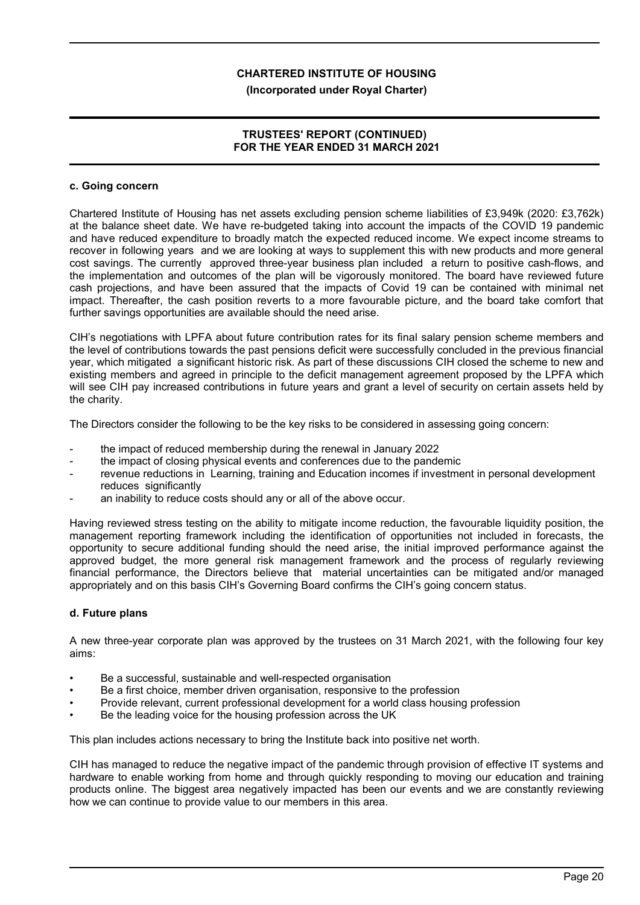## **(Incorporated under Royal Charter)**

# **TRUSTEES' REPORT (CONTINUED) FOR THE YEAR ENDED 31 MARCH 2021**

#### **c. Going concern**

Chartered Institute of Housing has net assets excluding pension scheme liabilities of £3,949k (2020: £3,762k) at the balance sheet date. We have re-budgeted taking into account the impacts of the COVID 19 pandemic and have reduced expenditure to broadly match the expected reduced income. We expect income streams to recover in following years and we are looking at ways to supplement this with new products and more general cost savings. The currently approved three-year business plan included a return to positive cash-flows, and the implementation and outcomes of the plan will be vigorously monitored. The board have reviewed future cash projections, and have been assured that the impacts of Covid 19 can be contained with minimal net impact. Thereafter, the cash position reverts to a more favourable picture, and the board take comfort that further savings opportunities are available should the need arise.

CIH's negotiations with LPFA about future contribution rates for its final salary pension scheme members and the level of contributions towards the past pensions deficit were successfully concluded in the previous financial year, which mitigated a significant historic risk. As part of these discussions CIH closed the scheme to new and existing members and agreed in principle to the deficit management agreement proposed by the LPFA which will see CIH pay increased contributions in future years and grant a level of security on certain assets held by the charity.

The Directors consider the following to be the key risks to be considered in assessing going concern:

- the impact of reduced membership during the renewal in January 2022
- the impact of closing physical events and conferences due to the pandemic
- revenue reductions in Learning, training and Education incomes if investment in personal development reduces significantly
- an inability to reduce costs should any or all of the above occur.

Having reviewed stress testing on the ability to mitigate income reduction, the favourable liquidity position, the management reporting framework including the identification of opportunities not included in forecasts, the opportunity to secure additional funding should the need arise, the initial improved performance against the approved budget, the more general risk management framework and the process of regularly reviewing financial performance, the Directors believe that material uncertainties can be mitigated and/or managed appropriately and on this basis CIH's Governing Board confirms the CIH's going concern status.

# **d. Future plans**

A new three-year corporate plan was approved by the trustees on 31 March 2021, with the following four key aims:

- Be a successful, sustainable and well-respected organisation
- Be a first choice, member driven organisation, responsive to the profession
- Provide relevant, current professional development for a world class housing profession
- Be the leading voice for the housing profession across the UK

This plan includes actions necessary to bring the Institute back into positive net worth.

CIH has managed to reduce the negative impact of the pandemic through provision of effective IT systems and hardware to enable working from home and through quickly responding to moving our education and training products online. The biggest area negatively impacted has been our events and we are constantly reviewing how we can continue to provide value to our members in this area.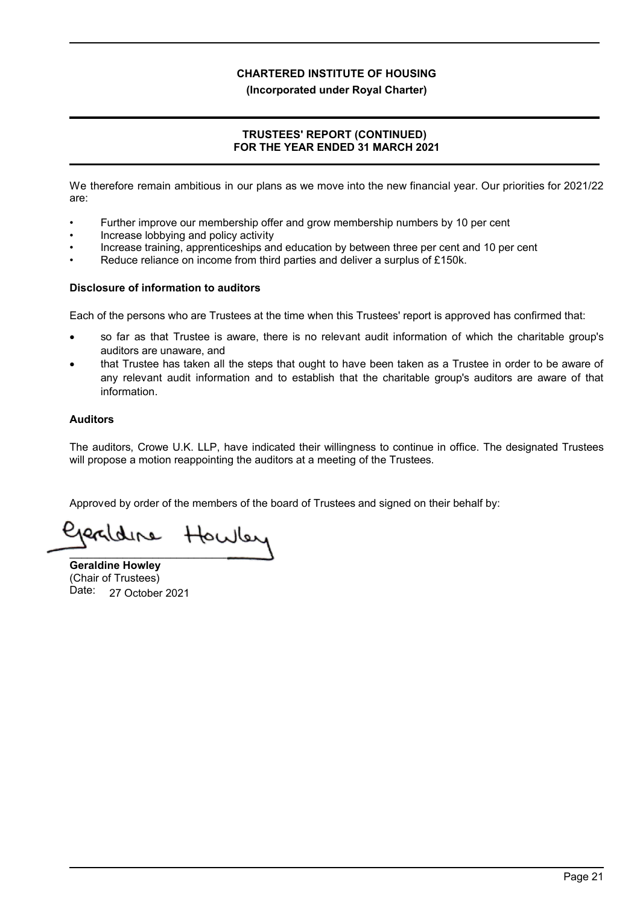# **(Incorporated under Royal Charter)**

# **TRUSTEES' REPORT (CONTINUED) FOR THE YEAR ENDED 31 MARCH 2021**

We therefore remain ambitious in our plans as we move into the new financial year. Our priorities for 2021/22 are:

- Further improve our membership offer and grow membership numbers by 10 per cent
- Increase lobbying and policy activity
- Increase training, apprenticeships and education by between three per cent and 10 per cent
- Reduce reliance on income from third parties and deliver a surplus of £150k.

# **Disclosure of information to auditors**

Each of the persons who are Trustees at the time when this Trustees' report is approved has confirmed that:

- so far as that Trustee is aware, there is no relevant audit information of which the charitable group's auditors are unaware, and
- that Trustee has taken all the steps that ought to have been taken as a Trustee in order to be aware of any relevant audit information and to establish that the charitable group's auditors are aware of that information.

# **Auditors**

The auditors, Crowe U.K. LLP, have indicated their willingness to continue in office. The designated Trustees will propose a motion reappointing the auditors at a meeting of the Trustees.

Approved by order of the members of the board of Trustees and signed on their behalf by:

Howley dere \_\_\_\_\_\_\_\_\_\_\_\_\_\_\_\_\_\_\_\_\_\_\_\_\_\_\_

**Geraldine Howley** (Chair of Trustees) Date: 27 October 2021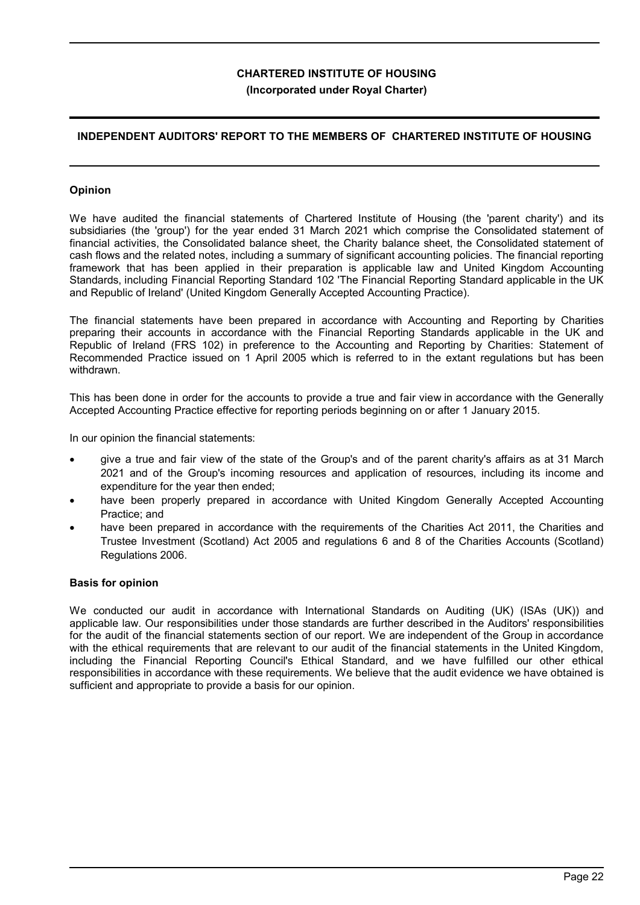# **INDEPENDENT AUDITORS' REPORT TO THE MEMBERS OF CHARTERED INSTITUTE OF HOUSING**

# **Opinion**

We have audited the financial statements of Chartered Institute of Housing (the 'parent charity') and its subsidiaries (the 'group') for the year ended 31 March 2021 which comprise the Consolidated statement of financial activities, the Consolidated balance sheet, the Charity balance sheet, the Consolidated statement of cash flows and the related notes, including a summary of significant accounting policies. The financial reporting framework that has been applied in their preparation is applicable law and United Kingdom Accounting Standards, including Financial Reporting Standard 102 'The Financial Reporting Standard applicable in the UK and Republic of Ireland' (United Kingdom Generally Accepted Accounting Practice).

The financial statements have been prepared in accordance with Accounting and Reporting by Charities preparing their accounts in accordance with the Financial Reporting Standards applicable in the UK and Republic of Ireland (FRS 102) in preference to the Accounting and Reporting by Charities: Statement of Recommended Practice issued on 1 April 2005 which is referred to in the extant regulations but has been withdrawn.

This has been done in order for the accounts to provide a true and fair view in accordance with the Generally Accepted Accounting Practice effective for reporting periods beginning on or after 1 January 2015.

In our opinion the financial statements:

- give a true and fair view of the state of the Group's and of the parent charity's affairs as at 31 March 2021 and of the Group's incoming resources and application of resources, including its income and expenditure for the year then ended;
- have been properly prepared in accordance with United Kingdom Generally Accepted Accounting Practice; and
- have been prepared in accordance with the requirements of the Charities Act 2011, the Charities and Trustee Investment (Scotland) Act 2005 and regulations 6 and 8 of the Charities Accounts (Scotland) Regulations 2006.

# **Basis for opinion**

We conducted our audit in accordance with International Standards on Auditing (UK) (ISAs (UK)) and applicable law. Our responsibilities under those standards are further described in the Auditors' responsibilities for the audit of the financial statements section of our report. We are independent of the Group in accordance with the ethical requirements that are relevant to our audit of the financial statements in the United Kingdom, including the Financial Reporting Council's Ethical Standard, and we have fulfilled our other ethical responsibilities in accordance with these requirements. We believe that the audit evidence we have obtained is sufficient and appropriate to provide a basis for our opinion.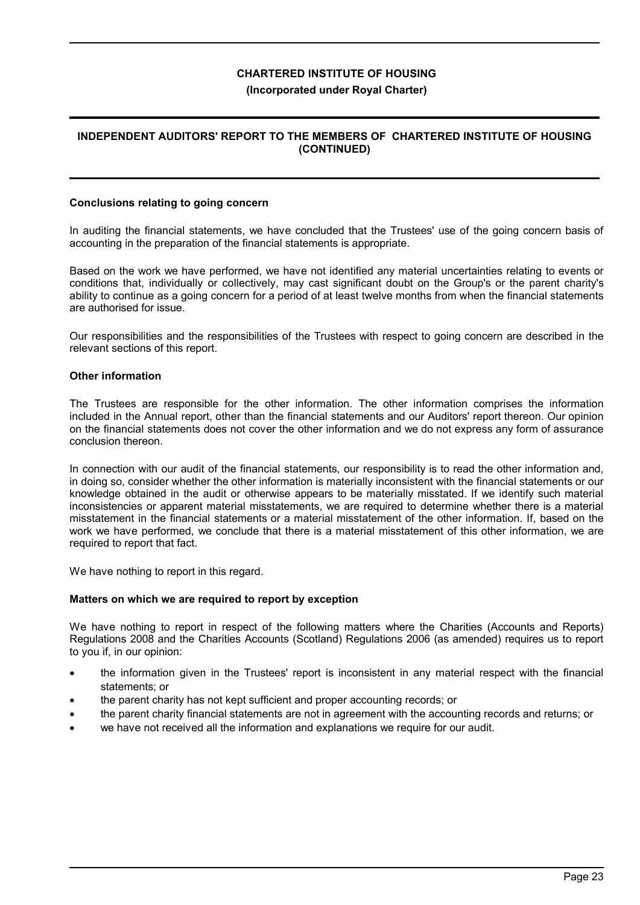# **INDEPENDENT AUDITORS' REPORT TO THE MEMBERS OF CHARTERED INSTITUTE OF HOUSING (CONTINUED)**

#### **Conclusions relating to going concern**

In auditing the financial statements, we have concluded that the Trustees' use of the going concern basis of accounting in the preparation of the financial statements is appropriate.

Based on the work we have performed, we have not identified any material uncertainties relating to events or conditions that, individually or collectively, may cast significant doubt on the Group's or the parent charity's ability to continue as a going concern for a period of at least twelve months from when the financial statements are authorised for issue.

Our responsibilities and the responsibilities of the Trustees with respect to going concern are described in the relevant sections of this report.

## **Other information**

The Trustees are responsible for the other information. The other information comprises the information included in the Annual report, other than the financial statements and our Auditors' report thereon. Our opinion on the financial statements does not cover the other information and we do not express any form of assurance conclusion thereon.

In connection with our audit of the financial statements, our responsibility is to read the other information and, in doing so, consider whether the other information is materially inconsistent with the financial statements or our knowledge obtained in the audit or otherwise appears to be materially misstated. If we identify such material inconsistencies or apparent material misstatements, we are required to determine whether there is a material misstatement in the financial statements or a material misstatement of the other information. If, based on the work we have performed, we conclude that there is a material misstatement of this other information, we are required to report that fact.

We have nothing to report in this regard.

#### **Matters on which we are required to report by exception**

We have nothing to report in respect of the following matters where the Charities (Accounts and Reports) Regulations 2008 and the Charities Accounts (Scotland) Regulations 2006 (as amended) requires us to report to you if, in our opinion:

- the information given in the Trustees' report is inconsistent in any material respect with the financial statements; or
- the parent charity has not kept sufficient and proper accounting records; or
- the parent charity financial statements are not in agreement with the accounting records and returns; or
- we have not received all the information and explanations we require for our audit.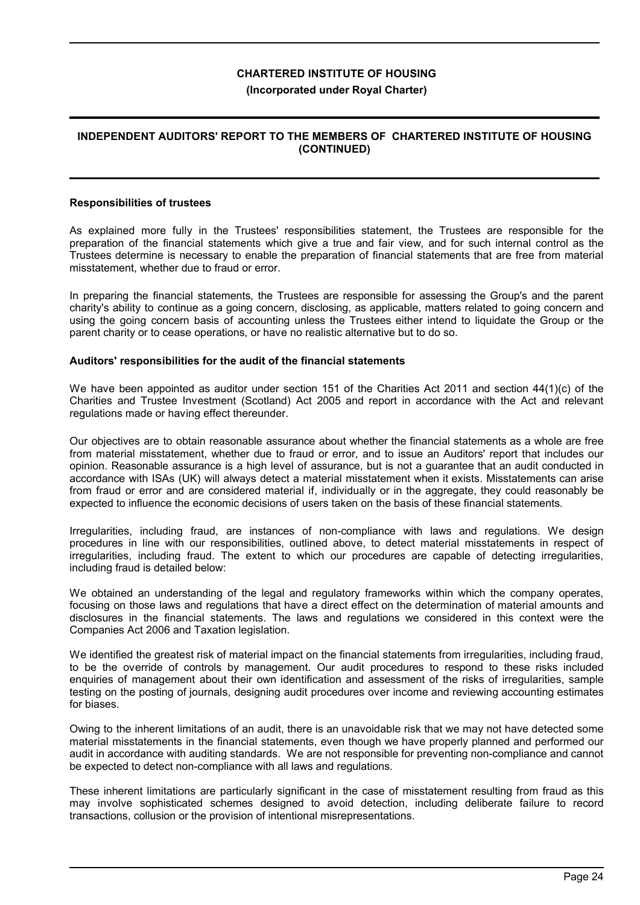# **INDEPENDENT AUDITORS' REPORT TO THE MEMBERS OF CHARTERED INSTITUTE OF HOUSING (CONTINUED)**

#### **Responsibilities of trustees**

As explained more fully in the Trustees' responsibilities statement, the Trustees are responsible for the preparation of the financial statements which give a true and fair view, and for such internal control as the Trustees determine is necessary to enable the preparation of financial statements that are free from material misstatement, whether due to fraud or error.

In preparing the financial statements, the Trustees are responsible for assessing the Group's and the parent charity's ability to continue as a going concern, disclosing, as applicable, matters related to going concern and using the going concern basis of accounting unless the Trustees either intend to liquidate the Group or the parent charity or to cease operations, or have no realistic alternative but to do so.

#### **Auditors' responsibilities for the audit of the financial statements**

We have been appointed as auditor under section 151 of the Charities Act 2011 and section 44(1)(c) of the Charities and Trustee Investment (Scotland) Act 2005 and report in accordance with the Act and relevant regulations made or having effect thereunder.

Our objectives are to obtain reasonable assurance about whether the financial statements as a whole are free from material misstatement, whether due to fraud or error, and to issue an Auditors' report that includes our opinion. Reasonable assurance is a high level of assurance, but is not a guarantee that an audit conducted in accordance with ISAs (UK) will always detect a material misstatement when it exists. Misstatements can arise from fraud or error and are considered material if, individually or in the aggregate, they could reasonably be expected to influence the economic decisions of users taken on the basis of these financial statements.

Irregularities, including fraud, are instances of non-compliance with laws and regulations. We design procedures in line with our responsibilities, outlined above, to detect material misstatements in respect of irregularities, including fraud. The extent to which our procedures are capable of detecting irregularities, including fraud is detailed below:

We obtained an understanding of the legal and regulatory frameworks within which the company operates, focusing on those laws and regulations that have a direct effect on the determination of material amounts and disclosures in the financial statements. The laws and regulations we considered in this context were the Companies Act 2006 and Taxation legislation.

We identified the greatest risk of material impact on the financial statements from irregularities, including fraud, to be the override of controls by management. Our audit procedures to respond to these risks included enquiries of management about their own identification and assessment of the risks of irregularities, sample testing on the posting of journals, designing audit procedures over income and reviewing accounting estimates for biases.

Owing to the inherent limitations of an audit, there is an unavoidable risk that we may not have detected some material misstatements in the financial statements, even though we have properly planned and performed our audit in accordance with auditing standards. We are not responsible for preventing non-compliance and cannot be expected to detect non-compliance with all laws and regulations.

These inherent limitations are particularly significant in the case of misstatement resulting from fraud as this may involve sophisticated schemes designed to avoid detection, including deliberate failure to record transactions, collusion or the provision of intentional misrepresentations.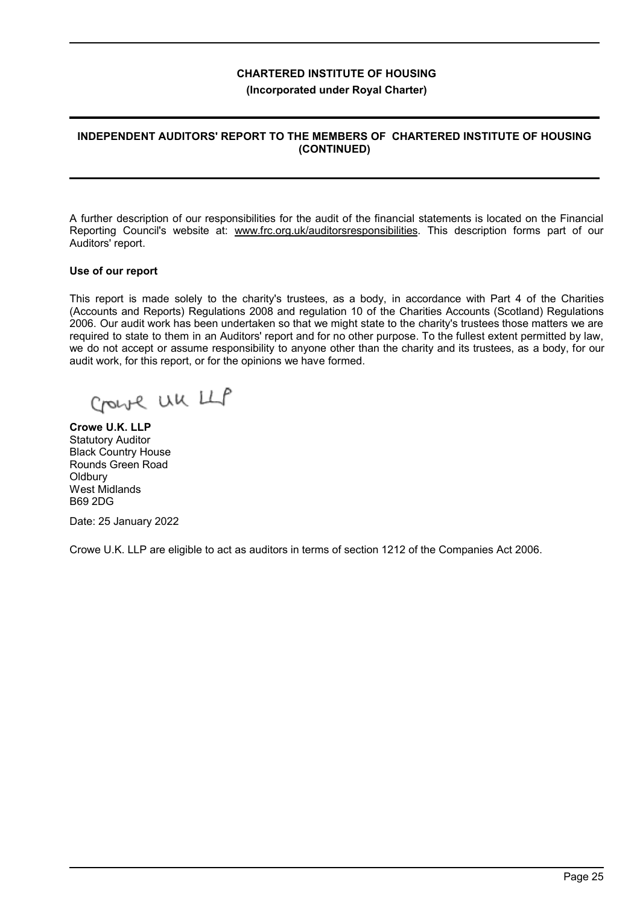# **INDEPENDENT AUDITORS' REPORT TO THE MEMBERS OF CHARTERED INSTITUTE OF HOUSING (CONTINUED)**

A further description of our responsibilities for the audit of the financial statements is located on the Financial Reporting Council's website at: www.frc.org.uk/auditorsresponsibilities. This description forms part of our Auditors' report.

#### **Use of our report**

This report is made solely to the charity's trustees, as a body, in accordance with Part 4 of the Charities (Accounts and Reports) Regulations 2008 and regulation 10 of the Charities Accounts (Scotland) Regulations 2006. Our audit work has been undertaken so that we might state to the charity's trustees those matters we are required to state to them in an Auditors' report and for no other purpose. To the fullest extent permitted by law, we do not accept or assume responsibility to anyone other than the charity and its trustees, as a body, for our audit work, for this report, or for the opinions we have formed.

Crowle UK LLP

**Crowe U.K. LLP** Statutory Auditor Black Country House Rounds Green Road **Oldbury** West Midlands B69 2DG

Date: 25 January 2022

Crowe U.K. LLP are eligible to act as auditors in terms of section 1212 of the Companies Act 2006.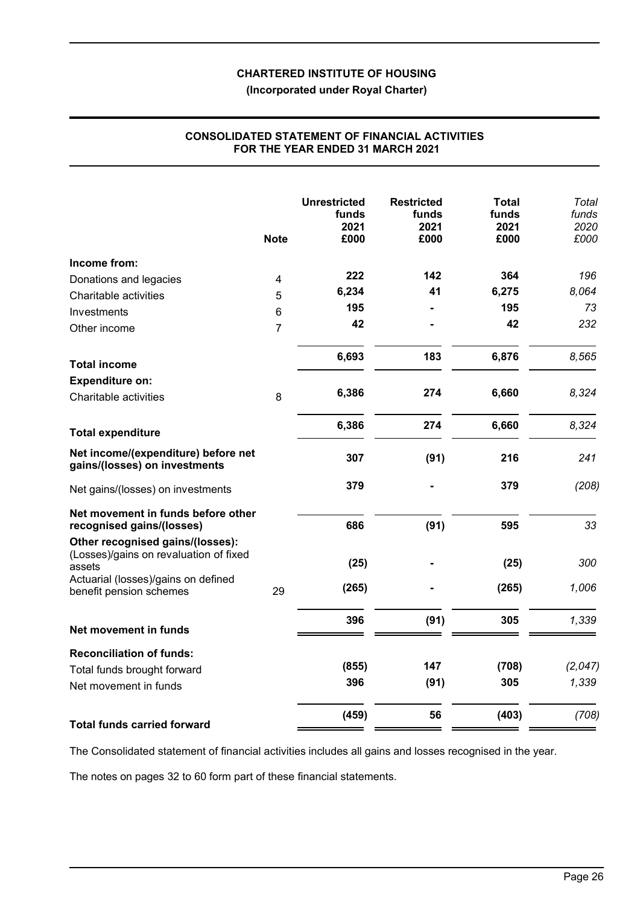**(Incorporated under Royal Charter)**

|                                                                                      | <b>Note</b>             | <b>Unrestricted</b><br>funds<br>2021<br>£000 | <b>Restricted</b><br>funds<br>2021<br>£000 | Total<br>funds<br>2021<br>£000 | Total<br>funds<br>2020<br>£000 |
|--------------------------------------------------------------------------------------|-------------------------|----------------------------------------------|--------------------------------------------|--------------------------------|--------------------------------|
| Income from:                                                                         |                         |                                              |                                            |                                |                                |
| Donations and legacies                                                               | $\overline{\mathbf{4}}$ | 222                                          | 142                                        | 364                            | 196                            |
| Charitable activities                                                                | 5                       | 6,234                                        | 41                                         | 6,275                          | 8,064                          |
| Investments                                                                          | 6                       | 195                                          |                                            | 195                            | 73                             |
| Other income                                                                         | $\overline{7}$          | 42                                           |                                            | 42                             | 232                            |
| <b>Total income</b>                                                                  |                         | 6,693                                        | 183                                        | 6,876                          | 8,565                          |
| <b>Expenditure on:</b>                                                               |                         |                                              |                                            |                                |                                |
| Charitable activities                                                                | 8                       | 6,386                                        | 274                                        | 6,660                          | 8,324                          |
| <b>Total expenditure</b>                                                             |                         | 6,386                                        | 274                                        | 6,660                          | 8,324                          |
| Net income/(expenditure) before net<br>gains/(losses) on investments                 |                         | 307                                          | (91)                                       | 216                            | 241                            |
| Net gains/(losses) on investments                                                    |                         | 379                                          |                                            | 379                            | (208)                          |
| Net movement in funds before other<br>recognised gains/(losses)                      |                         | 686                                          | (91)                                       | 595                            | 33                             |
| Other recognised gains/(losses):<br>(Losses)/gains on revaluation of fixed<br>assets |                         | (25)                                         |                                            | (25)                           | 300                            |
| Actuarial (losses)/gains on defined<br>benefit pension schemes                       | 29                      | (265)                                        |                                            | (265)                          | 1,006                          |
| Net movement in funds                                                                |                         | 396                                          | (91)                                       | 305                            | 1,339                          |
|                                                                                      |                         |                                              |                                            |                                |                                |
| <b>Reconciliation of funds:</b>                                                      |                         | (855)                                        | 147                                        | (708)                          | (2,047)                        |
| Total funds brought forward<br>Net movement in funds                                 |                         | 396                                          | (91)                                       | 305                            | 1,339                          |
| <b>Total funds carried forward</b>                                                   |                         | (459)                                        | 56                                         | (403)                          | (708)                          |

## **CONSOLIDATED STATEMENT OF FINANCIAL ACTIVITIES FOR THE YEAR ENDED 31 MARCH 2021**

The Consolidated statement of financial activities includes all gains and losses recognised in the year.

The notes on pages 32 to 60 form part of these financial statements.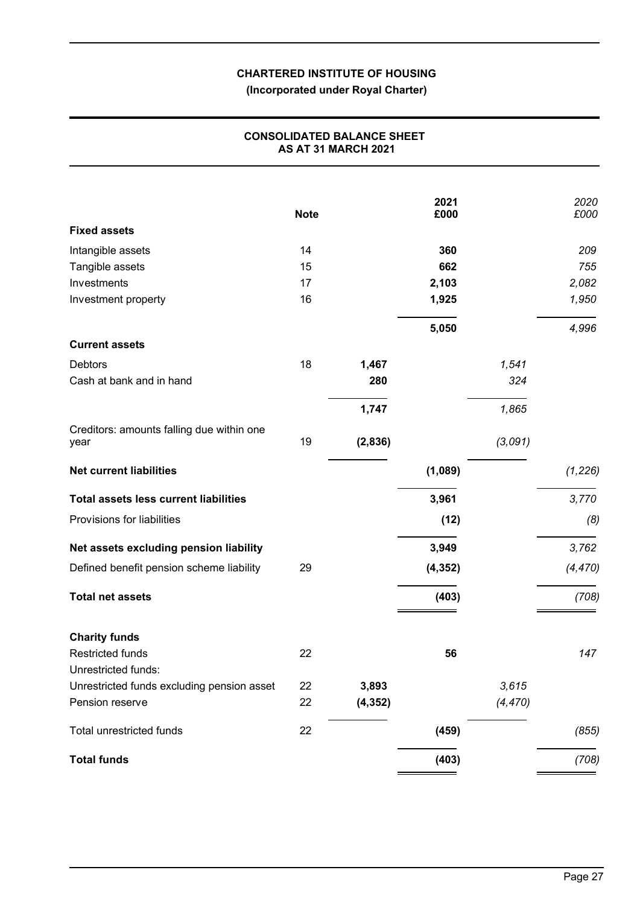**(Incorporated under Royal Charter)**

|                                                   | <b>Note</b> |          | 2021<br>£000 |          | 2020<br>£000 |
|---------------------------------------------------|-------------|----------|--------------|----------|--------------|
| <b>Fixed assets</b>                               |             |          |              |          |              |
| Intangible assets                                 | 14          |          | 360          |          | 209          |
| Tangible assets                                   | 15          |          | 662          |          | 755          |
| Investments                                       | 17          |          | 2,103        |          | 2,082        |
| Investment property                               | 16          |          | 1,925        |          | 1,950        |
|                                                   |             |          | 5,050        |          | 4,996        |
| <b>Current assets</b>                             |             |          |              |          |              |
| <b>Debtors</b>                                    | 18          | 1,467    |              | 1,541    |              |
| Cash at bank and in hand                          |             | 280      |              | 324      |              |
|                                                   |             | 1,747    |              | 1,865    |              |
| Creditors: amounts falling due within one<br>year | 19          | (2,836)  |              | (3,091)  |              |
| <b>Net current liabilities</b>                    |             |          | (1,089)      |          | (1, 226)     |
| <b>Total assets less current liabilities</b>      |             |          | 3,961        |          | 3,770        |
| Provisions for liabilities                        |             |          | (12)         |          | (8)          |
| Net assets excluding pension liability            |             |          | 3,949        |          | 3,762        |
| Defined benefit pension scheme liability          | 29          |          | (4, 352)     |          | (4, 470)     |
| <b>Total net assets</b>                           |             |          | (403)        |          | (708)        |
| <b>Charity funds</b>                              |             |          |              |          |              |
| <b>Restricted funds</b>                           | 22          |          | 56           |          | 147          |
| Unrestricted funds:                               |             |          |              |          |              |
| Unrestricted funds excluding pension asset        | 22          | 3,893    |              | 3,615    |              |
| Pension reserve                                   | 22          | (4, 352) |              | (4, 470) |              |
| Total unrestricted funds                          | 22          |          | (459)        |          | (855)        |
| <b>Total funds</b>                                |             |          | (403)        |          | (708)        |
|                                                   |             |          |              |          |              |

# **CONSOLIDATED BALANCE SHEET AS AT 31 MARCH 2021**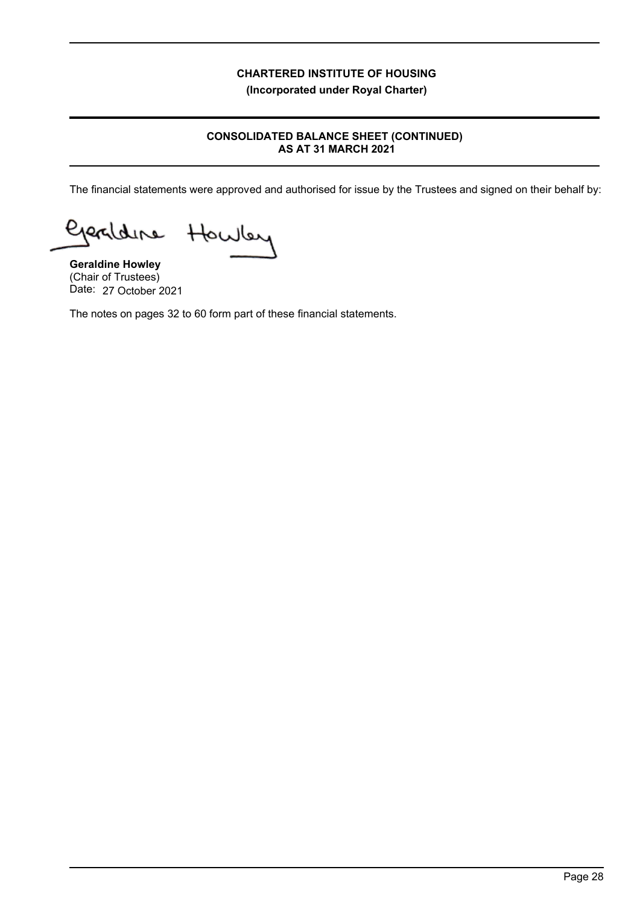# **CONSOLIDATED BALANCE SHEET (CONTINUED) AS AT 31 MARCH 2021**

The financial statements were approved and authorised for issue by the Trustees and signed on their behalf by:

Howley Gerdane

**Geraldine Howley** (Chair of Trustees) Date: 27 October 2021

The notes on pages 32 to 60 form part of these financial statements.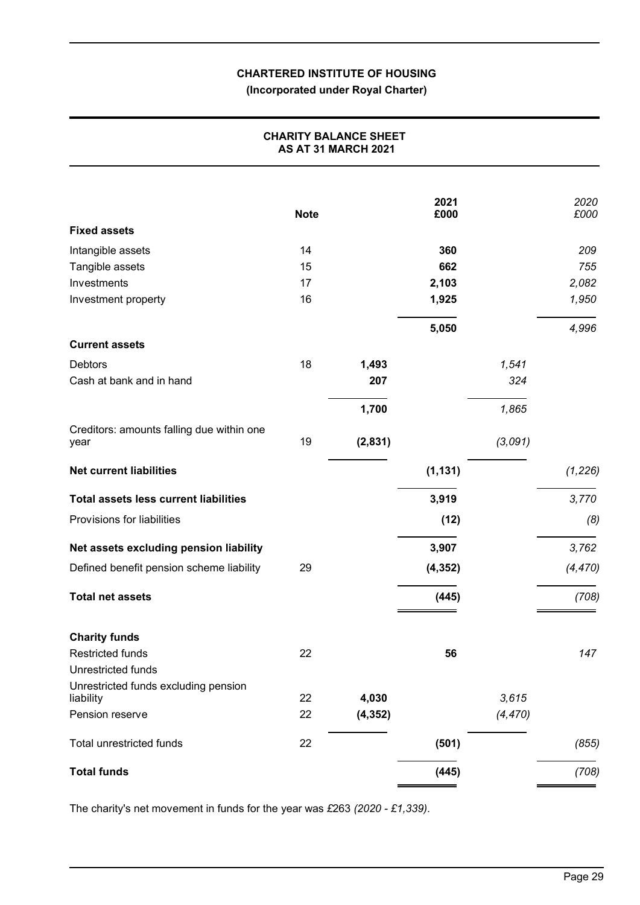# **(Incorporated under Royal Charter)**

# **CHARITY BALANCE SHEET AS AT 31 MARCH 2021**

|                                                   |             |          | 2021     |          | 2020     |
|---------------------------------------------------|-------------|----------|----------|----------|----------|
|                                                   | <b>Note</b> |          | £000     |          | £000     |
| <b>Fixed assets</b>                               |             |          |          |          |          |
| Intangible assets                                 | 14          |          | 360      |          | 209      |
| Tangible assets                                   | 15          |          | 662      |          | 755      |
| Investments                                       | 17          |          | 2,103    |          | 2,082    |
| Investment property                               | 16          |          | 1,925    |          | 1,950    |
|                                                   |             |          | 5,050    |          | 4,996    |
| <b>Current assets</b>                             |             |          |          |          |          |
| <b>Debtors</b>                                    | 18          | 1,493    |          | 1,541    |          |
| Cash at bank and in hand                          |             | 207      |          | 324      |          |
|                                                   |             | 1,700    |          | 1,865    |          |
| Creditors: amounts falling due within one<br>year | 19          | (2,831)  |          | (3,091)  |          |
|                                                   |             |          |          |          |          |
| <b>Net current liabilities</b>                    |             |          | (1, 131) |          | (1, 226) |
| <b>Total assets less current liabilities</b>      |             |          | 3,919    |          | 3,770    |
| Provisions for liabilities                        |             |          | (12)     |          | (8)      |
| Net assets excluding pension liability            |             |          | 3,907    |          | 3,762    |
| Defined benefit pension scheme liability          | 29          |          | (4, 352) |          | (4, 470) |
| <b>Total net assets</b>                           |             |          | (445)    |          | (708)    |
| <b>Charity funds</b>                              |             |          |          |          |          |
| Restricted funds                                  | 22          |          | 56       |          | 147      |
| Unrestricted funds                                |             |          |          |          |          |
| Unrestricted funds excluding pension              |             |          |          |          |          |
| liability                                         | 22          | 4,030    |          | 3,615    |          |
| Pension reserve                                   | 22          | (4, 352) |          | (4, 470) |          |
| Total unrestricted funds                          | 22          |          | (501)    |          | (855)    |
| <b>Total funds</b>                                |             |          | (445)    |          | (708)    |
|                                                   |             |          |          |          |          |

The charity's net movement in funds for the year was *£*263 *(2020 - £1,339)*.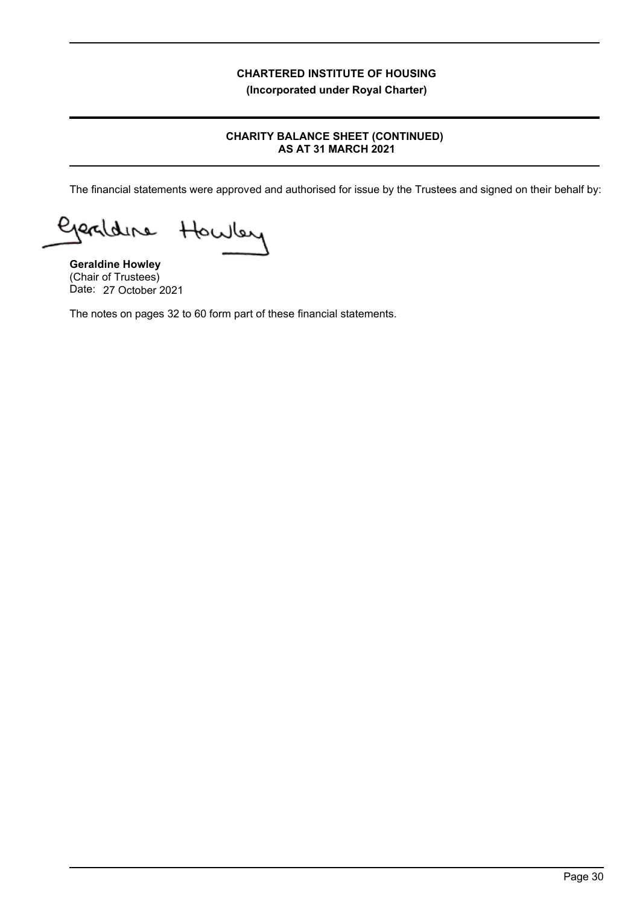# **CHARITY BALANCE SHEET (CONTINUED) AS AT 31 MARCH 2021**

The financial statements were approved and authorised for issue by the Trustees and signed on their behalf by:

Geraldine Howley

**Geraldine Howley** (Chair of Trustees) Date: 27 October 2021

The notes on pages 32 to 60 form part of these financial statements.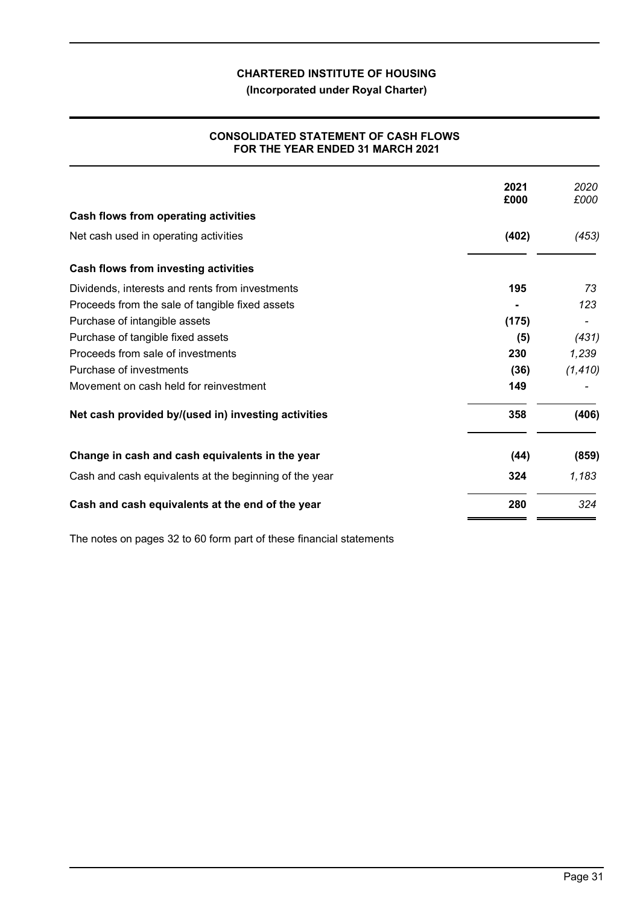**(Incorporated under Royal Charter)**

# **CONSOLIDATED STATEMENT OF CASH FLOWS FOR THE YEAR ENDED 31 MARCH 2021**

|                                                        | 2021<br>£000 | 2020<br>£000 |
|--------------------------------------------------------|--------------|--------------|
| Cash flows from operating activities                   |              |              |
| Net cash used in operating activities                  | (402)        | (453)        |
| Cash flows from investing activities                   |              |              |
| Dividends, interests and rents from investments        | 195          | 73           |
| Proceeds from the sale of tangible fixed assets        |              | 123          |
| Purchase of intangible assets                          | (175)        |              |
| Purchase of tangible fixed assets                      | (5)          | (431)        |
| Proceeds from sale of investments                      | 230          | 1,239        |
| Purchase of investments                                | (36)         | (1, 410)     |
| Movement on cash held for reinvestment                 | 149          |              |
| Net cash provided by/(used in) investing activities    | 358          | (406)        |
| Change in cash and cash equivalents in the year        | (44)         | (859)        |
| Cash and cash equivalents at the beginning of the year | 324          | 1,183        |
| Cash and cash equivalents at the end of the year       | 280          | 324          |

The notes on pages 32 to 60 form part of these financial statements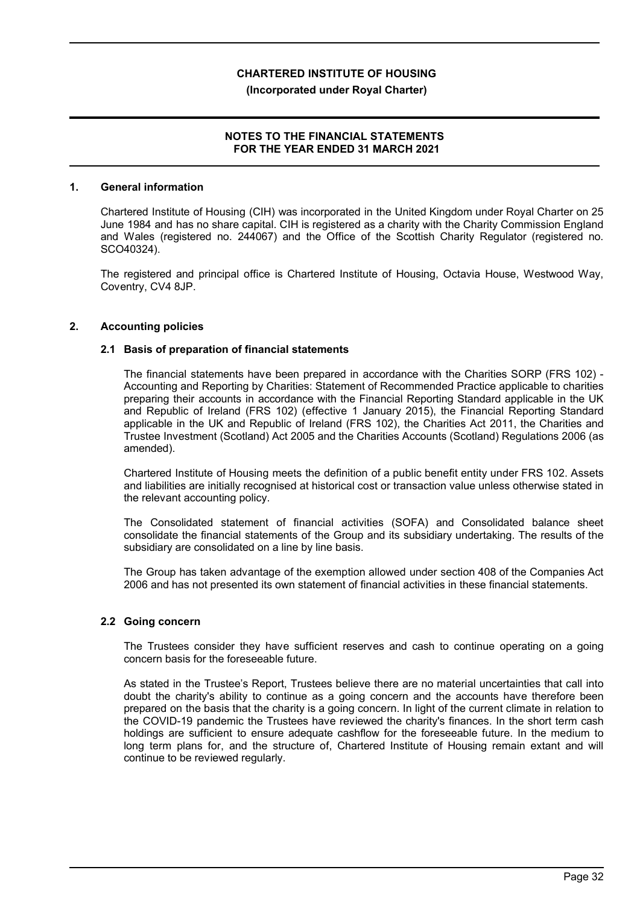# **NOTES TO THE FINANCIAL STATEMENTS FOR THE YEAR ENDED 31 MARCH 2021**

## **1. General information**

Chartered Institute of Housing (CIH) was incorporated in the United Kingdom under Royal Charter on 25 June 1984 and has no share capital. CIH is registered as a charity with the Charity Commission England and Wales (registered no. 244067) and the Office of the Scottish Charity Regulator (registered no. SCO40324).

The registered and principal office is Chartered Institute of Housing, Octavia House, Westwood Way, Coventry, CV4 8JP.

#### **2. Accounting policies**

#### **2.1 Basis of preparation of financial statements**

The financial statements have been prepared in accordance with the Charities SORP (FRS 102) - Accounting and Reporting by Charities: Statement of Recommended Practice applicable to charities preparing their accounts in accordance with the Financial Reporting Standard applicable in the UK and Republic of Ireland (FRS 102) (effective 1 January 2015), the Financial Reporting Standard applicable in the UK and Republic of Ireland (FRS 102), the Charities Act 2011, the Charities and Trustee Investment (Scotland) Act 2005 and the Charities Accounts (Scotland) Regulations 2006 (as amended).

Chartered Institute of Housing meets the definition of a public benefit entity under FRS 102. Assets and liabilities are initially recognised at historical cost or transaction value unless otherwise stated in the relevant accounting policy.

The Consolidated statement of financial activities (SOFA) and Consolidated balance sheet consolidate the financial statements of the Group and its subsidiary undertaking. The results of the subsidiary are consolidated on a line by line basis.

The Group has taken advantage of the exemption allowed under section 408 of the Companies Act 2006 and has not presented its own statement of financial activities in these financial statements.

#### **2.2 Going concern**

The Trustees consider they have sufficient reserves and cash to continue operating on a going concern basis for the foreseeable future.

As stated in the Trustee's Report, Trustees believe there are no material uncertainties that call into doubt the charity's ability to continue as a going concern and the accounts have therefore been prepared on the basis that the charity is a going concern. In light of the current climate in relation to the COVID-19 pandemic the Trustees have reviewed the charity's finances. In the short term cash holdings are sufficient to ensure adequate cashflow for the foreseeable future. In the medium to long term plans for, and the structure of, Chartered Institute of Housing remain extant and will continue to be reviewed regularly.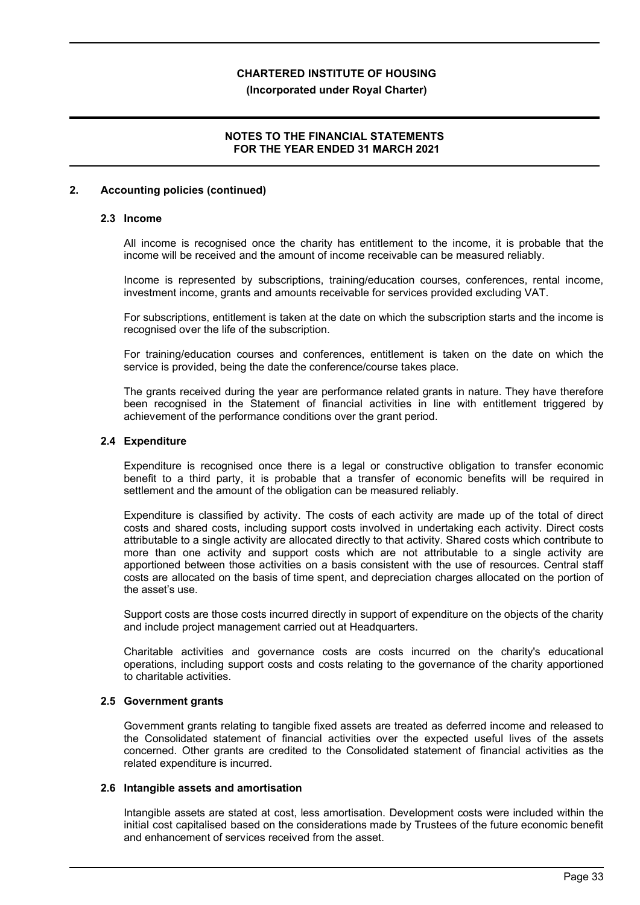## **(Incorporated under Royal Charter)**

# **NOTES TO THE FINANCIAL STATEMENTS FOR THE YEAR ENDED 31 MARCH 2021**

## **2. Accounting policies (continued)**

#### **2.3 Income**

All income is recognised once the charity has entitlement to the income, it is probable that the income will be received and the amount of income receivable can be measured reliably.

Income is represented by subscriptions, training/education courses, conferences, rental income, investment income, grants and amounts receivable for services provided excluding VAT.

For subscriptions, entitlement is taken at the date on which the subscription starts and the income is recognised over the life of the subscription.

For training/education courses and conferences, entitlement is taken on the date on which the service is provided, being the date the conference/course takes place.

The grants received during the year are performance related grants in nature. They have therefore been recognised in the Statement of financial activities in line with entitlement triggered by achievement of the performance conditions over the grant period.

### **2.4 Expenditure**

Expenditure is recognised once there is a legal or constructive obligation to transfer economic benefit to a third party, it is probable that a transfer of economic benefits will be required in settlement and the amount of the obligation can be measured reliably.

Expenditure is classified by activity. The costs of each activity are made up of the total of direct costs and shared costs, including support costs involved in undertaking each activity. Direct costs attributable to a single activity are allocated directly to that activity. Shared costs which contribute to more than one activity and support costs which are not attributable to a single activity are apportioned between those activities on a basis consistent with the use of resources. Central staff costs are allocated on the basis of time spent, and depreciation charges allocated on the portion of the asset's use.

Support costs are those costs incurred directly in support of expenditure on the objects of the charity and include project management carried out at Headquarters.

Charitable activities and governance costs are costs incurred on the charity's educational operations, including support costs and costs relating to the governance of the charity apportioned to charitable activities.

### **2.5 Government grants**

Government grants relating to tangible fixed assets are treated as deferred income and released to the Consolidated statement of financial activities over the expected useful lives of the assets concerned. Other grants are credited to the Consolidated statement of financial activities as the related expenditure is incurred.

#### **2.6 Intangible assets and amortisation**

Intangible assets are stated at cost, less amortisation. Development costs were included within the initial cost capitalised based on the considerations made by Trustees of the future economic benefit and enhancement of services received from the asset.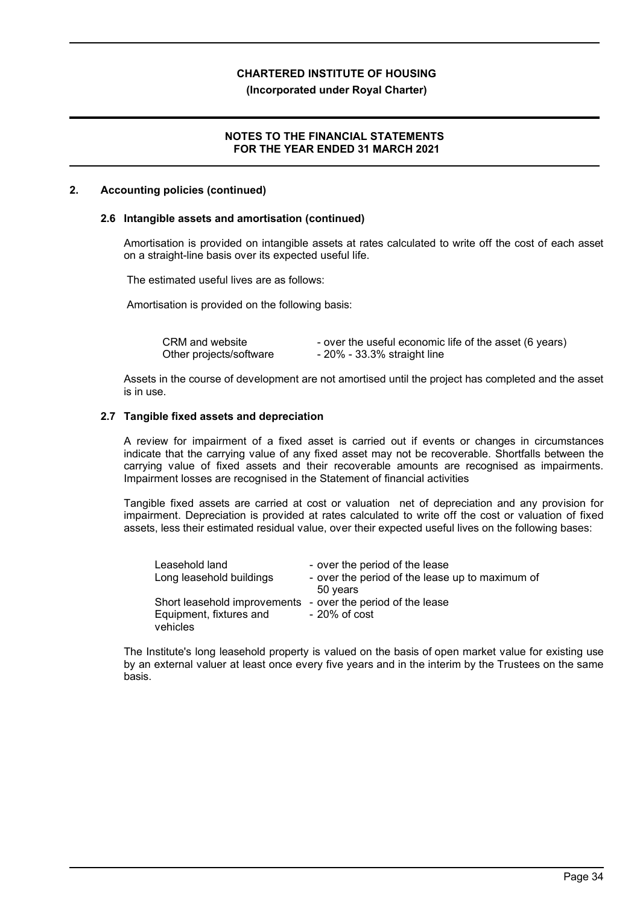#### **(Incorporated under Royal Charter)**

## **NOTES TO THE FINANCIAL STATEMENTS FOR THE YEAR ENDED 31 MARCH 2021**

#### **2. Accounting policies (continued)**

#### **2.6 Intangible assets and amortisation (continued)**

Amortisation is provided on intangible assets at rates calculated to write off the cost of each asset on a straight-line basis over its expected useful life.

The estimated useful lives are as follows:

Amortisation is provided on the following basis:

| CRM and website         | - over the useful economic life of the asset (6 years) |
|-------------------------|--------------------------------------------------------|
| Other projects/software | - 20% - 33.3% straight line                            |

Assets in the course of development are not amortised until the project has completed and the asset is in use.

#### **2.7 Tangible fixed assets and depreciation**

A review for impairment of a fixed asset is carried out if events or changes in circumstances indicate that the carrying value of any fixed asset may not be recoverable. Shortfalls between the carrying value of fixed assets and their recoverable amounts are recognised as impairments. Impairment losses are recognised in the Statement of financial activities

Tangible fixed assets are carried at cost or valuation net of depreciation and any provision for impairment. Depreciation is provided at rates calculated to write off the cost or valuation of fixed assets, less their estimated residual value, over their expected useful lives on the following bases:

| Leasehold land<br>Long leasehold buildings                                                         | - over the period of the lease<br>- over the period of the lease up to maximum of<br>50 years |
|----------------------------------------------------------------------------------------------------|-----------------------------------------------------------------------------------------------|
| Short leasehold improvements - over the period of the lease<br>Equipment, fixtures and<br>vehicles | $-20\%$ of $cost$                                                                             |

The Institute's long leasehold property is valued on the basis of open market value for existing use by an external valuer at least once every five years and in the interim by the Trustees on the same basis.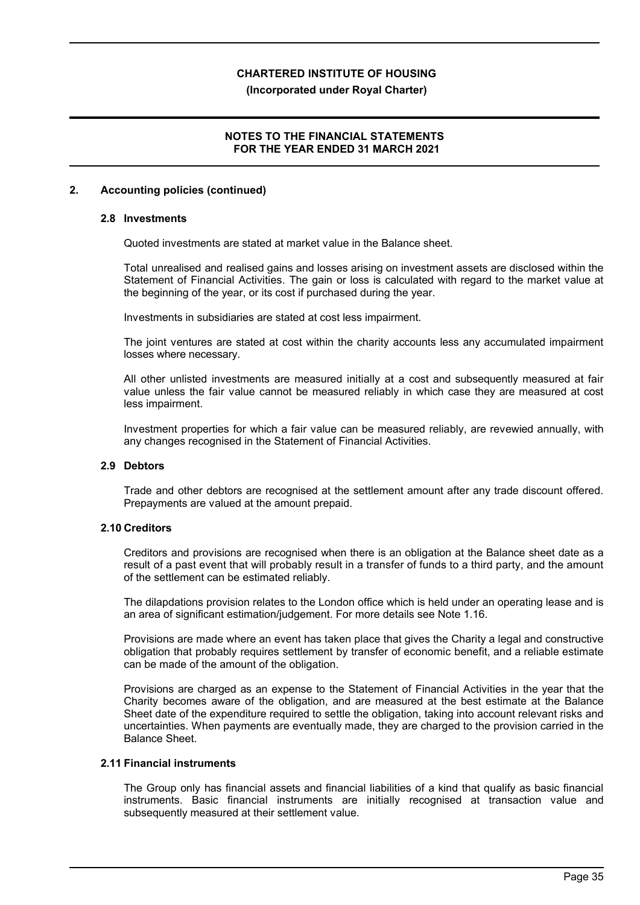#### **(Incorporated under Royal Charter)**

# **NOTES TO THE FINANCIAL STATEMENTS FOR THE YEAR ENDED 31 MARCH 2021**

## **2. Accounting policies (continued)**

#### **2.8 Investments**

Quoted investments are stated at market value in the Balance sheet.

Total unrealised and realised gains and losses arising on investment assets are disclosed within the Statement of Financial Activities. The gain or loss is calculated with regard to the market value at the beginning of the year, or its cost if purchased during the year.

Investments in subsidiaries are stated at cost less impairment.

The joint ventures are stated at cost within the charity accounts less any accumulated impairment losses where necessary.

All other unlisted investments are measured initially at a cost and subsequently measured at fair value unless the fair value cannot be measured reliably in which case they are measured at cost less impairment.

Investment properties for which a fair value can be measured reliably, are revewied annually, with any changes recognised in the Statement of Financial Activities.

# **2.9 Debtors**

Trade and other debtors are recognised at the settlement amount after any trade discount offered. Prepayments are valued at the amount prepaid.

# **2.10 Creditors**

Creditors and provisions are recognised when there is an obligation at the Balance sheet date as a result of a past event that will probably result in a transfer of funds to a third party, and the amount of the settlement can be estimated reliably.

The dilapdations provision relates to the London office which is held under an operating lease and is an area of significant estimation/judgement. For more details see Note 1.16.

Provisions are made where an event has taken place that gives the Charity a legal and constructive obligation that probably requires settlement by transfer of economic benefit, and a reliable estimate can be made of the amount of the obligation.

Provisions are charged as an expense to the Statement of Financial Activities in the year that the Charity becomes aware of the obligation, and are measured at the best estimate at the Balance Sheet date of the expenditure required to settle the obligation, taking into account relevant risks and uncertainties. When payments are eventually made, they are charged to the provision carried in the Balance Sheet.

#### **2.11 Financial instruments**

The Group only has financial assets and financial liabilities of a kind that qualify as basic financial instruments. Basic financial instruments are initially recognised at transaction value and subsequently measured at their settlement value.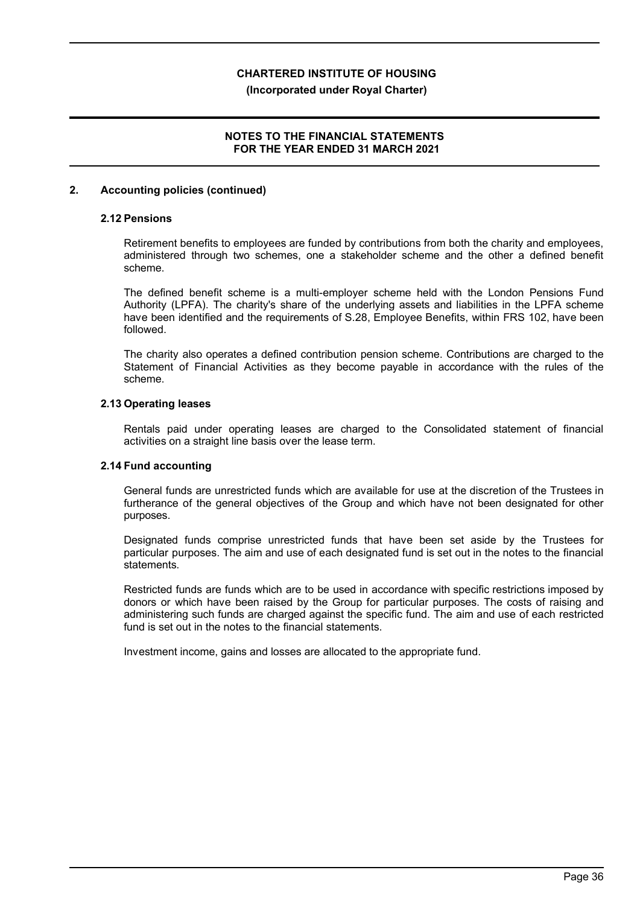#### **(Incorporated under Royal Charter)**

# **NOTES TO THE FINANCIAL STATEMENTS FOR THE YEAR ENDED 31 MARCH 2021**

## **2. Accounting policies (continued)**

# **2.12 Pensions**

Retirement benefits to employees are funded by contributions from both the charity and employees, administered through two schemes, one a stakeholder scheme and the other a defined benefit scheme.

The defined benefit scheme is a multi-employer scheme held with the London Pensions Fund Authority (LPFA). The charity's share of the underlying assets and liabilities in the LPFA scheme have been identified and the requirements of S.28, Employee Benefits, within FRS 102, have been followed.

The charity also operates a defined contribution pension scheme. Contributions are charged to the Statement of Financial Activities as they become payable in accordance with the rules of the scheme.

#### **2.13 Operating leases**

Rentals paid under operating leases are charged to the Consolidated statement of financial activities on a straight line basis over the lease term.

## **2.14 Fund accounting**

General funds are unrestricted funds which are available for use at the discretion of the Trustees in furtherance of the general objectives of the Group and which have not been designated for other purposes.

Designated funds comprise unrestricted funds that have been set aside by the Trustees for particular purposes. The aim and use of each designated fund is set out in the notes to the financial statements.

Restricted funds are funds which are to be used in accordance with specific restrictions imposed by donors or which have been raised by the Group for particular purposes. The costs of raising and administering such funds are charged against the specific fund. The aim and use of each restricted fund is set out in the notes to the financial statements.

Investment income, gains and losses are allocated to the appropriate fund.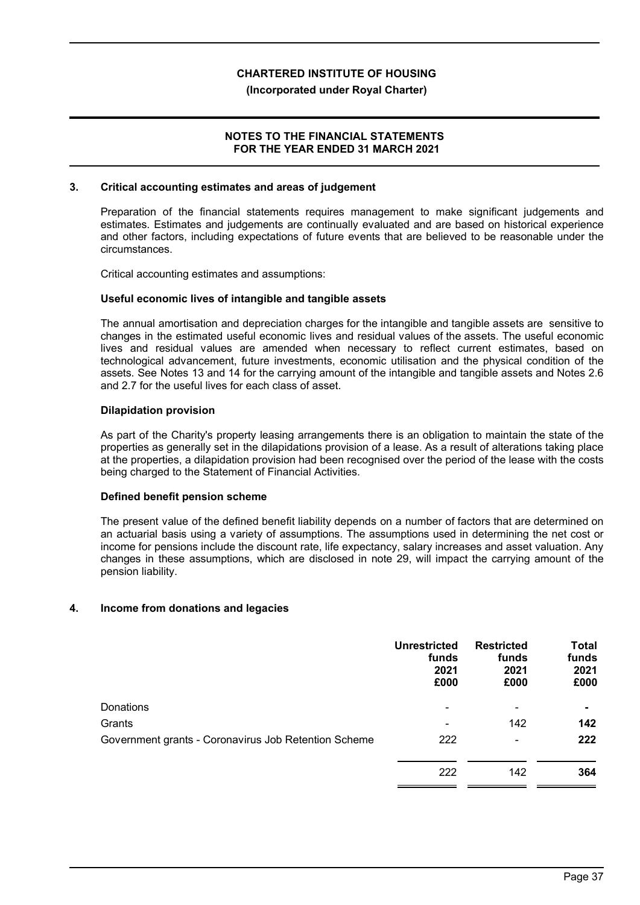## **(Incorporated under Royal Charter)**

# **NOTES TO THE FINANCIAL STATEMENTS FOR THE YEAR ENDED 31 MARCH 2021**

#### **3. Critical accounting estimates and areas of judgement**

Preparation of the financial statements requires management to make significant judgements and estimates. Estimates and judgements are continually evaluated and are based on historical experience and other factors, including expectations of future events that are believed to be reasonable under the circumstances.

Critical accounting estimates and assumptions:

#### **Useful economic lives of intangible and tangible assets**

The annual amortisation and depreciation charges for the intangible and tangible assets are sensitive to changes in the estimated useful economic lives and residual values of the assets. The useful economic lives and residual values are amended when necessary to reflect current estimates, based on technological advancement, future investments, economic utilisation and the physical condition of the assets. See Notes 13 and 14 for the carrying amount of the intangible and tangible assets and Notes 2.6 and 2.7 for the useful lives for each class of asset.

#### **Dilapidation provision**

As part of the Charity's property leasing arrangements there is an obligation to maintain the state of the properties as generally set in the dilapidations provision of a lease. As a result of alterations taking place at the properties, a dilapidation provision had been recognised over the period of the lease with the costs being charged to the Statement of Financial Activities.

#### **Defined benefit pension scheme**

The present value of the defined benefit liability depends on a number of factors that are determined on an actuarial basis using a variety of assumptions. The assumptions used in determining the net cost or income for pensions include the discount rate, life expectancy, salary increases and asset valuation. Any changes in these assumptions, which are disclosed in note 29, will impact the carrying amount of the pension liability.

# **4. Income from donations and legacies**

|                                                      | <b>Unrestricted</b><br>funds<br>2021<br>£000 | <b>Restricted</b><br>funds<br>2021<br>£000 | <b>Total</b><br>funds<br>2021<br>£000 |
|------------------------------------------------------|----------------------------------------------|--------------------------------------------|---------------------------------------|
| Donations                                            | $\blacksquare$                               | $\blacksquare$                             |                                       |
| Grants                                               |                                              | 142                                        | 142                                   |
| Government grants - Coronavirus Job Retention Scheme | 222                                          | $\overline{\phantom{a}}$                   | 222                                   |
|                                                      | 222                                          | 142                                        | 364                                   |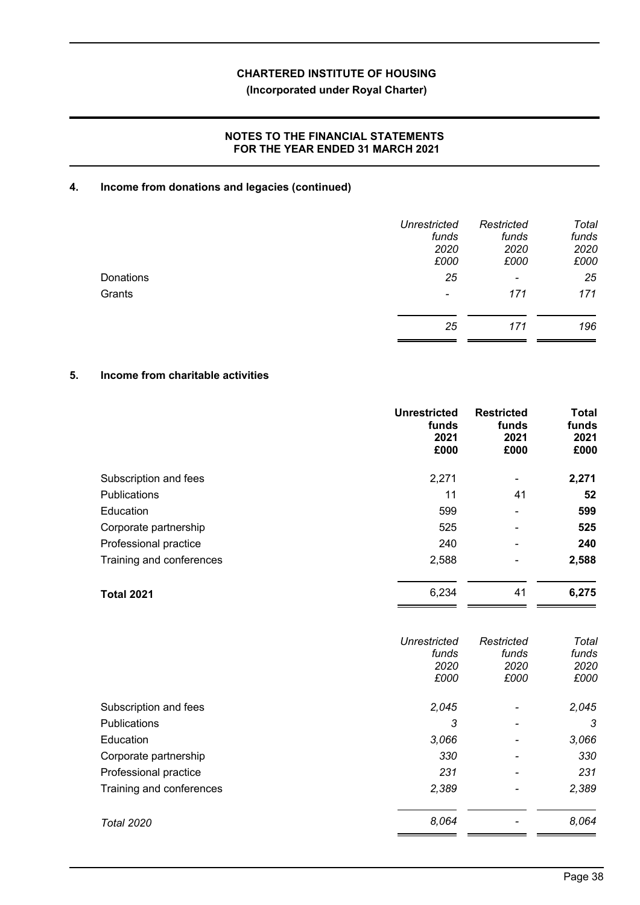# **(Incorporated under Royal Charter)**

# **NOTES TO THE FINANCIAL STATEMENTS FOR THE YEAR ENDED 31 MARCH 2021**

# **4. Income from donations and legacies (continued)**

|           | <b>Unrestricted</b><br>funds<br>2020<br>£000 | Restricted<br>funds<br>2020<br>£000 | Total<br>funds<br>2020<br>£000 |
|-----------|----------------------------------------------|-------------------------------------|--------------------------------|
| Donations | 25                                           | $\overline{\phantom{a}}$            | 25                             |
| Grants    | $\overline{\phantom{a}}$                     | 171                                 | 171                            |
|           | 25                                           | 171                                 | 196                            |

# **5. Income from charitable activities**

|                          | <b>Unrestricted</b><br>funds<br>2021<br>£000 | <b>Restricted</b><br>funds<br>2021<br>£000 | <b>Total</b><br>funds<br>2021<br>£000 |
|--------------------------|----------------------------------------------|--------------------------------------------|---------------------------------------|
| Subscription and fees    | 2,271                                        | -                                          | 2,271                                 |
| <b>Publications</b>      | 11                                           | 41                                         | 52                                    |
| Education                | 599                                          | $\blacksquare$                             | 599                                   |
| Corporate partnership    | 525                                          | $\overline{\phantom{0}}$                   | 525                                   |
| Professional practice    | 240                                          | $\equiv$                                   | 240                                   |
| Training and conferences | 2,588                                        | -                                          | 2,588                                 |
| <b>Total 2021</b>        | 6,234                                        | 41                                         | 6,275                                 |

| Unrestricted | Restricted                   | Total |
|--------------|------------------------------|-------|
| funds        | funds                        | funds |
| 2020         | 2020                         | 2020  |
| £000         | £000                         | £000  |
| 2,045        | -                            | 2,045 |
| 3            | $\qquad \qquad \blacksquare$ | 3     |
| 3,066        | $\overline{\phantom{0}}$     | 3,066 |
| 330          | $\overline{\phantom{0}}$     | 330   |
| 231          |                              | 231   |
| 2,389        |                              | 2,389 |
| 8,064        |                              | 8,064 |
|              |                              |       |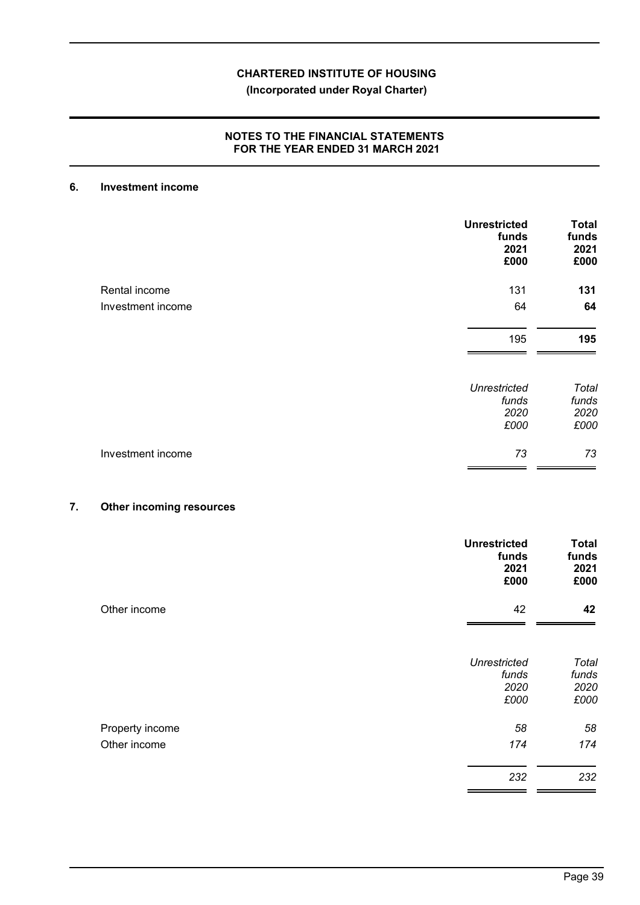# **(Incorporated under Royal Charter)**

# **NOTES TO THE FINANCIAL STATEMENTS FOR THE YEAR ENDED 31 MARCH 2021**

# **6. Investment income**

|                   | <b>Unrestricted</b><br>funds<br>2021<br>£000 | <b>Total</b><br>funds<br>2021<br>£000 |
|-------------------|----------------------------------------------|---------------------------------------|
| Rental income     | 131                                          | 131                                   |
| Investment income | 64                                           | 64                                    |
|                   | 195                                          | 195                                   |
|                   | <b>Unrestricted</b><br>funds<br>2020<br>£000 | Total<br>funds<br>2020<br>£000        |
| Investment income | 73                                           | 73                                    |

# **7. Other incoming resources**

|                                 | <b>Unrestricted</b><br>funds<br>2021<br>£000 | <b>Total</b><br>funds<br>2021<br>£000 |
|---------------------------------|----------------------------------------------|---------------------------------------|
| Other income                    | 42                                           | 42                                    |
|                                 | <b>Unrestricted</b><br>funds<br>2020<br>£000 | Total<br>funds<br>2020<br>£000        |
| Property income<br>Other income | 58<br>174                                    | 58<br>174                             |
|                                 | 232                                          | 232                                   |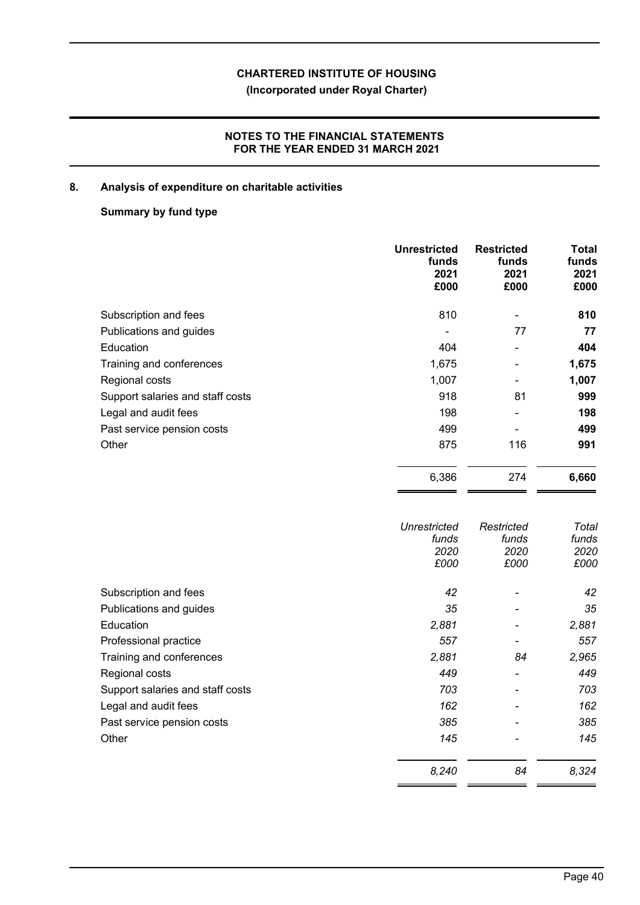# **(Incorporated under Royal Charter)**

# **NOTES TO THE FINANCIAL STATEMENTS FOR THE YEAR ENDED 31 MARCH 2021**

# **8. Analysis of expenditure on charitable activities**

# **Summary by fund type**

|                                  | <b>Unrestricted</b><br>funds<br>2021<br>£000 | <b>Restricted</b><br>funds<br>2021<br>£000 | <b>Total</b><br>funds<br>2021<br>£000 |
|----------------------------------|----------------------------------------------|--------------------------------------------|---------------------------------------|
| Subscription and fees            | 810                                          | $\overline{\phantom{0}}$                   | 810                                   |
| Publications and guides          | -                                            | 77                                         | 77                                    |
| Education                        | 404                                          | $\blacksquare$                             | 404                                   |
| Training and conferences         | 1,675                                        |                                            | 1,675                                 |
| Regional costs                   | 1,007                                        |                                            | 1,007                                 |
| Support salaries and staff costs | 918                                          | 81                                         | 999                                   |
| Legal and audit fees             | 198                                          |                                            | 198                                   |
| Past service pension costs       | 499                                          |                                            | 499                                   |
| Other                            | 875                                          | 116                                        | 991                                   |
|                                  | 6,386                                        | 274                                        | 6,660                                 |

|                                  | Unrestricted<br>funds<br>2020<br>£000 | Restricted<br>funds<br>2020<br>£000 | Total<br>funds<br>2020<br>£000 |
|----------------------------------|---------------------------------------|-------------------------------------|--------------------------------|
| Subscription and fees            | 42                                    | $\qquad \qquad$                     | 42                             |
| Publications and guides          | 35                                    |                                     | 35                             |
| Education                        | 2,881                                 | $\overline{\phantom{a}}$            | 2,881                          |
| Professional practice            | 557                                   | $\overline{\phantom{a}}$            | 557                            |
| Training and conferences         | 2,881                                 | 84                                  | 2,965                          |
| Regional costs                   | 449                                   | $\overline{\phantom{a}}$            | 449                            |
| Support salaries and staff costs | 703                                   |                                     | 703                            |
| Legal and audit fees             | 162                                   |                                     | 162                            |
| Past service pension costs       | 385                                   |                                     | 385                            |
| Other                            | 145                                   |                                     | 145                            |
|                                  | 8,240                                 | 84                                  | 8,324                          |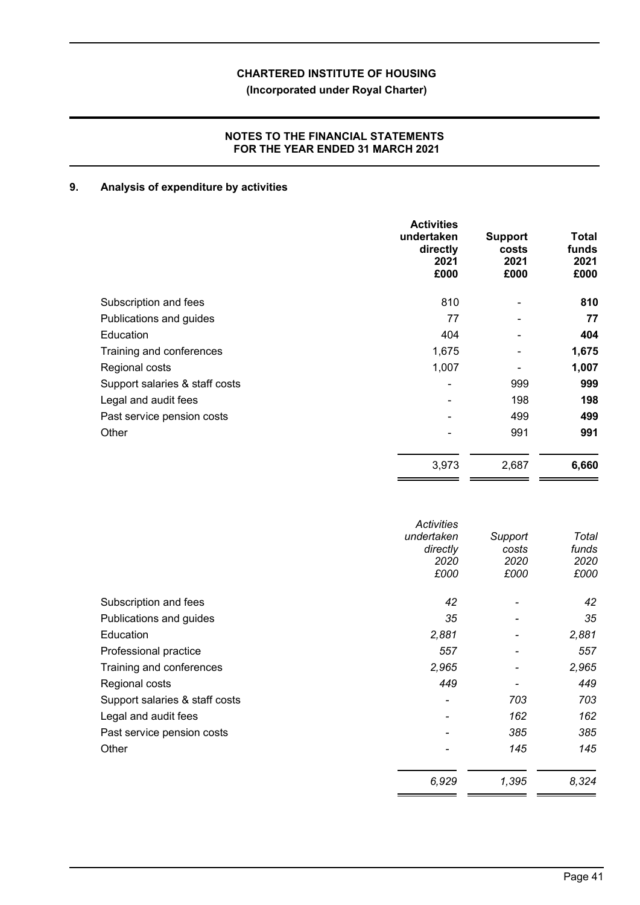# **(Incorporated under Royal Charter)**

# **NOTES TO THE FINANCIAL STATEMENTS FOR THE YEAR ENDED 31 MARCH 2021**

# **9. Analysis of expenditure by activities**

|                                | <b>Activities</b><br>undertaken<br>directly<br>2021<br>£000 | <b>Support</b><br>costs<br>2021<br>£000 | Total<br>funds<br>2021<br>£000 |
|--------------------------------|-------------------------------------------------------------|-----------------------------------------|--------------------------------|
| Subscription and fees          | 810                                                         |                                         | 810                            |
| Publications and guides        | 77                                                          |                                         | 77                             |
| Education                      | 404                                                         |                                         | 404                            |
| Training and conferences       | 1,675                                                       |                                         | 1,675                          |
| Regional costs                 | 1,007                                                       |                                         | 1,007                          |
| Support salaries & staff costs | $\blacksquare$                                              | 999                                     | 999                            |
| Legal and audit fees           | $\blacksquare$                                              | 198                                     | 198                            |
| Past service pension costs     |                                                             | 499                                     | 499                            |
| Other                          |                                                             | 991                                     | 991                            |
|                                | 3,973                                                       | 2,687                                   | 6,660                          |

|                                | <b>Activities</b><br>undertaken<br>directly<br>2020<br>£000 | Support<br>costs<br>2020<br>£000 | Total<br>funds<br>2020<br>£000 |
|--------------------------------|-------------------------------------------------------------|----------------------------------|--------------------------------|
| Subscription and fees          | 42                                                          |                                  | 42                             |
| Publications and guides        | 35                                                          |                                  | 35                             |
| Education                      | 2,881                                                       |                                  | 2,881                          |
| Professional practice          | 557                                                         | $\overline{\phantom{a}}$         | 557                            |
| Training and conferences       | 2,965                                                       |                                  | 2,965                          |
| Regional costs                 | 449                                                         |                                  | 449                            |
| Support salaries & staff costs |                                                             | 703                              | 703                            |
| Legal and audit fees           |                                                             | 162                              | 162                            |
| Past service pension costs     |                                                             | 385                              | 385                            |
| Other                          |                                                             | 145                              | 145                            |
|                                | 6,929                                                       | 1,395                            | 8,324                          |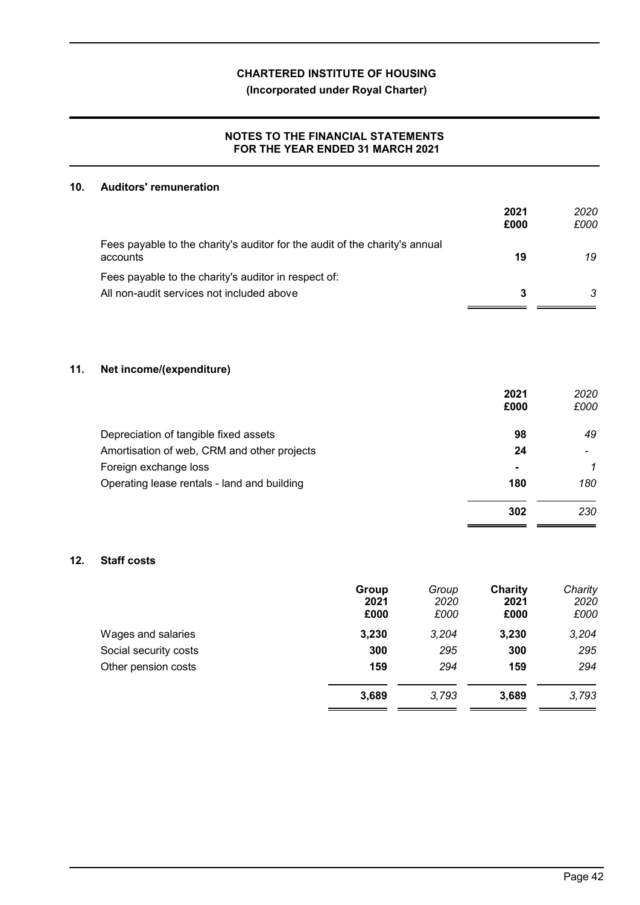**(Incorporated under Royal Charter)**

# **NOTES TO THE FINANCIAL STATEMENTS FOR THE YEAR ENDED 31 MARCH 2021**

# **10. Auditors' remuneration**

|                                                                                         | 2021<br>£000 | 2020<br>£000 |
|-----------------------------------------------------------------------------------------|--------------|--------------|
| Fees payable to the charity's auditor for the audit of the charity's annual<br>accounts | 19           | 19           |
| Fees payable to the charity's auditor in respect of:                                    |              |              |
| All non-audit services not included above                                               | 3            | 3            |
|                                                                                         |              |              |

# **11. Net income/(expenditure)**

|                                             | 2021<br>£000   | 2020<br>£000 |
|---------------------------------------------|----------------|--------------|
| Depreciation of tangible fixed assets       | 98             | 49           |
| Amortisation of web, CRM and other projects | 24             |              |
| Foreign exchange loss                       | $\blacksquare$ | 1            |
| Operating lease rentals - land and building | 180            | 180          |
|                                             | 302            | 230          |
|                                             |                |              |

# **12. Staff costs**

|                       | Group<br>2021<br>£000 | Group<br>2020<br>£000 | Charity<br>2021<br>£000 | Charity<br>2020<br>£000 |
|-----------------------|-----------------------|-----------------------|-------------------------|-------------------------|
| Wages and salaries    | 3,230                 | 3,204                 | 3,230                   | 3,204                   |
| Social security costs | 300                   | 295                   | 300                     | 295                     |
| Other pension costs   | 159                   | 294                   | 159                     | 294                     |
|                       | 3,689                 | 3.793                 | 3,689                   | 3,793                   |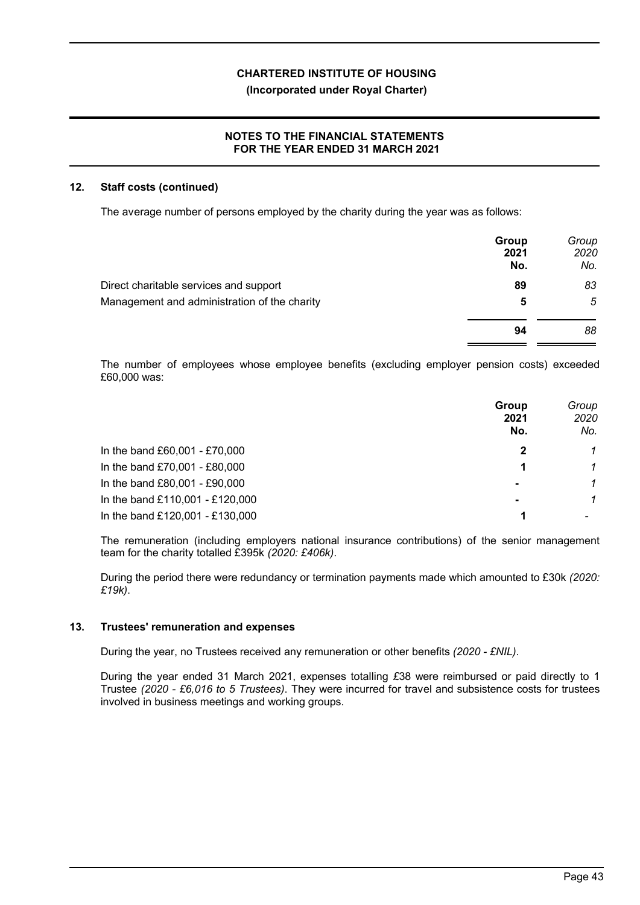# **NOTES TO THE FINANCIAL STATEMENTS FOR THE YEAR ENDED 31 MARCH 2021**

## **12. Staff costs (continued)**

The average number of persons employed by the charity during the year was as follows:

|                                              | Group<br>2021<br>No. | Group<br>2020<br>No. |
|----------------------------------------------|----------------------|----------------------|
| Direct charitable services and support       | 89                   | 83                   |
| Management and administration of the charity | 5                    | 5                    |
|                                              | 94                   | 88                   |

The number of employees whose employee benefits (excluding employer pension costs) exceeded £60,000 was:

|                                 | Group<br>2021<br>No. | Group<br>2020<br>No. |
|---------------------------------|----------------------|----------------------|
| In the band £60,001 - £70,000   |                      |                      |
| In the band £70,001 - £80,000   |                      | 1                    |
| In the band £80,001 - £90,000   | $\blacksquare$       | 1                    |
| In the band £110,001 - £120,000 | $\blacksquare$       |                      |
| In the band £120,001 - £130,000 |                      |                      |

The remuneration (including employers national insurance contributions) of the senior management team for the charity totalled £395k *(2020: £406k)*.

During the period there were redundancy or termination payments made which amounted to £30k *(2020: £19k)*.

# **13. Trustees' remuneration and expenses**

During the year, no Trustees received any remuneration or other benefits *(2020 - £NIL)*.

During the year ended 31 March 2021, expenses totalling *£*38 were reimbursed or paid directly to 1 Trustee *(2020 - £6,016 to 5 Trustees)*. They were incurred for travel and subsistence costs for trustees involved in business meetings and working groups.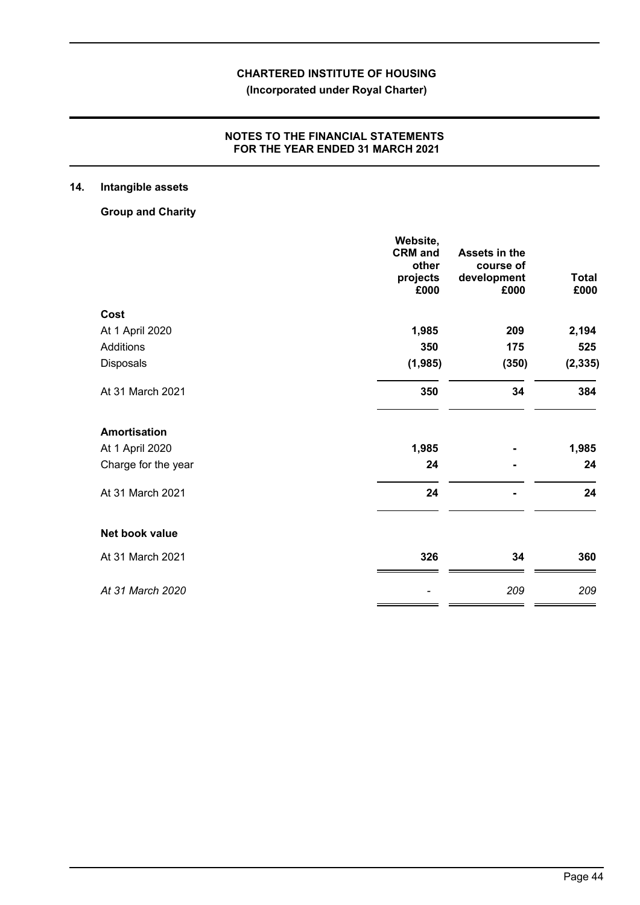**(Incorporated under Royal Charter)**

# **NOTES TO THE FINANCIAL STATEMENTS FOR THE YEAR ENDED 31 MARCH 2021**

# **14. Intangible assets**

**Group and Charity**

|                     | Website,<br><b>CRM</b> and | Assets in the |              |
|---------------------|----------------------------|---------------|--------------|
|                     | other                      | course of     |              |
|                     | projects                   | development   | <b>Total</b> |
|                     | £000                       | £000          | £000         |
| Cost                |                            |               |              |
| At 1 April 2020     | 1,985                      | 209           | 2,194        |
| Additions           | 350                        | 175           | 525          |
| Disposals           | (1,985)                    | (350)         | (2, 335)     |
| At 31 March 2021    | 350                        | 34            | 384          |
| <b>Amortisation</b> |                            |               |              |
| At 1 April 2020     | 1,985                      |               | 1,985        |
| Charge for the year | 24                         |               | 24           |
| At 31 March 2021    | 24                         |               | 24           |
| Net book value      |                            |               |              |
| At 31 March 2021    | 326                        | 34            | 360          |
| At 31 March 2020    |                            | 209           | 209          |
|                     |                            |               |              |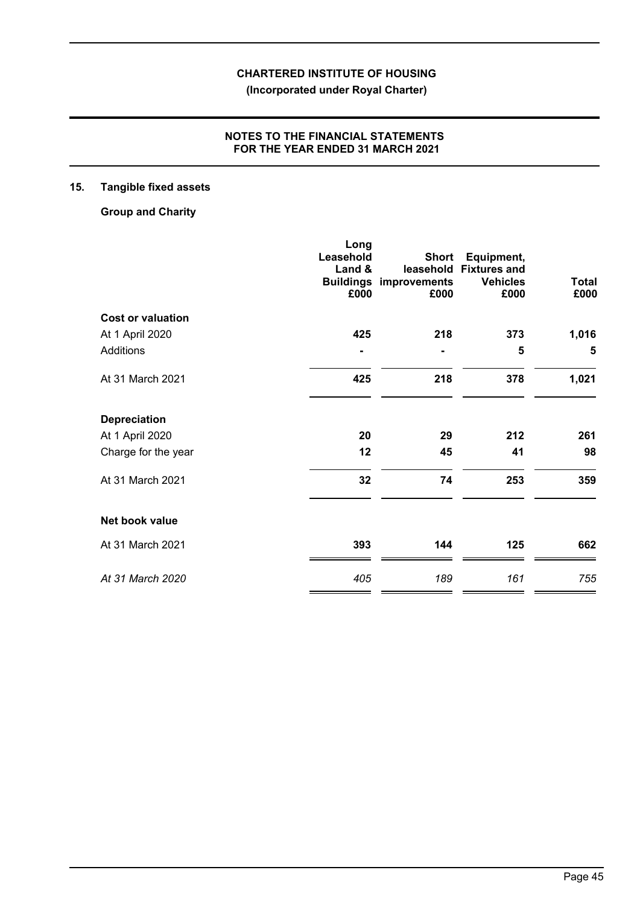**(Incorporated under Royal Charter)**

# **NOTES TO THE FINANCIAL STATEMENTS FOR THE YEAR ENDED 31 MARCH 2021**

# **15. Tangible fixed assets**

**Group and Charity**

|                          | Long      |                                       |                         |              |
|--------------------------|-----------|---------------------------------------|-------------------------|--------------|
|                          | Leasehold | <b>Short</b>                          | Equipment,              |              |
|                          | Land &    | leasehold                             | <b>Fixtures and</b>     | <b>Total</b> |
|                          | £000      | <b>Buildings improvements</b><br>£000 | <b>Vehicles</b><br>£000 | £000         |
| <b>Cost or valuation</b> |           |                                       |                         |              |
| At 1 April 2020          | 425       | 218                                   | 373                     | 1,016        |
| Additions                |           |                                       | 5                       | 5            |
| At 31 March 2021         | 425       | 218                                   | 378                     | 1,021        |
| <b>Depreciation</b>      |           |                                       |                         |              |
| At 1 April 2020          | 20        | 29                                    | 212                     | 261          |
| Charge for the year      | 12        | 45                                    | 41                      | 98           |
| At 31 March 2021         | 32        | 74                                    | 253                     | 359          |
| Net book value           |           |                                       |                         |              |
| At 31 March 2021         | 393       | 144                                   | 125                     | 662          |
| At 31 March 2020         | 405       | 189                                   | 161                     | 755          |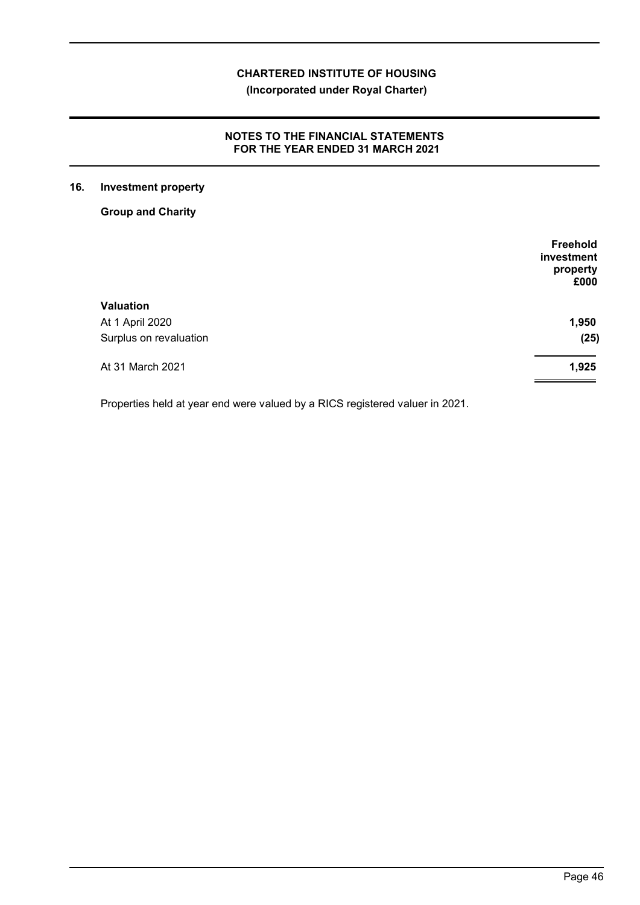**(Incorporated under Royal Charter)**

# **NOTES TO THE FINANCIAL STATEMENTS FOR THE YEAR ENDED 31 MARCH 2021**

# **16. Investment property**

**Group and Charity**

| Freehold<br>investment<br>property<br>£000 |
|--------------------------------------------|
|                                            |
| 1,950                                      |
| (25)                                       |
| 1,925                                      |
|                                            |

Properties held at year end were valued by a RICS registered valuer in 2021.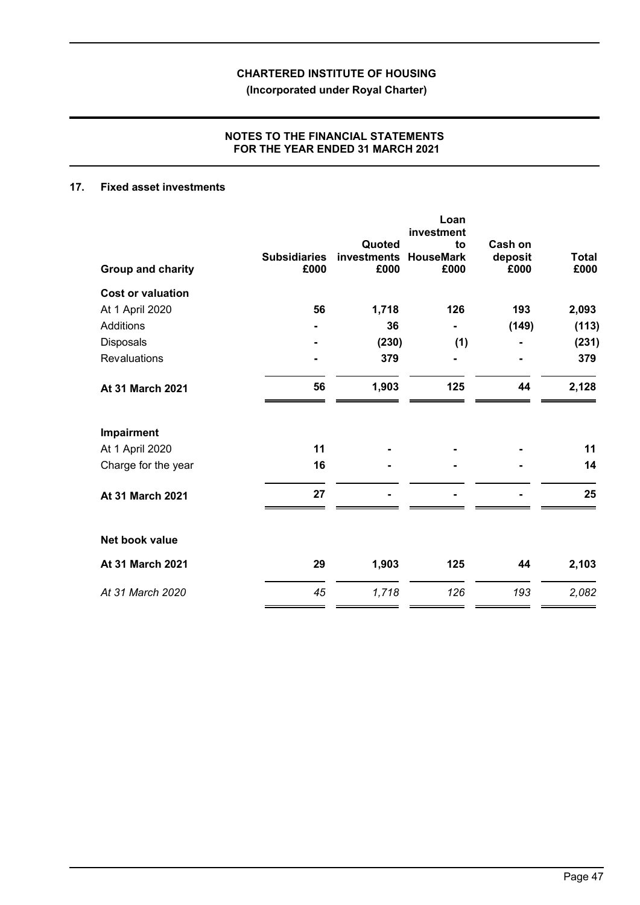**(Incorporated under Royal Charter)**

# **NOTES TO THE FINANCIAL STATEMENTS FOR THE YEAR ENDED 31 MARCH 2021**

# **17. Fixed asset investments**

| <b>Group and charity</b> | <b>Subsidiaries</b><br>£000 | Quoted<br>investments<br>£000 | Loan<br>investment<br>to<br><b>HouseMark</b><br>£000 | Cash on<br>deposit<br>£000 | <b>Total</b><br>£000 |
|--------------------------|-----------------------------|-------------------------------|------------------------------------------------------|----------------------------|----------------------|
| <b>Cost or valuation</b> |                             |                               |                                                      |                            |                      |
| At 1 April 2020          | 56                          | 1,718                         | 126                                                  | 193                        | 2,093                |
| <b>Additions</b>         |                             | 36                            |                                                      | (149)                      | (113)                |
| Disposals                |                             | (230)                         | (1)                                                  |                            | (231)                |
| Revaluations             |                             | 379                           |                                                      |                            | 379                  |
| At 31 March 2021         | 56                          | 1,903                         | 125                                                  | 44                         | 2,128                |
| Impairment               |                             |                               |                                                      |                            |                      |
| At 1 April 2020          | 11                          |                               |                                                      |                            | 11                   |
| Charge for the year      | 16                          |                               |                                                      |                            | 14                   |
| At 31 March 2021         | 27                          |                               |                                                      |                            | 25                   |
| Net book value           |                             |                               |                                                      |                            |                      |
| At 31 March 2021         | 29                          | 1,903                         | 125                                                  | 44                         | 2,103                |
| At 31 March 2020         | 45                          | 1,718                         | 126                                                  | 193                        | 2,082                |
|                          |                             |                               |                                                      |                            |                      |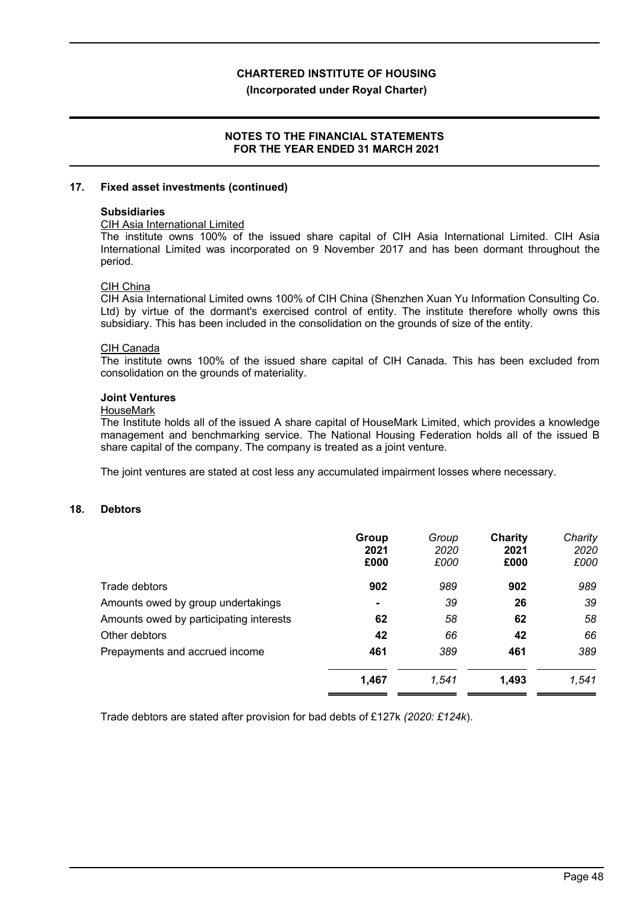**(Incorporated under Royal Charter)**

## **NOTES TO THE FINANCIAL STATEMENTS FOR THE YEAR ENDED 31 MARCH 2021**

#### **17. Fixed asset investments (continued)**

#### **Subsidiaries**

#### CIH Asia International Limited

The institute owns 100% of the issued share capital of CIH Asia International Limited. CIH Asia International Limited was incorporated on 9 November 2017 and has been dormant throughout the period.

#### CIH China

CIH Asia International Limited owns 100% of CIH China (Shenzhen Xuan Yu Information Consulting Co. Ltd) by virtue of the dormant's exercised control of entity. The institute therefore wholly owns this subsidiary. This has been included in the consolidation on the grounds of size of the entity.

#### CIH Canada

The institute owns 100% of the issued share capital of CIH Canada. This has been excluded from consolidation on the grounds of materiality.

#### **Joint Ventures**

#### **HouseMark**

The Institute holds all of the issued A share capital of HouseMark Limited, which provides a knowledge management and benchmarking service. The National Housing Federation holds all of the issued B share capital of the company. The company is treated as a joint venture.

The joint ventures are stated at cost less any accumulated impairment losses where necessary.

# **18. Debtors**

|                                         | Group<br>2021<br>£000 | Group<br>2020<br>£000 | Charity<br>2021<br>£000 | Charity<br>2020<br>£000 |
|-----------------------------------------|-----------------------|-----------------------|-------------------------|-------------------------|
| Trade debtors                           | 902                   | 989                   | 902                     | 989                     |
| Amounts owed by group undertakings      |                       | 39                    | 26                      | 39                      |
| Amounts owed by participating interests | 62                    | 58                    | 62                      | 58                      |
| Other debtors                           | 42                    | 66                    | 42                      | 66                      |
| Prepayments and accrued income          | 461                   | 389                   | 461                     | 389                     |
|                                         | 1,467                 | 1,541                 | 1,493                   | 1,541                   |

Trade debtors are stated after provision for bad debts of £127k *(2020: £124k*).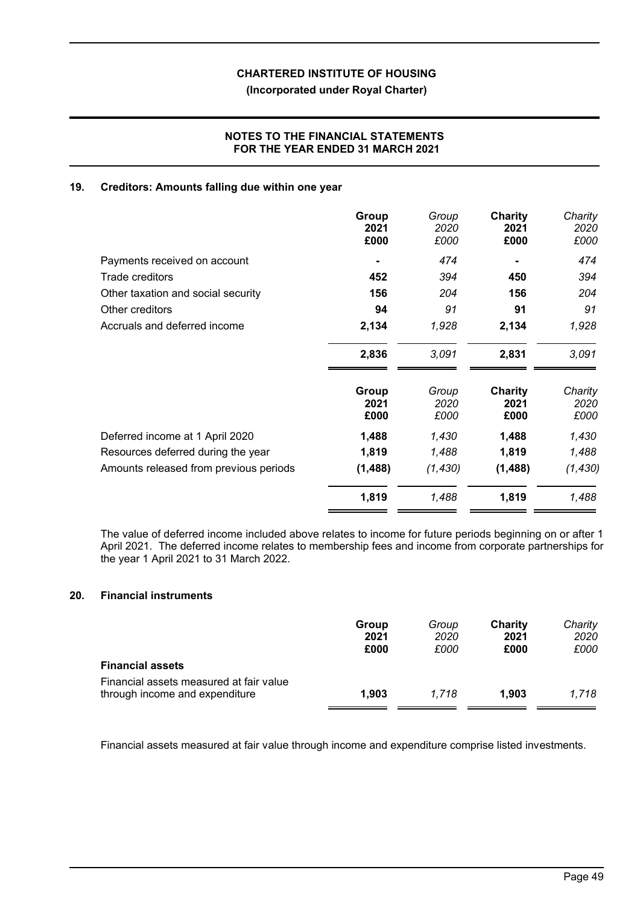# **(Incorporated under Royal Charter)**

# **NOTES TO THE FINANCIAL STATEMENTS FOR THE YEAR ENDED 31 MARCH 2021**

## **19. Creditors: Amounts falling due within one year**

|                                        | Group<br>2021<br>£000 | Group<br>2020<br>£000 | Charity<br>2021<br>£000 | Charity<br>2020<br>£000 |
|----------------------------------------|-----------------------|-----------------------|-------------------------|-------------------------|
| Payments received on account           |                       | 474                   |                         | 474                     |
| Trade creditors                        | 452                   | 394                   | 450                     | 394                     |
| Other taxation and social security     | 156                   | 204                   | 156                     | 204                     |
| Other creditors                        | 94                    | 91                    | 91                      | 91                      |
| Accruals and deferred income           | 2,134                 | 1,928                 | 2,134                   | 1,928                   |
|                                        | 2,836                 | 3,091                 | 2,831                   | 3,091                   |
|                                        | Group                 | Group                 | Charity                 | Charity                 |
|                                        | 2021<br>£000          | 2020<br>£000          | 2021<br>£000            | 2020<br>£000            |
| Deferred income at 1 April 2020        | 1,488                 | 1,430                 | 1,488                   | 1,430                   |
| Resources deferred during the year     | 1,819                 | 1,488                 | 1,819                   | 1,488                   |
| Amounts released from previous periods | (1, 488)              | (1, 430)              | (1,488)                 | (1, 430)                |
|                                        | 1,819                 | 1,488                 | 1,819                   | 1,488                   |

The value of deferred income included above relates to income for future periods beginning on or after 1 April 2021. The deferred income relates to membership fees and income from corporate partnerships for the year 1 April 2021 to 31 March 2022.

# **20. Financial instruments**

|                                                                           | Group<br>2021<br>£000 | Group<br>2020<br>£000 | Charity<br>2021<br>£000 | Charity<br>2020<br>£000 |
|---------------------------------------------------------------------------|-----------------------|-----------------------|-------------------------|-------------------------|
| <b>Financial assets</b>                                                   |                       |                       |                         |                         |
| Financial assets measured at fair value<br>through income and expenditure | 1.903                 | 1.718                 | 1,903                   | 1.718                   |

Financial assets measured at fair value through income and expenditure comprise listed investments.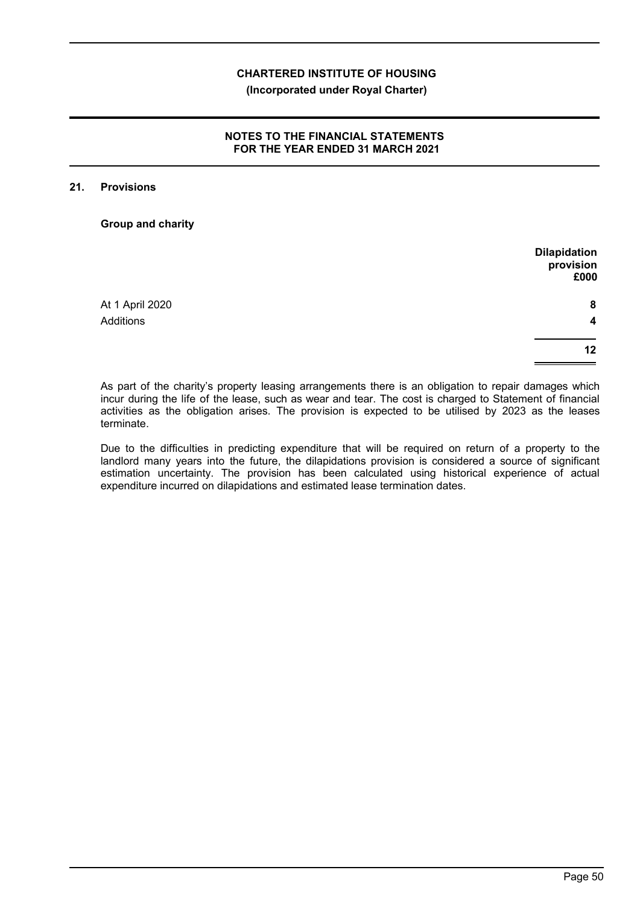# **NOTES TO THE FINANCIAL STATEMENTS FOR THE YEAR ENDED 31 MARCH 2021**

#### **21. Provisions**

**Group and charity**

|                  | <b>Dilapidation</b><br>provision<br>£000 |
|------------------|------------------------------------------|
|                  |                                          |
| At 1 April 2020  | 8                                        |
| <b>Additions</b> | $\overline{\mathbf{4}}$                  |
|                  | 12                                       |
|                  |                                          |

As part of the charity's property leasing arrangements there is an obligation to repair damages which incur during the life of the lease, such as wear and tear. The cost is charged to Statement of financial activities as the obligation arises. The provision is expected to be utilised by 2023 as the leases terminate.

Due to the difficulties in predicting expenditure that will be required on return of a property to the landlord many years into the future, the dilapidations provision is considered a source of significant estimation uncertainty. The provision has been calculated using historical experience of actual expenditure incurred on dilapidations and estimated lease termination dates.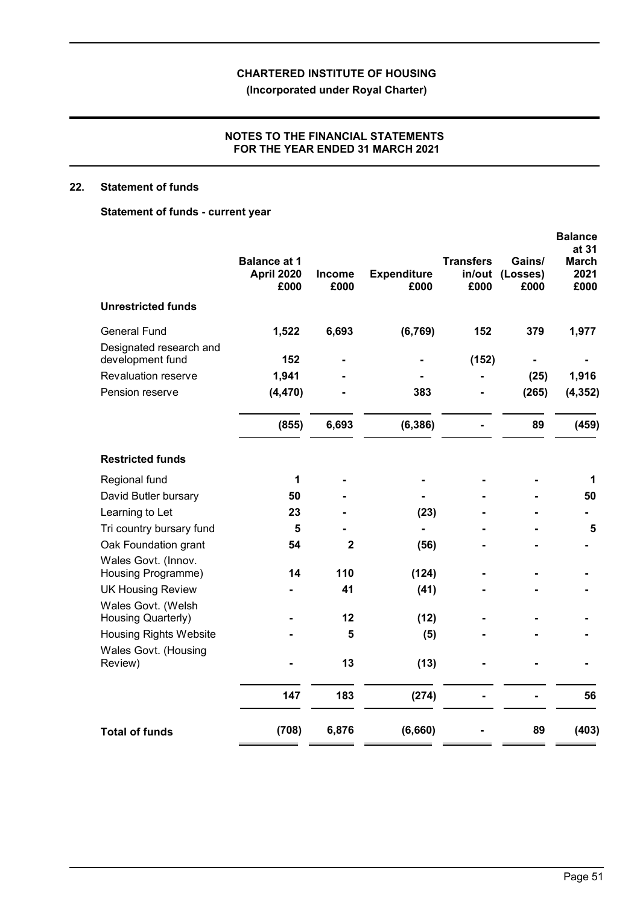**(Incorporated under Royal Charter)**

# **NOTES TO THE FINANCIAL STATEMENTS FOR THE YEAR ENDED 31 MARCH 2021**

# **22. Statement of funds**

# **Statement of funds - current year**

|                                             | <b>Balance at 1</b><br><b>April 2020</b><br>£000 | Income<br>£000 | <b>Expenditure</b><br>£000 | <b>Transfers</b><br>in/out<br>£000 | Gains/<br>(Losses)<br>£000 | <b>Balance</b><br>at 31<br><b>March</b><br>2021<br>£000 |
|---------------------------------------------|--------------------------------------------------|----------------|----------------------------|------------------------------------|----------------------------|---------------------------------------------------------|
| <b>Unrestricted funds</b>                   |                                                  |                |                            |                                    |                            |                                                         |
| <b>General Fund</b>                         | 1,522                                            | 6,693          | (6, 769)                   | 152                                | 379                        | 1,977                                                   |
| Designated research and<br>development fund | 152                                              |                |                            | (152)                              |                            |                                                         |
| Revaluation reserve                         | 1,941                                            |                |                            |                                    | (25)                       | 1,916                                                   |
| Pension reserve                             | (4, 470)                                         |                | 383                        |                                    | (265)                      | (4, 352)                                                |
|                                             | (855)                                            | 6,693          | (6, 386)                   |                                    | 89                         | (459)                                                   |
| <b>Restricted funds</b>                     |                                                  |                |                            |                                    |                            |                                                         |
| Regional fund                               | 1                                                |                |                            |                                    |                            | 1                                                       |
| David Butler bursary                        | 50                                               |                |                            |                                    |                            | 50                                                      |
| Learning to Let                             | 23                                               |                | (23)                       |                                    |                            |                                                         |
| Tri country bursary fund                    | 5                                                |                |                            |                                    |                            | 5                                                       |
| Oak Foundation grant                        | 54                                               | $\mathbf 2$    | (56)                       |                                    |                            |                                                         |
| Wales Govt. (Innov.<br>Housing Programme)   | 14                                               | 110            | (124)                      |                                    |                            |                                                         |
| <b>UK Housing Review</b>                    |                                                  | 41             | (41)                       |                                    |                            |                                                         |
| Wales Govt. (Welsh                          |                                                  |                |                            |                                    |                            |                                                         |
| Housing Quarterly)                          |                                                  | 12             | (12)                       |                                    |                            |                                                         |
| <b>Housing Rights Website</b>               |                                                  | 5              | (5)                        |                                    |                            |                                                         |
| Wales Govt. (Housing<br>Review)             |                                                  | 13             | (13)                       |                                    |                            |                                                         |
|                                             | 147                                              | 183            | (274)                      |                                    |                            | 56                                                      |
| <b>Total of funds</b>                       | (708)                                            | 6,876          | (6,660)                    |                                    | 89                         | (403)                                                   |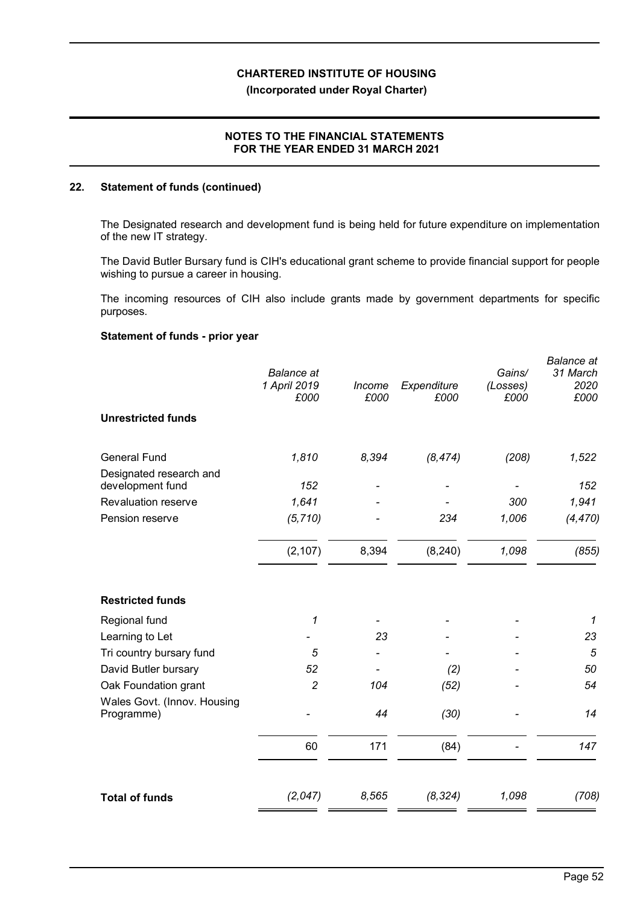# **NOTES TO THE FINANCIAL STATEMENTS FOR THE YEAR ENDED 31 MARCH 2021**

## **22. Statement of funds (continued)**

The Designated research and development fund is being held for future expenditure on implementation of the new IT strategy.

The David Butler Bursary fund is CIH's educational grant scheme to provide financial support for people wishing to pursue a career in housing.

The incoming resources of CIH also include grants made by government departments for specific purposes.

# **Statement of funds - prior year**

|                                             | <b>Balance</b> at<br>1 April 2019<br>£000 | Income<br>£000 | Expenditure<br>£000 | Gains/<br>(Losses)<br>£000 | <b>Balance</b> at<br>31 March<br>2020<br>£000 |
|---------------------------------------------|-------------------------------------------|----------------|---------------------|----------------------------|-----------------------------------------------|
| <b>Unrestricted funds</b>                   |                                           |                |                     |                            |                                               |
| <b>General Fund</b>                         | 1,810                                     | 8,394          | (8, 474)            | (208)                      | 1,522                                         |
| Designated research and<br>development fund | 152                                       |                |                     |                            | 152                                           |
| Revaluation reserve                         | 1,641                                     |                |                     | 300                        | 1,941                                         |
| Pension reserve                             | (5, 710)                                  |                | 234                 | 1,006                      | (4, 470)                                      |
|                                             | (2, 107)                                  | 8,394          | (8, 240)            | 1,098                      | (855)                                         |
| <b>Restricted funds</b>                     |                                           |                |                     |                            |                                               |
| Regional fund                               | 1                                         |                |                     |                            | 1                                             |
| Learning to Let                             |                                           | 23             |                     |                            | 23                                            |
| Tri country bursary fund                    | 5                                         |                |                     |                            | 5                                             |
| David Butler bursary                        | 52                                        |                | (2)                 |                            | 50                                            |
| Oak Foundation grant                        | $\overline{c}$                            | 104            | (52)                |                            | 54                                            |
| Wales Govt. (Innov. Housing<br>Programme)   |                                           | 44             | (30)                |                            | 14                                            |
|                                             | 60                                        | 171            | (84)                |                            | 147                                           |
| <b>Total of funds</b>                       | (2,047)                                   | 8,565          | (8, 324)            | 1,098                      | (708)                                         |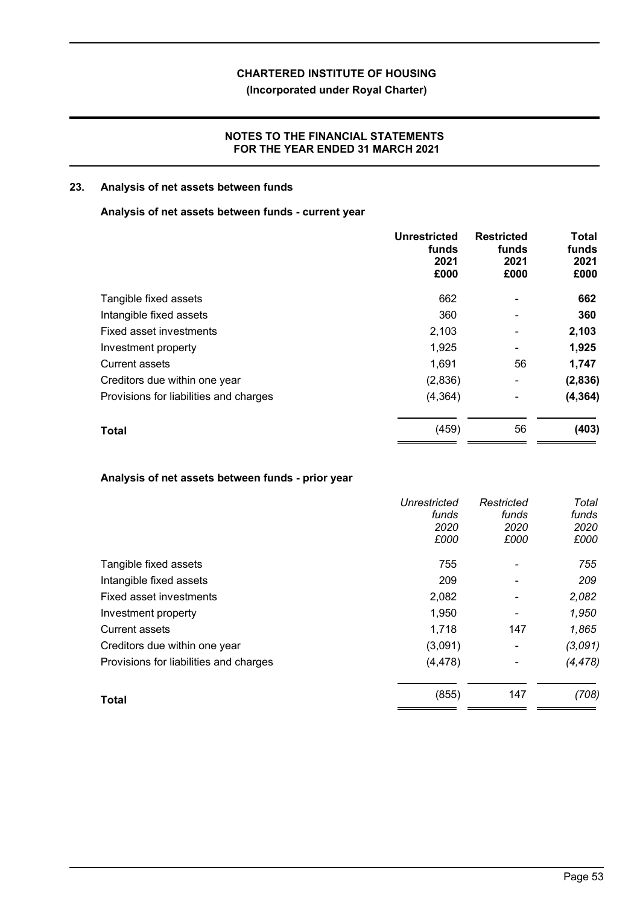# **(Incorporated under Royal Charter)**

# **NOTES TO THE FINANCIAL STATEMENTS FOR THE YEAR ENDED 31 MARCH 2021**

# **23. Analysis of net assets between funds**

# **Analysis of net assets between funds - current year**

|                                        | Unrestricted<br>funds<br>2021<br>£000 | <b>Restricted</b><br>funds<br>2021<br>£000 | Total<br>funds<br>2021<br>£000 |
|----------------------------------------|---------------------------------------|--------------------------------------------|--------------------------------|
| Tangible fixed assets                  | 662                                   |                                            | 662                            |
| Intangible fixed assets                | 360                                   | $\blacksquare$                             | 360                            |
| Fixed asset investments                | 2,103                                 | -                                          | 2,103                          |
| Investment property                    | 1,925                                 | ٠                                          | 1,925                          |
| <b>Current assets</b>                  | 1,691                                 | 56                                         | 1,747                          |
| Creditors due within one year          | (2,836)                               | -                                          | (2,836)                        |
| Provisions for liabilities and charges | (4, 364)                              | -                                          | (4, 364)                       |
| <b>Total</b>                           | (459)                                 | 56                                         | (403)                          |

# **Analysis of net assets between funds - prior year**

|                                        | Unrestricted<br>funds<br>2020<br>£000 | Restricted<br>funds<br>2020<br>£000 | Total<br>funds<br>2020<br>£000 |
|----------------------------------------|---------------------------------------|-------------------------------------|--------------------------------|
| Tangible fixed assets                  | 755                                   |                                     | 755                            |
| Intangible fixed assets                | 209                                   | $\overline{\phantom{0}}$            | 209                            |
| Fixed asset investments                | 2,082                                 |                                     | 2,082                          |
| Investment property                    | 1,950                                 |                                     | 1,950                          |
| <b>Current assets</b>                  | 1,718                                 | 147                                 | 1,865                          |
| Creditors due within one year          | (3,091)                               | -                                   | (3,091)                        |
| Provisions for liabilities and charges | (4, 478)                              |                                     | (4, 478)                       |
| <b>Total</b>                           | (855)                                 | 147                                 | (708)                          |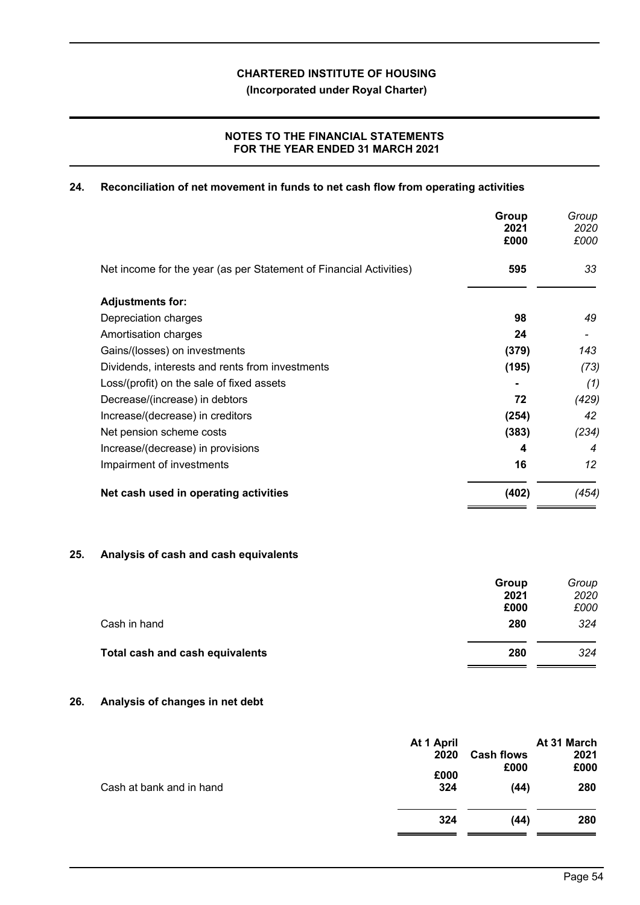**(Incorporated under Royal Charter)**

# **NOTES TO THE FINANCIAL STATEMENTS FOR THE YEAR ENDED 31 MARCH 2021**

# **24. Reconciliation of net movement in funds to net cash flow from operating activities**

|                                                                    | Group<br>2021<br>£000 | Group<br>2020<br>£000 |
|--------------------------------------------------------------------|-----------------------|-----------------------|
| Net income for the year (as per Statement of Financial Activities) | 595                   | 33                    |
| <b>Adjustments for:</b>                                            |                       |                       |
| Depreciation charges                                               | 98                    | 49                    |
| Amortisation charges                                               | 24                    |                       |
| Gains/(losses) on investments                                      | (379)                 | 143                   |
| Dividends, interests and rents from investments                    | (195)                 | (73)                  |
| Loss/(profit) on the sale of fixed assets                          |                       | (1)                   |
| Decrease/(increase) in debtors                                     | 72                    | (429)                 |
| Increase/(decrease) in creditors                                   | (254)                 | 42                    |
| Net pension scheme costs                                           | (383)                 | (234)                 |
| Increase/(decrease) in provisions                                  | 4                     | 4                     |
| Impairment of investments                                          | 16                    | 12                    |
| Net cash used in operating activities                              | (402)                 | (454)                 |

# **25. Analysis of cash and cash equivalents**

|                                 | Group<br>2021 | Group<br>2020 |
|---------------------------------|---------------|---------------|
|                                 | £000          | £000          |
| Cash in hand                    | 280           | 324           |
| Total cash and cash equivalents | 280           | 324           |

# **26. Analysis of changes in net debt**

|                          | At 1 April<br>2020<br>£000 | <b>Cash flows</b><br>£000 | At 31 March<br>2021<br>£000 |
|--------------------------|----------------------------|---------------------------|-----------------------------|
| Cash at bank and in hand | 324                        | (44)                      | 280                         |
|                          | 324                        | (44)                      | 280                         |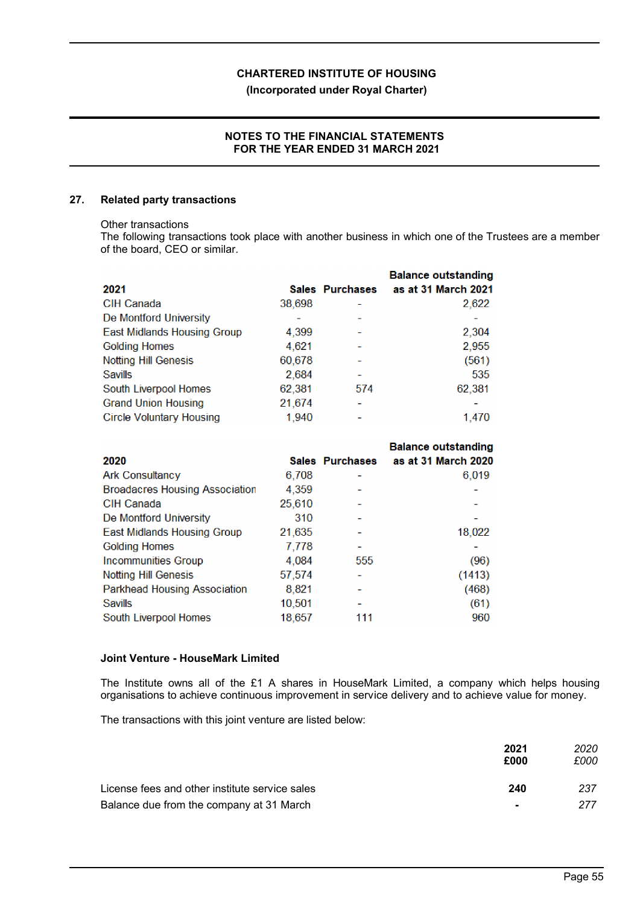# **(Incorporated under Royal Charter)**

# **NOTES TO THE FINANCIAL STATEMENTS FOR THE YEAR ENDED 31 MARCH 2021**

# **27. Related party transactions**

#### Other transactions

The following transactions took place with another business in which one of the Trustees are a member of the board, CEO or similar.

|                                    |        |                 | <b>Balance outstanding</b> |
|------------------------------------|--------|-----------------|----------------------------|
| 2021                               |        | Sales Purchases | as at 31 March 2021        |
| CIH Canada                         | 38,698 |                 | 2,622                      |
| De Montford University             |        |                 |                            |
| <b>East Midlands Housing Group</b> | 4,399  |                 | 2,304                      |
| <b>Golding Homes</b>               | 4,621  |                 | 2,955                      |
| <b>Notting Hill Genesis</b>        | 60,678 |                 | (561)                      |
| <b>Savills</b>                     | 2,684  |                 | 535                        |
| South Liverpool Homes              | 62,381 | 574             | 62,381                     |
| <b>Grand Union Housing</b>         | 21,674 |                 |                            |
| <b>Circle Voluntary Housing</b>    | 1,940  |                 | 1.470                      |

|                                       |        |                 | <b>Balance outstanding</b> |
|---------------------------------------|--------|-----------------|----------------------------|
| 2020                                  |        | Sales Purchases | as at 31 March 2020        |
| <b>Ark Consultancy</b>                | 6,708  |                 | 6,019                      |
| <b>Broadacres Housing Association</b> | 4,359  |                 |                            |
| <b>CIH Canada</b>                     | 25,610 |                 |                            |
| De Montford University                | 310    |                 |                            |
| <b>East Midlands Housing Group</b>    | 21,635 |                 | 18,022                     |
| <b>Golding Homes</b>                  | 7,778  |                 |                            |
| <b>Incommunities Group</b>            | 4.084  | 555             | (96)                       |
| <b>Notting Hill Genesis</b>           | 57,574 |                 | (1413)                     |
| <b>Parkhead Housing Association</b>   | 8,821  |                 | (468)                      |
| Savills                               | 10,501 |                 | (61)                       |
| South Liverpool Homes                 | 18,657 | 111             | 960                        |

# **Joint Venture - HouseMark Limited**

The Institute owns all of the £1 A shares in HouseMark Limited, a company which helps housing organisations to achieve continuous improvement in service delivery and to achieve value for money.

The transactions with this joint venture are listed below:

|                                                | 2021<br>£000   | 2020<br>£000 |
|------------------------------------------------|----------------|--------------|
| License fees and other institute service sales | 240            | 237          |
| Balance due from the company at 31 March       | $\blacksquare$ | 277          |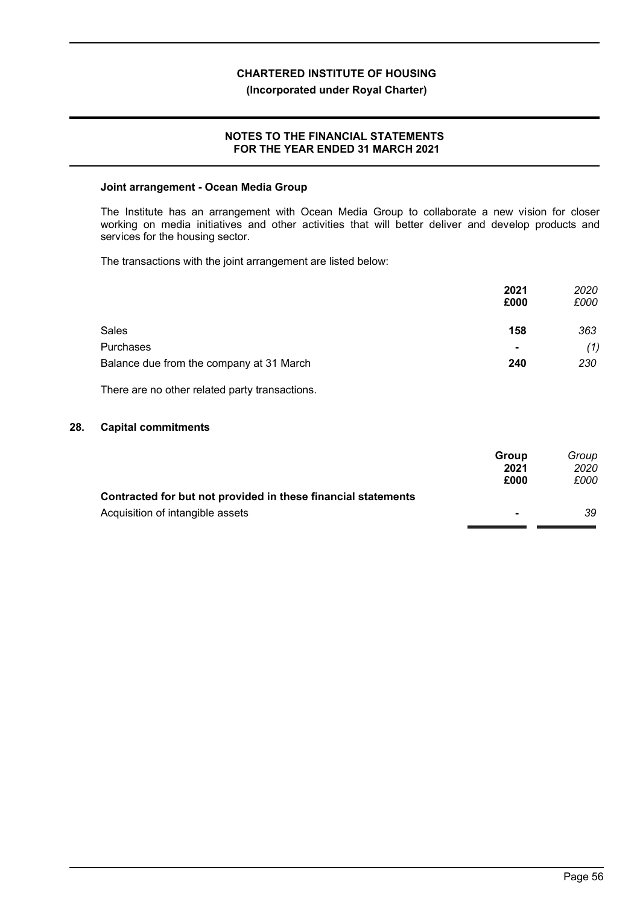# **(Incorporated under Royal Charter)**

# **NOTES TO THE FINANCIAL STATEMENTS FOR THE YEAR ENDED 31 MARCH 2021**

### **Joint arrangement - Ocean Media Group**

The Institute has an arrangement with Ocean Media Group to collaborate a new vision for closer working on media initiatives and other activities that will better deliver and develop products and services for the housing sector.

The transactions with the joint arrangement are listed below:

|                                          | 2021<br>£000   | 2020<br>£000 |
|------------------------------------------|----------------|--------------|
| <b>Sales</b>                             | 158            | 363          |
| Purchases                                | $\blacksquare$ | (1)          |
| Balance due from the company at 31 March | 240            | 230          |

There are no other related party transactions.

# **28. Capital commitments**

|                                                               | Group          | Group |
|---------------------------------------------------------------|----------------|-------|
|                                                               | 2021           | 2020  |
|                                                               | £000           | £000  |
| Contracted for but not provided in these financial statements |                |       |
| Acquisition of intangible assets                              | $\blacksquare$ | 39    |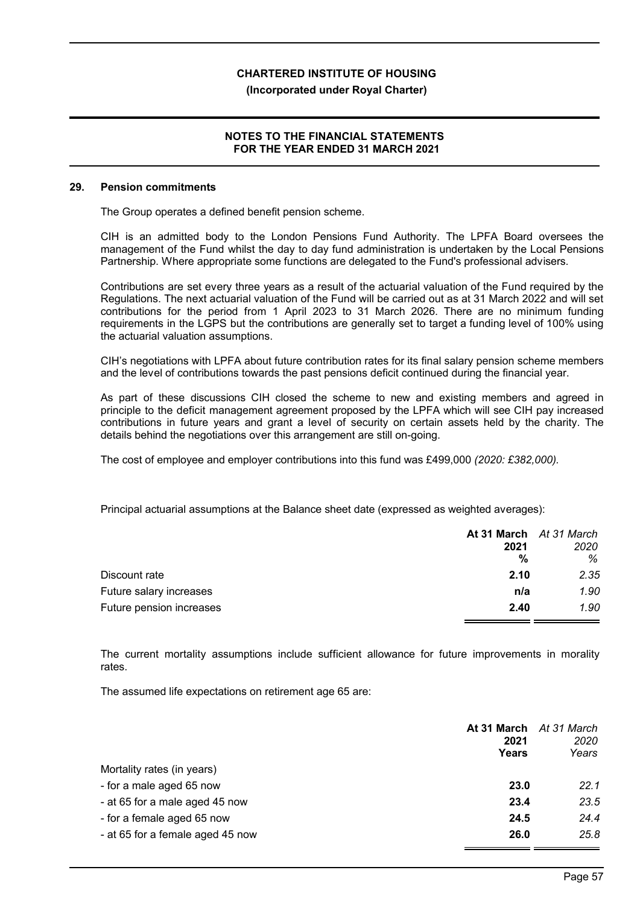#### **(Incorporated under Royal Charter)**

# **NOTES TO THE FINANCIAL STATEMENTS FOR THE YEAR ENDED 31 MARCH 2021**

#### **29. Pension commitments**

The Group operates a defined benefit pension scheme.

CIH is an admitted body to the London Pensions Fund Authority. The LPFA Board oversees the management of the Fund whilst the day to day fund administration is undertaken by the Local Pensions Partnership. Where appropriate some functions are delegated to the Fund's professional advisers.

Contributions are set every three years as a result of the actuarial valuation of the Fund required by the Regulations. The next actuarial valuation of the Fund will be carried out as at 31 March 2022 and will set contributions for the period from 1 April 2023 to 31 March 2026. There are no minimum funding requirements in the LGPS but the contributions are generally set to target a funding level of 100% using the actuarial valuation assumptions.

CIH's negotiations with LPFA about future contribution rates for its final salary pension scheme members and the level of contributions towards the past pensions deficit continued during the financial year.

As part of these discussions CIH closed the scheme to new and existing members and agreed in principle to the deficit management agreement proposed by the LPFA which will see CIH pay increased contributions in future years and grant a level of security on certain assets held by the charity. The details behind the negotiations over this arrangement are still on-going.

The cost of employee and employer contributions into this fund was £499,000 *(2020: £382,000).*

Principal actuarial assumptions at the Balance sheet date (expressed as weighted averages):

|                          | At 31 March At 31 March |      |
|--------------------------|-------------------------|------|
|                          | 2021                    | 2020 |
|                          | %                       | %    |
| Discount rate            | 2.10                    | 2.35 |
| Future salary increases  | n/a                     | 1.90 |
| Future pension increases | 2.40                    | 1.90 |

The current mortality assumptions include sufficient allowance for future improvements in morality rates.

The assumed life expectations on retirement age 65 are:

|                                  | 2021<br>Years | At 31 March At 31 March<br>2020<br>Years |
|----------------------------------|---------------|------------------------------------------|
| Mortality rates (in years)       |               |                                          |
| - for a male aged 65 now         | 23.0          | 22.1                                     |
| - at 65 for a male aged 45 now   | 23.4          | 23.5                                     |
| - for a female aged 65 now       | 24.5          | 24.4                                     |
| - at 65 for a female aged 45 now | 26.0          | 25.8                                     |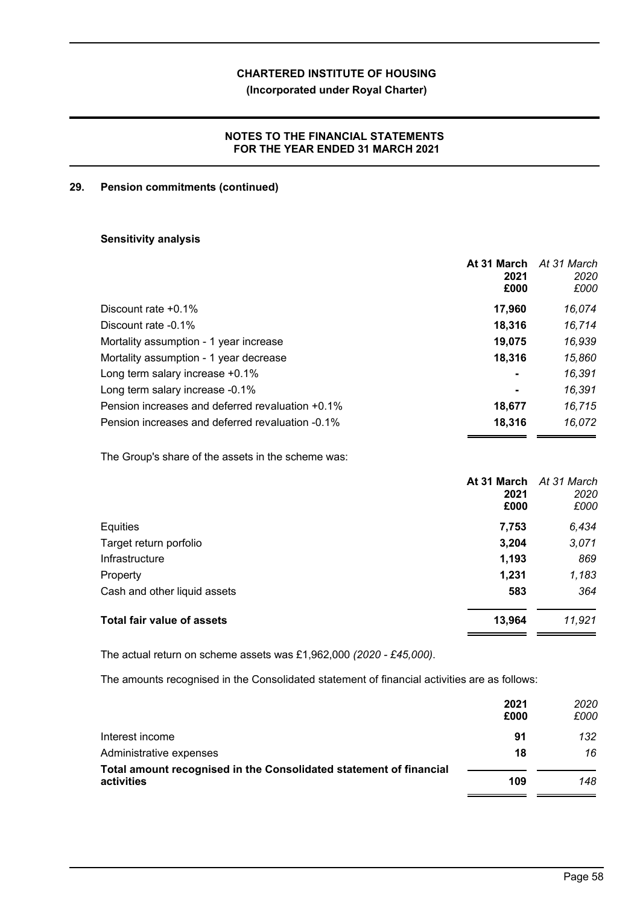**(Incorporated under Royal Charter)**

# **NOTES TO THE FINANCIAL STATEMENTS FOR THE YEAR ENDED 31 MARCH 2021**

# **29. Pension commitments (continued)**

# **Sensitivity analysis**

|                                                  | At 31 March<br>2021<br>£000 | At 31 March<br>2020<br>£000 |
|--------------------------------------------------|-----------------------------|-----------------------------|
| Discount rate $+0.1\%$                           | 17,960                      | 16,074                      |
| Discount rate -0.1%                              | 18,316                      | 16,714                      |
| Mortality assumption - 1 year increase           | 19,075                      | 16,939                      |
| Mortality assumption - 1 year decrease           | 18,316                      | 15,860                      |
| Long term salary increase +0.1%                  | $\blacksquare$              | 16,391                      |
| Long term salary increase -0.1%                  | $\blacksquare$              | 16,391                      |
| Pension increases and deferred revaluation +0.1% | 18.677                      | 16,715                      |
| Pension increases and deferred revaluation -0.1% | 18,316                      | 16,072                      |

The Group's share of the assets in the scheme was:

|                                   | At 31 March At 31 March<br>2021<br>£000 | 2020<br>£000 |
|-----------------------------------|-----------------------------------------|--------------|
| Equities                          | 7,753                                   | 6,434        |
| Target return porfolio            | 3,204                                   | 3,071        |
| Infrastructure                    | 1,193                                   | 869          |
| Property                          | 1,231                                   | 1,183        |
| Cash and other liquid assets      | 583                                     | 364          |
| <b>Total fair value of assets</b> | 13,964                                  | 11,921       |

The actual return on scheme assets was £1,962,000 *(2020 - £45,000)*.

The amounts recognised in the Consolidated statement of financial activities are as follows:

|                                                                    | 2021<br>£000 | 2020<br>£000 |
|--------------------------------------------------------------------|--------------|--------------|
| Interest income                                                    | 91           | 132          |
| Administrative expenses                                            | 18           | 16           |
| Total amount recognised in the Consolidated statement of financial |              |              |
| activities                                                         | 109          | 148          |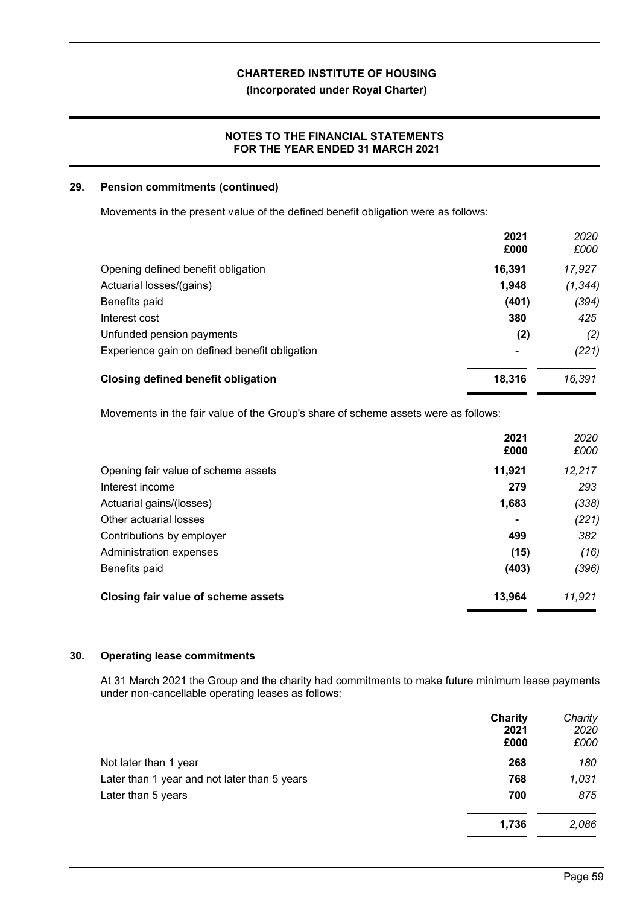# **(Incorporated under Royal Charter)**

# **NOTES TO THE FINANCIAL STATEMENTS FOR THE YEAR ENDED 31 MARCH 2021**

# **29. Pension commitments (continued)**

Movements in the present value of the defined benefit obligation were as follows:

|                                               | 2021           | 2020     |
|-----------------------------------------------|----------------|----------|
|                                               | £000           | £000     |
| Opening defined benefit obligation            | 16,391         | 17,927   |
| Actuarial losses/(gains)                      | 1,948          | (1, 344) |
| Benefits paid                                 | (401)          | (394)    |
| Interest cost                                 | 380            | 425      |
| Unfunded pension payments                     | (2)            | (2)      |
| Experience gain on defined benefit obligation | $\blacksquare$ | (221)    |
| <b>Closing defined benefit obligation</b>     | 18,316         | 16,391   |

Movements in the fair value of the Group's share of scheme assets were as follows:

|                                     | 2021<br>£000 | 2020<br>£000 |
|-------------------------------------|--------------|--------------|
| Opening fair value of scheme assets | 11,921       | 12,217       |
| Interest income                     | 279          | 293          |
| Actuarial gains/(losses)            | 1,683        | (338)        |
| Other actuarial losses              | ۰            | (221)        |
| Contributions by employer           | 499          | 382          |
| Administration expenses             | (15)         | (16)         |
| Benefits paid                       | (403)        | (396)        |
| Closing fair value of scheme assets | 13,964       | 11,921       |

# **30. Operating lease commitments**

At 31 March 2021 the Group and the charity had commitments to make future minimum lease payments under non-cancellable operating leases as follows:

|                                              | Charity | Charity |
|----------------------------------------------|---------|---------|
|                                              | 2021    | 2020    |
|                                              | £000    | £000    |
| Not later than 1 year                        | 268     | 180     |
| Later than 1 year and not later than 5 years | 768     | 1,031   |
| Later than 5 years                           | 700     | 875     |
|                                              | 1,736   | 2,086   |